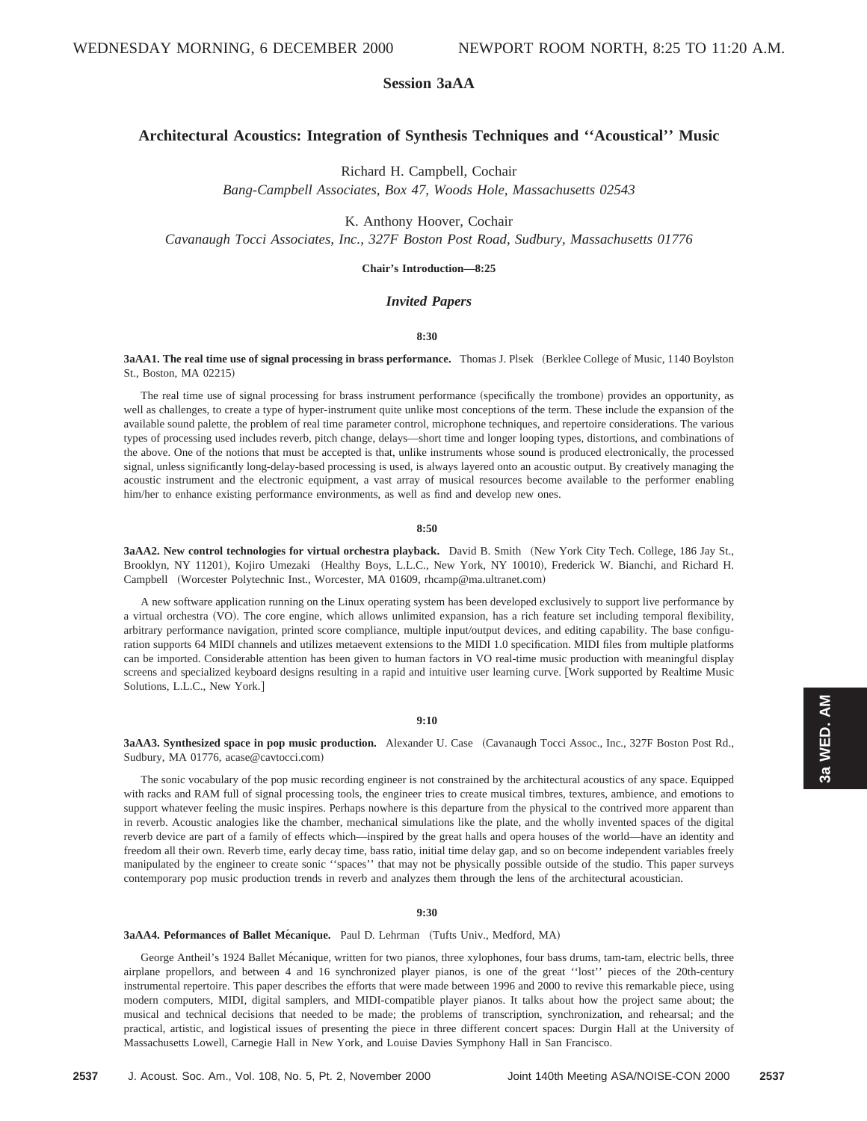# **Session 3aAA**

# **Architectural Acoustics: Integration of Synthesis Techniques and ''Acoustical'' Music**

Richard H. Campbell, Cochair

*Bang-Campbell Associates, Box 47, Woods Hole, Massachusetts 02543*

K. Anthony Hoover, Cochair

*Cavanaugh Tocci Associates, Inc., 327F Boston Post Road, Sudbury, Massachusetts 01776*

# **Chair's Introduction—8:25**

# *Invited Papers*

# **8:30**

**3aAA1. The real time use of signal processing in brass performance.** Thomas J. Plsek (Berklee College of Music, 1140 Boylston St., Boston, MA 02215!

The real time use of signal processing for brass instrument performance (specifically the trombone) provides an opportunity, as well as challenges, to create a type of hyper-instrument quite unlike most conceptions of the term. These include the expansion of the available sound palette, the problem of real time parameter control, microphone techniques, and repertoire considerations. The various types of processing used includes reverb, pitch change, delays—short time and longer looping types, distortions, and combinations of the above. One of the notions that must be accepted is that, unlike instruments whose sound is produced electronically, the processed signal, unless significantly long-delay-based processing is used, is always layered onto an acoustic output. By creatively managing the acoustic instrument and the electronic equipment, a vast array of musical resources become available to the performer enabling him/her to enhance existing performance environments, as well as find and develop new ones.

#### **8:50**

3aAA2. New control technologies for virtual orchestra playback. David B. Smith (New York City Tech. College, 186 Jay St., Brooklyn, NY 11201), Kojiro Umezaki (Healthy Boys, L.L.C., New York, NY 10010), Frederick W. Bianchi, and Richard H. Campbell (Worcester Polytechnic Inst., Worcester, MA 01609, rhcamp@ma.ultranet.com)

A new software application running on the Linux operating system has been developed exclusively to support live performance by a virtual orchestra (VO). The core engine, which allows unlimited expansion, has a rich feature set including temporal flexibility, arbitrary performance navigation, printed score compliance, multiple input/output devices, and editing capability. The base configuration supports 64 MIDI channels and utilizes metaevent extensions to the MIDI 1.0 specification. MIDI files from multiple platforms can be imported. Considerable attention has been given to human factors in VO real-time music production with meaningful display screens and specialized keyboard designs resulting in a rapid and intuitive user learning curve. [Work supported by Realtime Music Solutions, L.L.C., New York.]

#### **9:10**

**3aAA3. Synthesized space in pop music production.** Alexander U. Case (Cavanaugh Tocci Assoc., Inc., 327F Boston Post Rd., Sudbury, MA 01776, acase@cavtocci.com)

The sonic vocabulary of the pop music recording engineer is not constrained by the architectural acoustics of any space. Equipped with racks and RAM full of signal processing tools, the engineer tries to create musical timbres, textures, ambience, and emotions to support whatever feeling the music inspires. Perhaps nowhere is this departure from the physical to the contrived more apparent than in reverb. Acoustic analogies like the chamber, mechanical simulations like the plate, and the wholly invented spaces of the digital reverb device are part of a family of effects which—inspired by the great halls and opera houses of the world—have an identity and freedom all their own. Reverb time, early decay time, bass ratio, initial time delay gap, and so on become independent variables freely manipulated by the engineer to create sonic ''spaces'' that may not be physically possible outside of the studio. This paper surveys contemporary pop music production trends in reverb and analyzes them through the lens of the architectural acoustician.

## **9:30**

# 3aAA4. Peformances of Ballet Mécanique. Paul D. Lehrman (Tufts Univ., Medford, MA)

George Antheil's 1924 Ballet Mécanique, written for two pianos, three xylophones, four bass drums, tam-tam, electric bells, three airplane propellors, and between 4 and 16 synchronized player pianos, is one of the great ''lost'' pieces of the 20th-century instrumental repertoire. This paper describes the efforts that were made between 1996 and 2000 to revive this remarkable piece, using modern computers, MIDI, digital samplers, and MIDI-compatible player pianos. It talks about how the project same about; the musical and technical decisions that needed to be made; the problems of transcription, synchronization, and rehearsal; and the practical, artistic, and logistical issues of presenting the piece in three different concert spaces: Durgin Hall at the University of Massachusetts Lowell, Carnegie Hall in New York, and Louise Davies Symphony Hall in San Francisco.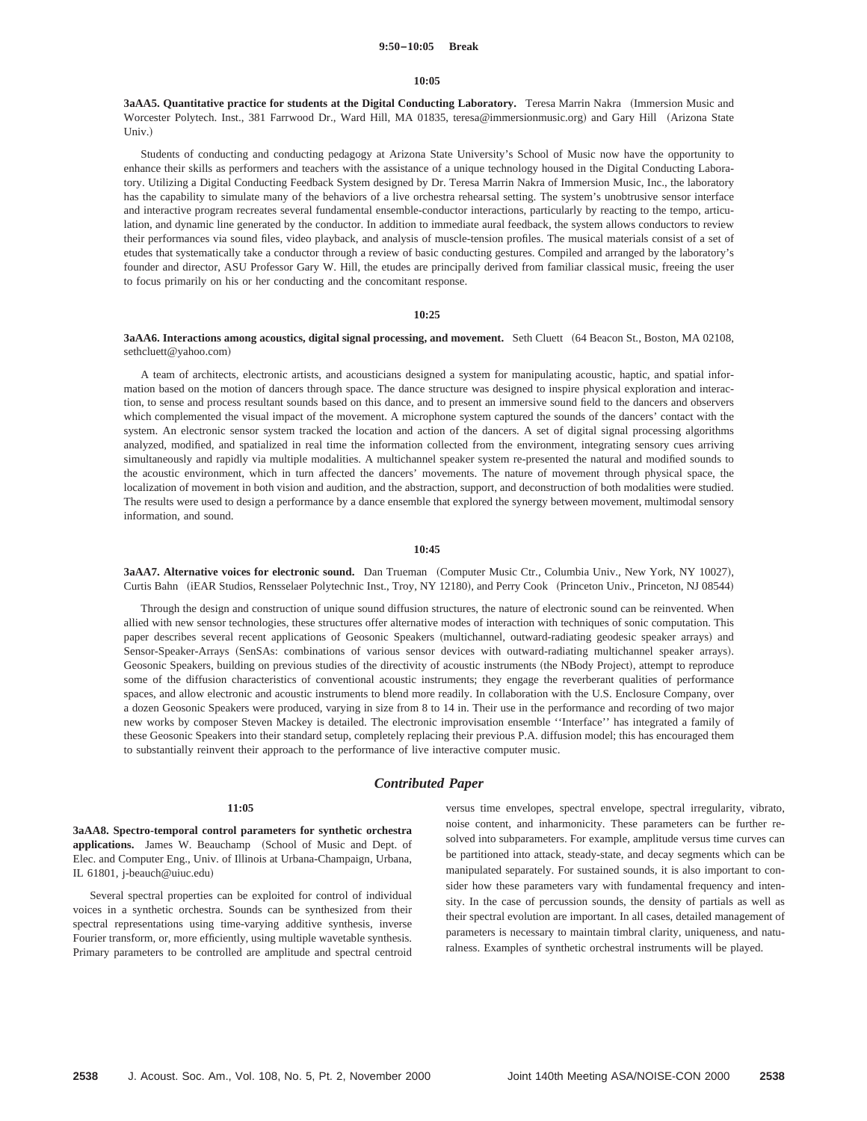#### **9:50–10:05 Break**

#### **10:05**

**3aAA5. Quantitative practice for students at the Digital Conducting Laboratory.** Teresa Marrin Nakra ~Immersion Music and Worcester Polytech. Inst., 381 Farrwood Dr., Ward Hill, MA 01835, teresa@immersionmusic.org) and Gary Hill (Arizona State Univ.)

Students of conducting and conducting pedagogy at Arizona State University's School of Music now have the opportunity to enhance their skills as performers and teachers with the assistance of a unique technology housed in the Digital Conducting Laboratory. Utilizing a Digital Conducting Feedback System designed by Dr. Teresa Marrin Nakra of Immersion Music, Inc., the laboratory has the capability to simulate many of the behaviors of a live orchestra rehearsal setting. The system's unobtrusive sensor interface and interactive program recreates several fundamental ensemble-conductor interactions, particularly by reacting to the tempo, articulation, and dynamic line generated by the conductor. In addition to immediate aural feedback, the system allows conductors to review their performances via sound files, video playback, and analysis of muscle-tension profiles. The musical materials consist of a set of etudes that systematically take a conductor through a review of basic conducting gestures. Compiled and arranged by the laboratory's founder and director, ASU Professor Gary W. Hill, the etudes are principally derived from familiar classical music, freeing the user to focus primarily on his or her conducting and the concomitant response.

#### **10:25**

#### 3aAA6. Interactions among acoustics, digital signal processing, and movement. Seth Cluett (64 Beacon St., Boston, MA 02108, sethcluett@yahoo.com)

A team of architects, electronic artists, and acousticians designed a system for manipulating acoustic, haptic, and spatial information based on the motion of dancers through space. The dance structure was designed to inspire physical exploration and interaction, to sense and process resultant sounds based on this dance, and to present an immersive sound field to the dancers and observers which complemented the visual impact of the movement. A microphone system captured the sounds of the dancers' contact with the system. An electronic sensor system tracked the location and action of the dancers. A set of digital signal processing algorithms analyzed, modified, and spatialized in real time the information collected from the environment, integrating sensory cues arriving simultaneously and rapidly via multiple modalities. A multichannel speaker system re-presented the natural and modified sounds to the acoustic environment, which in turn affected the dancers' movements. The nature of movement through physical space, the localization of movement in both vision and audition, and the abstraction, support, and deconstruction of both modalities were studied. The results were used to design a performance by a dance ensemble that explored the synergy between movement, multimodal sensory information, and sound.

#### **10:45**

3aAA7. Alternative voices for electronic sound. Dan Trueman (Computer Music Ctr., Columbia Univ., New York, NY 10027), Curtis Bahn (iEAR Studios, Rensselaer Polytechnic Inst., Troy, NY 12180), and Perry Cook (Princeton Univ., Princeton, NJ 08544)

Through the design and construction of unique sound diffusion structures, the nature of electronic sound can be reinvented. When allied with new sensor technologies, these structures offer alternative modes of interaction with techniques of sonic computation. This paper describes several recent applications of Geosonic Speakers (multichannel, outward-radiating geodesic speaker arrays) and Sensor-Speaker-Arrays (SenSAs: combinations of various sensor devices with outward-radiating multichannel speaker arrays). Geosonic Speakers, building on previous studies of the directivity of acoustic instruments (the NBody Project), attempt to reproduce some of the diffusion characteristics of conventional acoustic instruments; they engage the reverberant qualities of performance spaces, and allow electronic and acoustic instruments to blend more readily. In collaboration with the U.S. Enclosure Company, over a dozen Geosonic Speakers were produced, varying in size from 8 to 14 in. Their use in the performance and recording of two major new works by composer Steven Mackey is detailed. The electronic improvisation ensemble ''Interface'' has integrated a family of these Geosonic Speakers into their standard setup, completely replacing their previous P.A. diffusion model; this has encouraged them to substantially reinvent their approach to the performance of live interactive computer music.

# *Contributed Paper*

# **11:05**

**3aAA8. Spectro-temporal control parameters for synthetic orchestra** applications. James W. Beauchamp (School of Music and Dept. of Elec. and Computer Eng., Univ. of Illinois at Urbana-Champaign, Urbana, IL 61801, j-beauch@uiuc.edu)

Several spectral properties can be exploited for control of individual voices in a synthetic orchestra. Sounds can be synthesized from their spectral representations using time-varying additive synthesis, inverse Fourier transform, or, more efficiently, using multiple wavetable synthesis. Primary parameters to be controlled are amplitude and spectral centroid versus time envelopes, spectral envelope, spectral irregularity, vibrato, noise content, and inharmonicity. These parameters can be further resolved into subparameters. For example, amplitude versus time curves can be partitioned into attack, steady-state, and decay segments which can be manipulated separately. For sustained sounds, it is also important to consider how these parameters vary with fundamental frequency and intensity. In the case of percussion sounds, the density of partials as well as their spectral evolution are important. In all cases, detailed management of parameters is necessary to maintain timbral clarity, uniqueness, and naturalness. Examples of synthetic orchestral instruments will be played.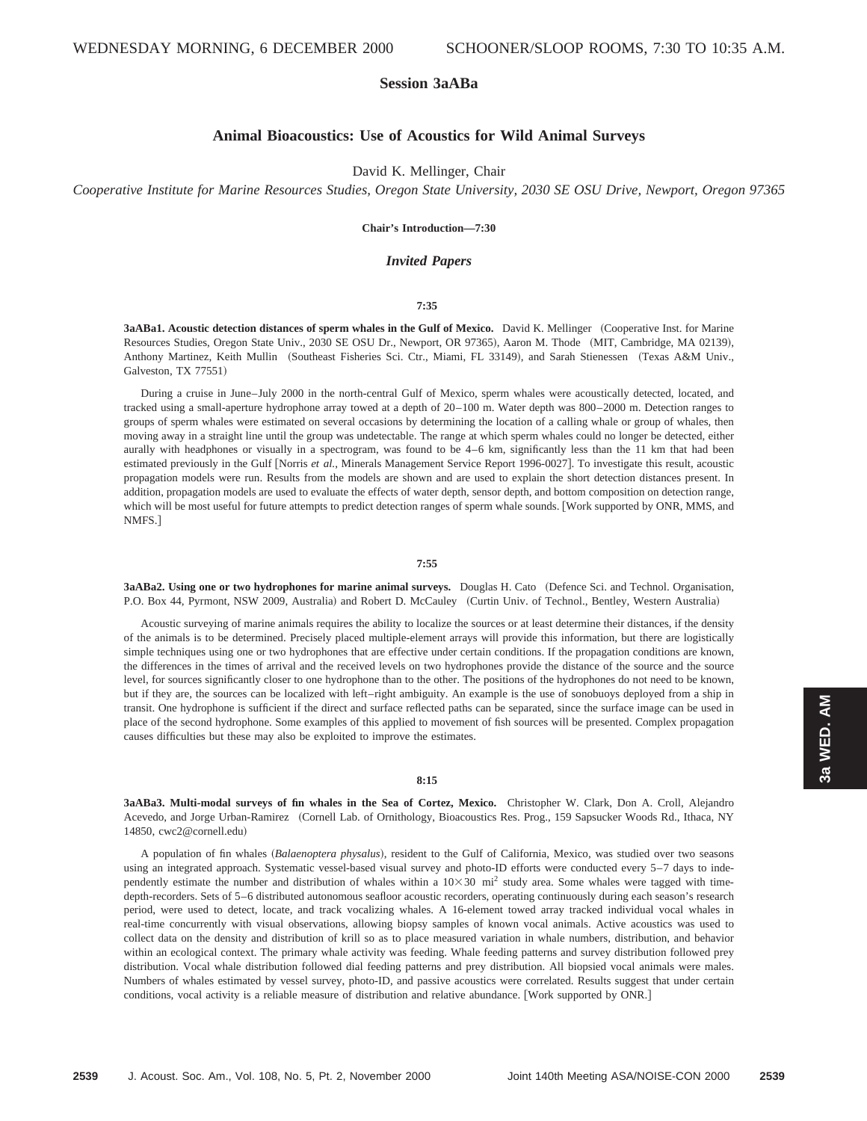# **Session 3aABa**

# **Animal Bioacoustics: Use of Acoustics for Wild Animal Surveys**

# David K. Mellinger, Chair

*Cooperative Institute for Marine Resources Studies, Oregon State University, 2030 SE OSU Drive, Newport, Oregon 97365*

## **Chair's Introduction—7:30**

# *Invited Papers*

## **7:35**

**3aABa1. Acoustic detection distances of sperm whales in the Gulf of Mexico.** David K. Mellinger ~Cooperative Inst. for Marine Resources Studies, Oregon State Univ., 2030 SE OSU Dr., Newport, OR 97365), Aaron M. Thode (MIT, Cambridge, MA 02139), Anthony Martinez, Keith Mullin (Southeast Fisheries Sci. Ctr., Miami, FL 33149), and Sarah Stienessen (Texas A&M Univ., Galveston, TX 77551)

During a cruise in June–July 2000 in the north-central Gulf of Mexico, sperm whales were acoustically detected, located, and tracked using a small-aperture hydrophone array towed at a depth of 20–100 m. Water depth was 800–2000 m. Detection ranges to groups of sperm whales were estimated on several occasions by determining the location of a calling whale or group of whales, then moving away in a straight line until the group was undetectable. The range at which sperm whales could no longer be detected, either aurally with headphones or visually in a spectrogram, was found to be 4–6 km, significantly less than the 11 km that had been estimated previously in the Gulf [Norris et al., Minerals Management Service Report 1996-0027]. To investigate this result, acoustic propagation models were run. Results from the models are shown and are used to explain the short detection distances present. In addition, propagation models are used to evaluate the effects of water depth, sensor depth, and bottom composition on detection range, which will be most useful for future attempts to predict detection ranges of sperm whale sounds. [Work supported by ONR, MMS, and NMFS.1

#### **7:55**

**3aABa2. Using one or two hydrophones for marine animal surveys.** Douglas H. Cato (Defence Sci. and Technol. Organisation, P.O. Box 44, Pyrmont, NSW 2009, Australia) and Robert D. McCauley (Curtin Univ. of Technol., Bentley, Western Australia)

Acoustic surveying of marine animals requires the ability to localize the sources or at least determine their distances, if the density of the animals is to be determined. Precisely placed multiple-element arrays will provide this information, but there are logistically simple techniques using one or two hydrophones that are effective under certain conditions. If the propagation conditions are known, the differences in the times of arrival and the received levels on two hydrophones provide the distance of the source and the source level, for sources significantly closer to one hydrophone than to the other. The positions of the hydrophones do not need to be known, but if they are, the sources can be localized with left–right ambiguity. An example is the use of sonobuoys deployed from a ship in transit. One hydrophone is sufficient if the direct and surface reflected paths can be separated, since the surface image can be used in place of the second hydrophone. Some examples of this applied to movement of fish sources will be presented. Complex propagation causes difficulties but these may also be exploited to improve the estimates.

## **8:15**

**3aABa3. Multi-modal surveys of fin whales in the Sea of Cortez, Mexico.** Christopher W. Clark, Don A. Croll, Alejandro Acevedo, and Jorge Urban-Ramirez (Cornell Lab. of Ornithology, Bioacoustics Res. Prog., 159 Sapsucker Woods Rd., Ithaca, NY 14850, cwc2@cornell.edu)

A population of fin whales (Balaenoptera physalus), resident to the Gulf of California, Mexico, was studied over two seasons using an integrated approach. Systematic vessel-based visual survey and photo-ID efforts were conducted every 5–7 days to independently estimate the number and distribution of whales within a  $10\times30$  mi<sup>2</sup> study area. Some whales were tagged with timedepth-recorders. Sets of 5–6 distributed autonomous seafloor acoustic recorders, operating continuously during each season's research period, were used to detect, locate, and track vocalizing whales. A 16-element towed array tracked individual vocal whales in real-time concurrently with visual observations, allowing biopsy samples of known vocal animals. Active acoustics was used to collect data on the density and distribution of krill so as to place measured variation in whale numbers, distribution, and behavior within an ecological context. The primary whale activity was feeding. Whale feeding patterns and survey distribution followed prey distribution. Vocal whale distribution followed dial feeding patterns and prey distribution. All biopsied vocal animals were males. Numbers of whales estimated by vessel survey, photo-ID, and passive acoustics were correlated. Results suggest that under certain conditions, vocal activity is a reliable measure of distribution and relative abundance. [Work supported by ONR.]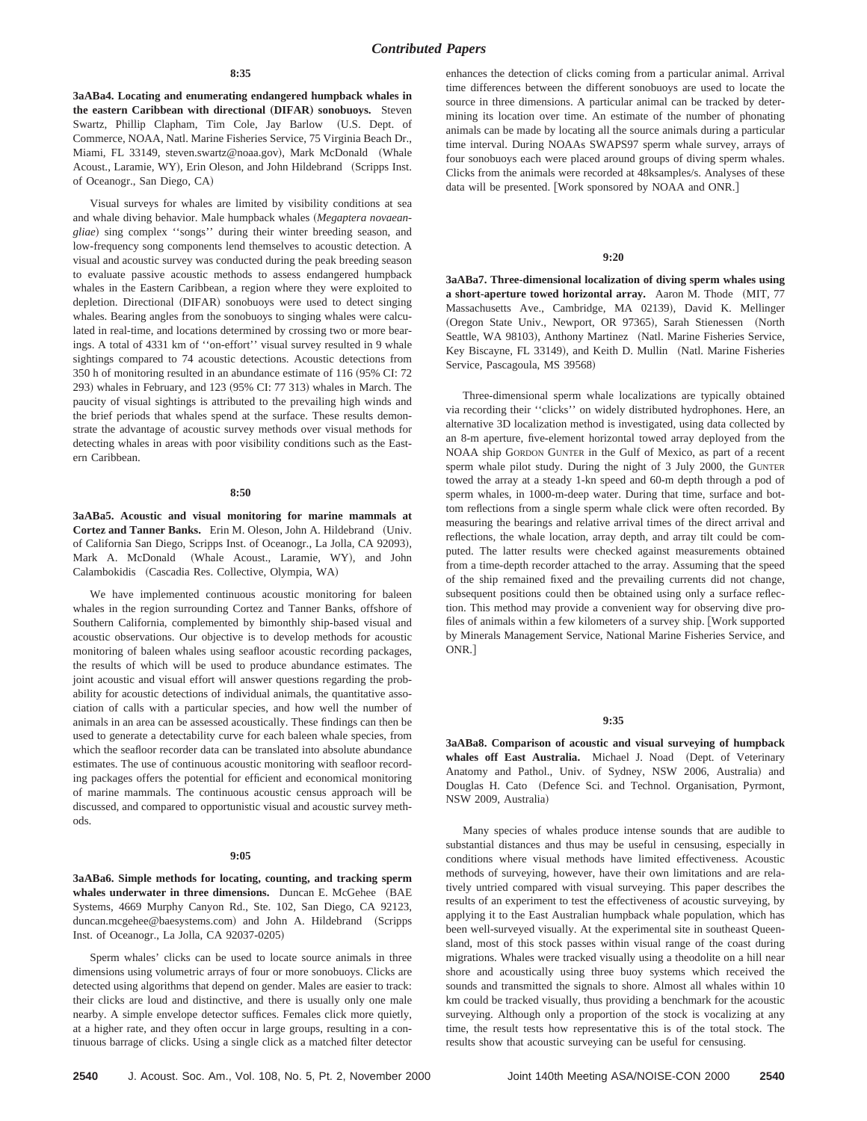#### **8:35**

**3aABa4. Locating and enumerating endangered humpback whales in the eastern Caribbean with directional** "**DIFAR**… **sonobuoys.** Steven Swartz, Phillip Clapham, Tim Cole, Jay Barlow (U.S. Dept. of Commerce, NOAA, Natl. Marine Fisheries Service, 75 Virginia Beach Dr., Miami, FL 33149, steven.swartz@noaa.gov), Mark McDonald (Whale Acoust., Laramie, WY), Erin Oleson, and John Hildebrand (Scripps Inst. of Oceanogr., San Diego, CA)

Visual surveys for whales are limited by visibility conditions at sea and whale diving behavior. Male humpback whales (Megaptera novaean*gliae*! sing complex ''songs'' during their winter breeding season, and low-frequency song components lend themselves to acoustic detection. A visual and acoustic survey was conducted during the peak breeding season to evaluate passive acoustic methods to assess endangered humpback whales in the Eastern Caribbean, a region where they were exploited to depletion. Directional (DIFAR) sonobuoys were used to detect singing whales. Bearing angles from the sonobuoys to singing whales were calculated in real-time, and locations determined by crossing two or more bearings. A total of 4331 km of ''on-effort'' visual survey resulted in 9 whale sightings compared to 74 acoustic detections. Acoustic detections from 350 h of monitoring resulted in an abundance estimate of 116 (95% CI: 72 293) whales in February, and 123 (95% CI:  $77$  313) whales in March. The paucity of visual sightings is attributed to the prevailing high winds and the brief periods that whales spend at the surface. These results demonstrate the advantage of acoustic survey methods over visual methods for detecting whales in areas with poor visibility conditions such as the Eastern Caribbean.

## **8:50**

**3aABa5. Acoustic and visual monitoring for marine mammals at** Cortez and Tanner Banks. Erin M. Oleson, John A. Hildebrand (Univ. of California San Diego, Scripps Inst. of Oceanogr., La Jolla, CA 92093), Mark A. McDonald (Whale Acoust., Laramie, WY), and John Calambokidis (Cascadia Res. Collective, Olympia, WA)

We have implemented continuous acoustic monitoring for baleen whales in the region surrounding Cortez and Tanner Banks, offshore of Southern California, complemented by bimonthly ship-based visual and acoustic observations. Our objective is to develop methods for acoustic monitoring of baleen whales using seafloor acoustic recording packages, the results of which will be used to produce abundance estimates. The joint acoustic and visual effort will answer questions regarding the probability for acoustic detections of individual animals, the quantitative association of calls with a particular species, and how well the number of animals in an area can be assessed acoustically. These findings can then be used to generate a detectability curve for each baleen whale species, from which the seafloor recorder data can be translated into absolute abundance estimates. The use of continuous acoustic monitoring with seafloor recording packages offers the potential for efficient and economical monitoring of marine mammals. The continuous acoustic census approach will be discussed, and compared to opportunistic visual and acoustic survey methods.

#### **9:05**

**3aABa6. Simple methods for locating, counting, and tracking sperm** whales underwater in three dimensions. Duncan E. McGehee (BAE Systems, 4669 Murphy Canyon Rd., Ste. 102, San Diego, CA 92123, duncan.mcgehee@baesystems.com) and John A. Hildebrand (Scripps Inst. of Oceanogr., La Jolla, CA 92037-0205!

Sperm whales' clicks can be used to locate source animals in three dimensions using volumetric arrays of four or more sonobuoys. Clicks are detected using algorithms that depend on gender. Males are easier to track: their clicks are loud and distinctive, and there is usually only one male nearby. A simple envelope detector suffices. Females click more quietly, at a higher rate, and they often occur in large groups, resulting in a continuous barrage of clicks. Using a single click as a matched filter detector enhances the detection of clicks coming from a particular animal. Arrival time differences between the different sonobuoys are used to locate the source in three dimensions. A particular animal can be tracked by determining its location over time. An estimate of the number of phonating animals can be made by locating all the source animals during a particular time interval. During NOAAs SWAPS97 sperm whale survey, arrays of four sonobuoys each were placed around groups of diving sperm whales. Clicks from the animals were recorded at 48ksamples/s. Analyses of these data will be presented. [Work sponsored by NOAA and ONR.]

#### **9:20**

**3aABa7. Three-dimensional localization of diving sperm whales using a short-aperture towed horizontal array.** Aaron M. Thode (MIT, 77) Massachusetts Ave., Cambridge, MA 02139), David K. Mellinger (Oregon State Univ., Newport, OR 97365), Sarah Stienessen (North Seattle, WA 98103), Anthony Martinez (Natl. Marine Fisheries Service, Key Biscayne, FL 33149), and Keith D. Mullin (Natl. Marine Fisheries Service, Pascagoula, MS 39568)

Three-dimensional sperm whale localizations are typically obtained via recording their ''clicks'' on widely distributed hydrophones. Here, an alternative 3D localization method is investigated, using data collected by an 8-m aperture, five-element horizontal towed array deployed from the NOAA ship GORDON GUNTER in the Gulf of Mexico, as part of a recent sperm whale pilot study. During the night of 3 July 2000, the GUNTER towed the array at a steady 1-kn speed and 60-m depth through a pod of sperm whales, in 1000-m-deep water. During that time, surface and bottom reflections from a single sperm whale click were often recorded. By measuring the bearings and relative arrival times of the direct arrival and reflections, the whale location, array depth, and array tilt could be computed. The latter results were checked against measurements obtained from a time-depth recorder attached to the array. Assuming that the speed of the ship remained fixed and the prevailing currents did not change, subsequent positions could then be obtained using only a surface reflection. This method may provide a convenient way for observing dive profiles of animals within a few kilometers of a survey ship. [Work supported by Minerals Management Service, National Marine Fisheries Service, and ONR<sub>1</sub>

#### **9:35**

**3aABa8. Comparison of acoustic and visual surveying of humpback** whales off East Australia. Michael J. Noad (Dept. of Veterinary Anatomy and Pathol., Univ. of Sydney, NSW 2006, Australia) and Douglas H. Cato (Defence Sci. and Technol. Organisation, Pyrmont, NSW 2009, Australia)

Many species of whales produce intense sounds that are audible to substantial distances and thus may be useful in censusing, especially in conditions where visual methods have limited effectiveness. Acoustic methods of surveying, however, have their own limitations and are relatively untried compared with visual surveying. This paper describes the results of an experiment to test the effectiveness of acoustic surveying, by applying it to the East Australian humpback whale population, which has been well-surveyed visually. At the experimental site in southeast Queensland, most of this stock passes within visual range of the coast during migrations. Whales were tracked visually using a theodolite on a hill near shore and acoustically using three buoy systems which received the sounds and transmitted the signals to shore. Almost all whales within 10 km could be tracked visually, thus providing a benchmark for the acoustic surveying. Although only a proportion of the stock is vocalizing at any time, the result tests how representative this is of the total stock. The results show that acoustic surveying can be useful for censusing.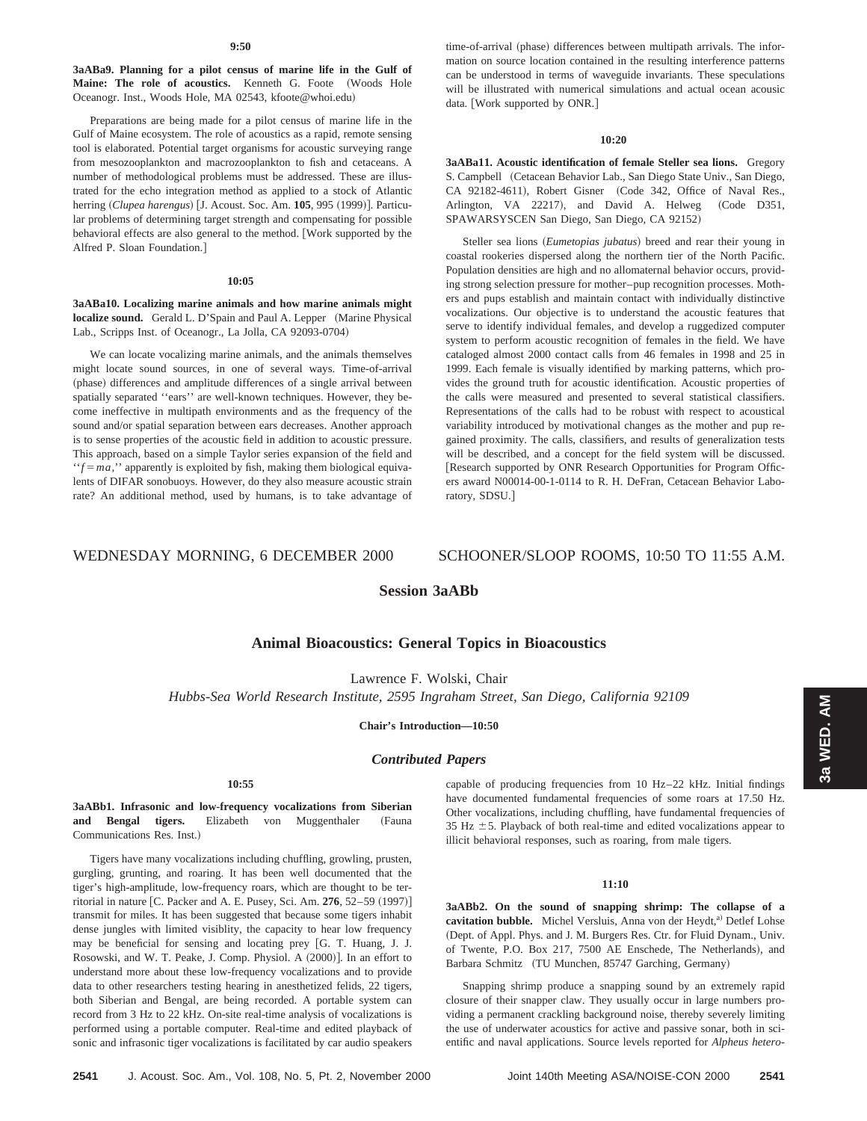**3aABa9. Planning for a pilot census of marine life in the Gulf of** Maine: The role of acoustics. Kenneth G. Foote (Woods Hole Oceanogr. Inst., Woods Hole, MA 02543, kfoote@whoi.edu)

Preparations are being made for a pilot census of marine life in the Gulf of Maine ecosystem. The role of acoustics as a rapid, remote sensing tool is elaborated. Potential target organisms for acoustic surveying range from mesozooplankton and macrozooplankton to fish and cetaceans. A number of methodological problems must be addressed. These are illustrated for the echo integration method as applied to a stock of Atlantic herring (Clupea harengus) [J. Acoust. Soc. Am. 105, 995 (1999)]. Particular problems of determining target strength and compensating for possible behavioral effects are also general to the method. [Work supported by the Alfred P. Sloan Foundation.]

#### **10:05**

**3aABa10. Localizing marine animals and how marine animals might localize sound.** Gerald L. D'Spain and Paul A. Lepper (Marine Physical Lab., Scripps Inst. of Oceanogr., La Jolla, CA 92093-0704)

We can locate vocalizing marine animals, and the animals themselves might locate sound sources, in one of several ways. Time-of-arrival (phase) differences and amplitude differences of a single arrival between spatially separated ''ears'' are well-known techniques. However, they become ineffective in multipath environments and as the frequency of the sound and/or spatial separation between ears decreases. Another approach is to sense properties of the acoustic field in addition to acoustic pressure. This approach, based on a simple Taylor series expansion of the field and  $'$ f = *ma*," apparently is exploited by fish, making them biological equivalents of DIFAR sonobuoys. However, do they also measure acoustic strain rate? An additional method, used by humans, is to take advantage of

## **10:20**

**3aABa11. Acoustic identification of female Steller sea lions.** Gregory S. Campbell (Cetacean Behavior Lab., San Diego State Univ., San Diego, CA 92182-4611), Robert Gisner (Code 342, Office of Naval Res., Arlington, VA 22217), and David A. Helweg (Code D351, SPAWARSYSCEN San Diego, San Diego, CA 92152!

Steller sea lions (*Eumetopias jubatus*) breed and rear their young in coastal rookeries dispersed along the northern tier of the North Pacific. Population densities are high and no allomaternal behavior occurs, providing strong selection pressure for mother–pup recognition processes. Mothers and pups establish and maintain contact with individually distinctive vocalizations. Our objective is to understand the acoustic features that serve to identify individual females, and develop a ruggedized computer system to perform acoustic recognition of females in the field. We have cataloged almost 2000 contact calls from 46 females in 1998 and 25 in 1999. Each female is visually identified by marking patterns, which provides the ground truth for acoustic identification. Acoustic properties of the calls were measured and presented to several statistical classifiers. Representations of the calls had to be robust with respect to acoustical variability introduced by motivational changes as the mother and pup regained proximity. The calls, classifiers, and results of generalization tests will be described, and a concept for the field system will be discussed. [Research supported by ONR Research Opportunities for Program Officers award N00014-00-1-0114 to R. H. DeFran, Cetacean Behavior Laboratory, SDSU.]

# WEDNESDAY MORNING, 6 DECEMBER 2000 SCHOONER/SLOOP ROOMS, 10:50 TO 11:55 A.M.

# **Session 3aABb**

# **Animal Bioacoustics: General Topics in Bioacoustics**

Lawrence F. Wolski, Chair

*Hubbs-Sea World Research Institute, 2595 Ingraham Street, San Diego, California 92109*

## **Chair's Introduction—10:50**

## *Contributed Papers*

## **10:55**

**3aABb1. Infrasonic and low-frequency vocalizations from Siberian** and Bengal tigers. Elizabeth von Muggenthaler (Fauna Communications Res. Inst.)

Tigers have many vocalizations including chuffling, growling, prusten, gurgling, grunting, and roaring. It has been well documented that the tiger's high-amplitude, low-frequency roars, which are thought to be territorial in nature [C. Packer and A. E. Pusey, Sci. Am. 276, 52-59 (1997)] transmit for miles. It has been suggested that because some tigers inhabit dense jungles with limited visiblity, the capacity to hear low frequency may be beneficial for sensing and locating prey [G. T. Huang, J. J. Rosowski, and W. T. Peake, J. Comp. Physiol. A  $(2000)$ . In an effort to understand more about these low-frequency vocalizations and to provide data to other researchers testing hearing in anesthetized felids, 22 tigers, both Siberian and Bengal, are being recorded. A portable system can record from 3 Hz to 22 kHz. On-site real-time analysis of vocalizations is performed using a portable computer. Real-time and edited playback of sonic and infrasonic tiger vocalizations is facilitated by car audio speakers

capable of producing frequencies from 10 Hz–22 kHz. Initial findings have documented fundamental frequencies of some roars at 17.50 Hz. Other vocalizations, including chuffling, have fundamental frequencies of 35 Hz  $\pm$  5. Playback of both real-time and edited vocalizations appear to illicit behavioral responses, such as roaring, from male tigers.

# **11:10**

**3aABb2. On the sound of snapping shrimp: The collapse of a** cavitation bubble. Michel Versluis, Anna von der Heydt,<sup>a)</sup> Detlef Lohse (Dept. of Appl. Phys. and J. M. Burgers Res. Ctr. for Fluid Dynam., Univ. of Twente, P.O. Box 217, 7500 AE Enschede, The Netherlands), and Barbara Schmitz (TU Munchen, 85747 Garching, Germany)

Snapping shrimp produce a snapping sound by an extremely rapid closure of their snapper claw. They usually occur in large numbers providing a permanent crackling background noise, thereby severely limiting the use of underwater acoustics for active and passive sonar, both in scientific and naval applications. Source levels reported for *Alpheus hetero-*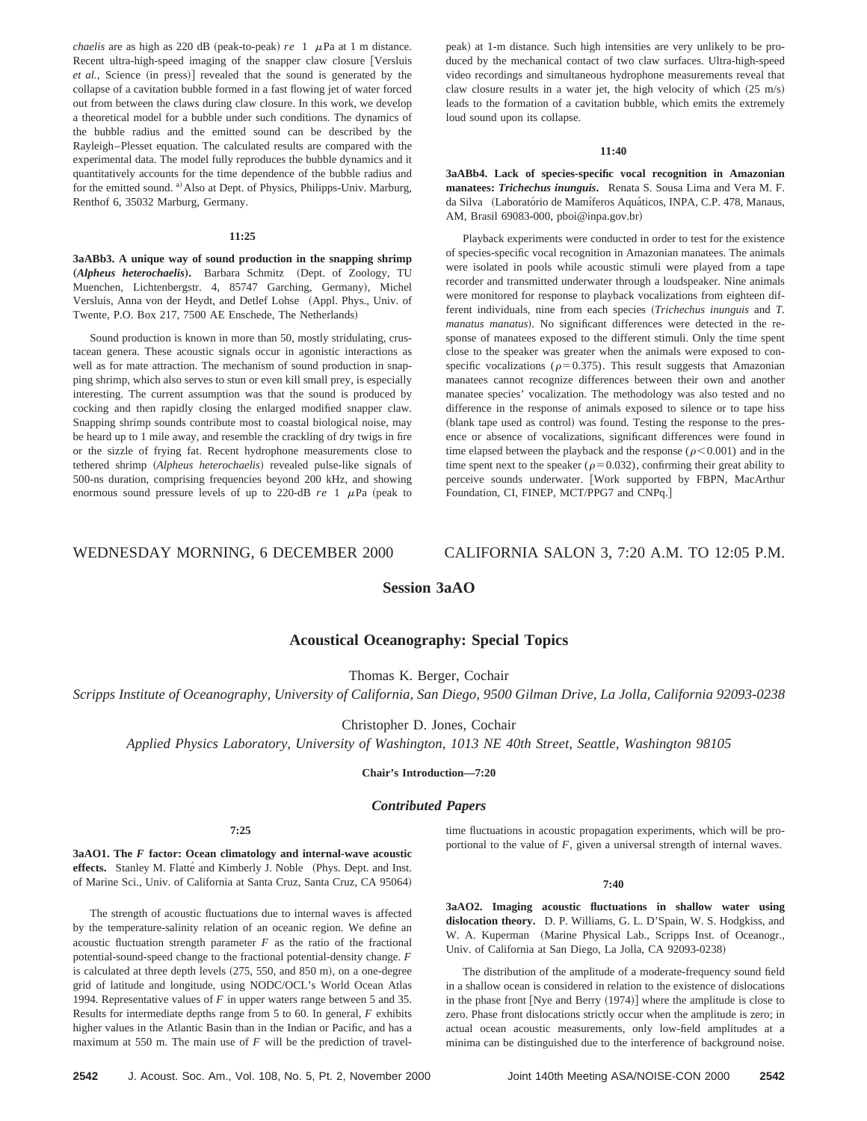*chaelis* are as high as 220 dB (peak-to-peak)  $re$  1  $\mu$ Pa at 1 m distance. Recent ultra-high-speed imaging of the snapper claw closure [Versluis *et al.*, Science (in press)] revealed that the sound is generated by the collapse of a cavitation bubble formed in a fast flowing jet of water forced out from between the claws during claw closure. In this work, we develop a theoretical model for a bubble under such conditions. The dynamics of the bubble radius and the emitted sound can be described by the Rayleigh–Plesset equation. The calculated results are compared with the experimental data. The model fully reproduces the bubble dynamics and it quantitatively accounts for the time dependence of the bubble radius and for the emitted sound. <sup>a)</sup> Also at Dept. of Physics, Philipps-Univ. Marburg, Renthof 6, 35032 Marburg, Germany.

#### **11:25**

**3aABb3. A unique way of sound production in the snapping shrimp** (Alpheus heterochaelis). Barbara Schmitz (Dept. of Zoology, TU Muenchen, Lichtenbergstr. 4, 85747 Garching, Germany), Michel Versluis, Anna von der Heydt, and Detlef Lohse (Appl. Phys., Univ. of Twente, P.O. Box 217, 7500 AE Enschede, The Netherlands)

Sound production is known in more than 50, mostly stridulating, crustacean genera. These acoustic signals occur in agonistic interactions as well as for mate attraction. The mechanism of sound production in snapping shrimp, which also serves to stun or even kill small prey, is especially interesting. The current assumption was that the sound is produced by cocking and then rapidly closing the enlarged modified snapper claw. Snapping shrimp sounds contribute most to coastal biological noise, may be heard up to 1 mile away, and resemble the crackling of dry twigs in fire or the sizzle of frying fat. Recent hydrophone measurements close to tethered shrimp (Alpheus heterochaelis) revealed pulse-like signals of 500-ns duration, comprising frequencies beyond 200 kHz, and showing enormous sound pressure levels of up to 220-dB  $re$  1  $\mu$ Pa (peak to

peak) at 1-m distance. Such high intensities are very unlikely to be produced by the mechanical contact of two claw surfaces. Ultra-high-speed video recordings and simultaneous hydrophone measurements reveal that claw closure results in a water jet, the high velocity of which  $(25 \text{ m/s})$ leads to the formation of a cavitation bubble, which emits the extremely loud sound upon its collapse.

## **11:40**

**3aABb4. Lack of species-specific vocal recognition in Amazonian manatees:** *Trichechus inunguis***.** Renata S. Sousa Lima and Vera M. F. da Silva (Laboratório de Mamíferos Aquáticos, INPA, C.P. 478, Manaus, AM, Brasil 69083-000, pboi@inpa.gov.br!

Playback experiments were conducted in order to test for the existence of species-specific vocal recognition in Amazonian manatees. The animals were isolated in pools while acoustic stimuli were played from a tape recorder and transmitted underwater through a loudspeaker. Nine animals were monitored for response to playback vocalizations from eighteen different individuals, nine from each species ~*Trichechus inunguis* and *T. manatus manatus*). No significant differences were detected in the response of manatees exposed to the different stimuli. Only the time spent close to the speaker was greater when the animals were exposed to conspecific vocalizations ( $\rho$ =0.375). This result suggests that Amazonian manatees cannot recognize differences between their own and another manatee species' vocalization. The methodology was also tested and no difference in the response of animals exposed to silence or to tape hiss (blank tape used as control) was found. Testing the response to the presence or absence of vocalizations, significant differences were found in time elapsed between the playback and the response ( $\rho$ <0.001) and in the time spent next to the speaker ( $\rho$ =0.032), confirming their great ability to perceive sounds underwater. [Work supported by FBPN, MacArthur Foundation, CI, FINEP, MCT/PPG7 and CNPq.]

# WEDNESDAY MORNING, 6 DECEMBER 2000 CALIFORNIA SALON 3, 7:20 A.M. TO 12:05 P.M.

# **Session 3aAO**

# **Acoustical Oceanography: Special Topics**

Thomas K. Berger, Cochair

*Scripps Institute of Oceanography, University of California, San Diego, 9500 Gilman Drive, La Jolla, California 92093-0238*

Christopher D. Jones, Cochair

*Applied Physics Laboratory, University of Washington, 1013 NE 40th Street, Seattle, Washington 98105*

**Chair's Introduction—7:20**

## *Contributed Papers*

**7:25**

**3aAO1. The** *F* **factor: Ocean climatology and internal-wave acoustic** effects. Stanley M. Flatté and Kimberly J. Noble (Phys. Dept. and Inst. of Marine Sci., Univ. of California at Santa Cruz, Santa Cruz, CA 95064)

The strength of acoustic fluctuations due to internal waves is affected by the temperature-salinity relation of an oceanic region. We define an acoustic fluctuation strength parameter  $F$  as the ratio of the fractional potential-sound-speed change to the fractional potential-density change. *F* is calculated at three depth levels  $(275, 550,$  and  $850 \text{ m}$ ), on a one-degree grid of latitude and longitude, using NODC/OCL's World Ocean Atlas 1994. Representative values of *F* in upper waters range between 5 and 35. Results for intermediate depths range from 5 to 60. In general, *F* exhibits higher values in the Atlantic Basin than in the Indian or Pacific, and has a maximum at 550 m. The main use of *F* will be the prediction of traveltime fluctuations in acoustic propagation experiments, which will be proportional to the value of *F*, given a universal strength of internal waves.

### **7:40**

**3aAO2. Imaging acoustic fluctuations in shallow water using dislocation theory.** D. P. Williams, G. L. D'Spain, W. S. Hodgkiss, and W. A. Kuperman (Marine Physical Lab., Scripps Inst. of Oceanogr., Univ. of California at San Diego, La Jolla, CA 92093-0238!

The distribution of the amplitude of a moderate-frequency sound field in a shallow ocean is considered in relation to the existence of dislocations in the phase front [Nye and Berry  $(1974)$ ] where the amplitude is close to zero. Phase front dislocations strictly occur when the amplitude is zero; in actual ocean acoustic measurements, only low-field amplitudes at a minima can be distinguished due to the interference of background noise.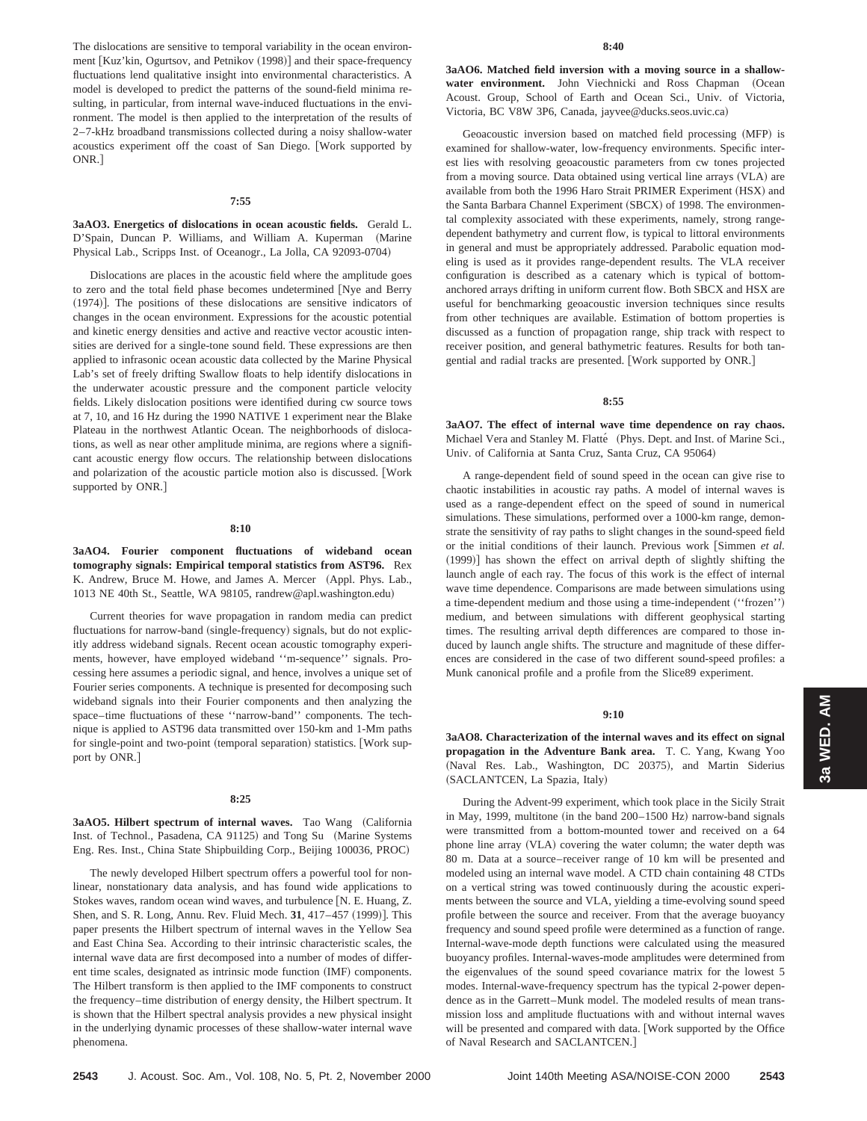The dislocations are sensitive to temporal variability in the ocean environment [Kuz'kin, Ogurtsov, and Petnikov (1998)] and their space-frequency fluctuations lend qualitative insight into environmental characteristics. A model is developed to predict the patterns of the sound-field minima resulting, in particular, from internal wave-induced fluctuations in the environment. The model is then applied to the interpretation of the results of 2–7-kHz broadband transmissions collected during a noisy shallow-water acoustics experiment off the coast of San Diego. [Work supported by ONR.]

#### **7:55**

# **3aAO3. Energetics of dislocations in ocean acoustic fields.** Gerald L. D'Spain, Duncan P. Williams, and William A. Kuperman (Marine Physical Lab., Scripps Inst. of Oceanogr., La Jolla, CA 92093-0704)

Dislocations are places in the acoustic field where the amplitude goes to zero and the total field phase becomes undetermined [Nye and Berry  $(1974)$ ]. The positions of these dislocations are sensitive indicators of changes in the ocean environment. Expressions for the acoustic potential and kinetic energy densities and active and reactive vector acoustic intensities are derived for a single-tone sound field. These expressions are then applied to infrasonic ocean acoustic data collected by the Marine Physical Lab's set of freely drifting Swallow floats to help identify dislocations in the underwater acoustic pressure and the component particle velocity fields. Likely dislocation positions were identified during cw source tows at 7, 10, and 16 Hz during the 1990 NATIVE 1 experiment near the Blake Plateau in the northwest Atlantic Ocean. The neighborhoods of dislocations, as well as near other amplitude minima, are regions where a significant acoustic energy flow occurs. The relationship between dislocations and polarization of the acoustic particle motion also is discussed. [Work supported by ONR.]

#### **8:10**

**3aAO4. Fourier component fluctuations of wideband ocean tomography signals: Empirical temporal statistics from AST96.** Rex K. Andrew, Bruce M. Howe, and James A. Mercer (Appl. Phys. Lab., 1013 NE 40th St., Seattle, WA 98105, randrew@apl.washington.edu)

Current theories for wave propagation in random media can predict fluctuations for narrow-band (single-frequency) signals, but do not explicitly address wideband signals. Recent ocean acoustic tomography experiments, however, have employed wideband ''m-sequence'' signals. Processing here assumes a periodic signal, and hence, involves a unique set of Fourier series components. A technique is presented for decomposing such wideband signals into their Fourier components and then analyzing the space–time fluctuations of these ''narrow-band'' components. The technique is applied to AST96 data transmitted over 150-km and 1-Mm paths for single-point and two-point (temporal separation) statistics. [Work support by ONR.]

# **8:25**

**3aAO5. Hilbert spectrum of internal waves.** Tao Wang (California Inst. of Technol., Pasadena, CA 91125) and Tong Su (Marine Systems Eng. Res. Inst., China State Shipbuilding Corp., Beijing 100036, PROC)

The newly developed Hilbert spectrum offers a powerful tool for nonlinear, nonstationary data analysis, and has found wide applications to Stokes waves, random ocean wind waves, and turbulence [N. E. Huang, Z. Shen, and S. R. Long, Annu. Rev. Fluid Mech. 31, 417–457 (1999)]. This paper presents the Hilbert spectrum of internal waves in the Yellow Sea and East China Sea. According to their intrinsic characteristic scales, the internal wave data are first decomposed into a number of modes of different time scales, designated as intrinsic mode function (IMF) components. The Hilbert transform is then applied to the IMF components to construct the frequency–time distribution of energy density, the Hilbert spectrum. It is shown that the Hilbert spectral analysis provides a new physical insight in the underlying dynamic processes of these shallow-water internal wave phenomena.

**3aAO6. Matched field inversion with a moving source in a shallow**water environment. John Viechnicki and Ross Chapman (Ocean Acoust. Group, School of Earth and Ocean Sci., Univ. of Victoria, Victoria, BC V8W 3P6, Canada, jayvee@ducks.seos.uvic.ca)

Geoacoustic inversion based on matched field processing (MFP) is examined for shallow-water, low-frequency environments. Specific interest lies with resolving geoacoustic parameters from cw tones projected from a moving source. Data obtained using vertical line arrays (VLA) are available from both the 1996 Haro Strait PRIMER Experiment (HSX) and the Santa Barbara Channel Experiment (SBCX) of 1998. The environmental complexity associated with these experiments, namely, strong rangedependent bathymetry and current flow, is typical to littoral environments in general and must be appropriately addressed. Parabolic equation modeling is used as it provides range-dependent results. The VLA receiver configuration is described as a catenary which is typical of bottomanchored arrays drifting in uniform current flow. Both SBCX and HSX are useful for benchmarking geoacoustic inversion techniques since results from other techniques are available. Estimation of bottom properties is discussed as a function of propagation range, ship track with respect to receiver position, and general bathymetric features. Results for both tangential and radial tracks are presented. [Work supported by ONR.]

#### **8:55**

**3aAO7. The effect of internal wave time dependence on ray chaos.** Michael Vera and Stanley M. Flatté (Phys. Dept. and Inst. of Marine Sci., Univ. of California at Santa Cruz, Santa Cruz, CA 95064)

A range-dependent field of sound speed in the ocean can give rise to chaotic instabilities in acoustic ray paths. A model of internal waves is used as a range-dependent effect on the speed of sound in numerical simulations. These simulations, performed over a 1000-km range, demonstrate the sensitivity of ray paths to slight changes in the sound-speed field or the initial conditions of their launch. Previous work [Simmen et al.  $(1999)$ ] has shown the effect on arrival depth of slightly shifting the launch angle of each ray. The focus of this work is the effect of internal wave time dependence. Comparisons are made between simulations using a time-dependent medium and those using a time-independent ("frozen") medium, and between simulations with different geophysical starting times. The resulting arrival depth differences are compared to those induced by launch angle shifts. The structure and magnitude of these differences are considered in the case of two different sound-speed profiles: a Munk canonical profile and a profile from the Slice89 experiment.

#### **9:10**

**3aAO8. Characterization of the internal waves and its effect on signal propagation in the Adventure Bank area.** T. C. Yang, Kwang Yoo (Naval Res. Lab., Washington, DC 20375), and Martin Siderius (SACLANTCEN, La Spazia, Italy)

During the Advent-99 experiment, which took place in the Sicily Strait in May, 1999, multitone (in the band  $200-1500$  Hz) narrow-band signals were transmitted from a bottom-mounted tower and received on a 64 phone line array (VLA) covering the water column; the water depth was 80 m. Data at a source–receiver range of 10 km will be presented and modeled using an internal wave model. A CTD chain containing 48 CTDs on a vertical string was towed continuously during the acoustic experiments between the source and VLA, yielding a time-evolving sound speed profile between the source and receiver. From that the average buoyancy frequency and sound speed profile were determined as a function of range. Internal-wave-mode depth functions were calculated using the measured buoyancy profiles. Internal-waves-mode amplitudes were determined from the eigenvalues of the sound speed covariance matrix for the lowest 5 modes. Internal-wave-frequency spectrum has the typical 2-power dependence as in the Garrett–Munk model. The modeled results of mean transmission loss and amplitude fluctuations with and without internal waves will be presented and compared with data. [Work supported by the Office of Naval Research and SACLANTCEN.#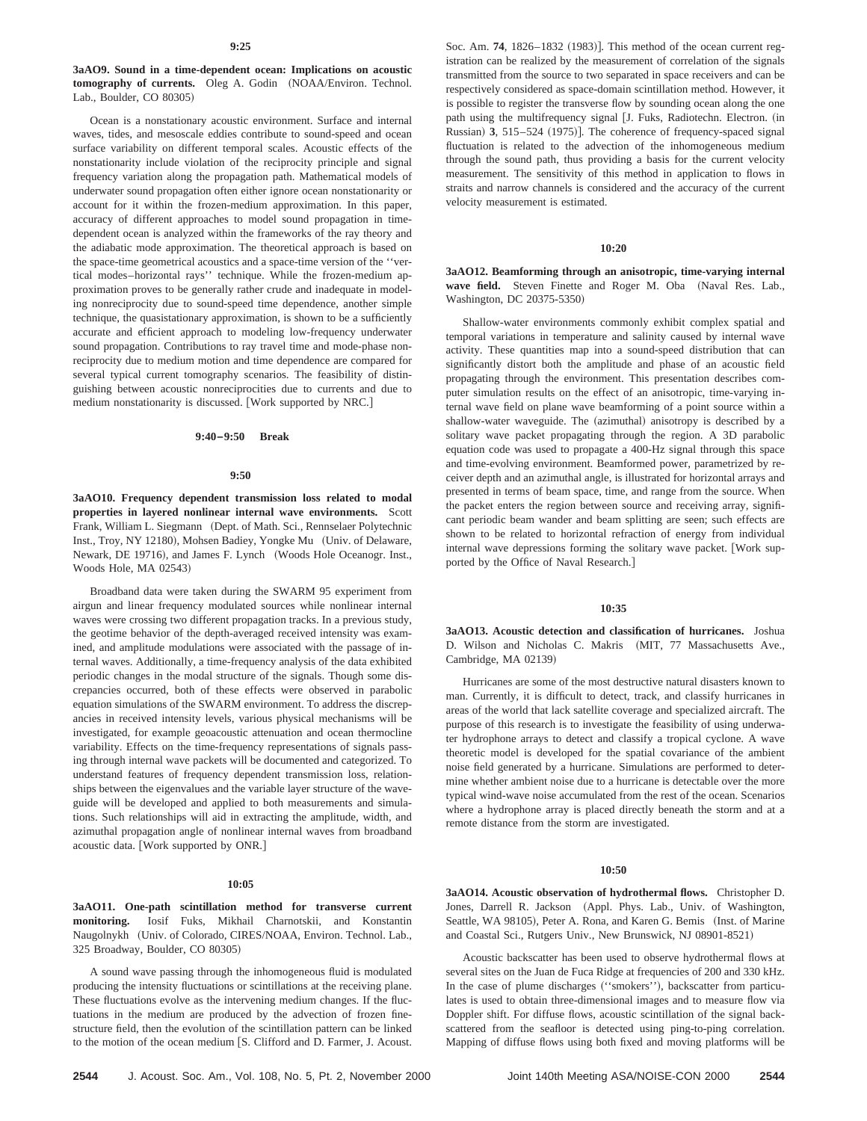**3aAO9. Sound in a time-dependent ocean: Implications on acoustic tomography of currents.** Oleg A. Godin (NOAA/Environ. Technol. Lab., Boulder, CO 80305)

Ocean is a nonstationary acoustic environment. Surface and internal waves, tides, and mesoscale eddies contribute to sound-speed and ocean surface variability on different temporal scales. Acoustic effects of the nonstationarity include violation of the reciprocity principle and signal frequency variation along the propagation path. Mathematical models of underwater sound propagation often either ignore ocean nonstationarity or account for it within the frozen-medium approximation. In this paper, accuracy of different approaches to model sound propagation in timedependent ocean is analyzed within the frameworks of the ray theory and the adiabatic mode approximation. The theoretical approach is based on the space-time geometrical acoustics and a space-time version of the ''vertical modes–horizontal rays'' technique. While the frozen-medium approximation proves to be generally rather crude and inadequate in modeling nonreciprocity due to sound-speed time dependence, another simple technique, the quasistationary approximation, is shown to be a sufficiently accurate and efficient approach to modeling low-frequency underwater sound propagation. Contributions to ray travel time and mode-phase nonreciprocity due to medium motion and time dependence are compared for several typical current tomography scenarios. The feasibility of distinguishing between acoustic nonreciprocities due to currents and due to medium nonstationarity is discussed. [Work supported by NRC.]

## **9:40–9:50 Break**

#### **9:50**

**3aAO10. Frequency dependent transmission loss related to modal properties in layered nonlinear internal wave environments.** Scott Frank, William L. Siegmann (Dept. of Math. Sci., Rennselaer Polytechnic Inst., Troy, NY 12180), Mohsen Badiey, Yongke Mu (Univ. of Delaware, Newark, DE 19716), and James F. Lynch (Woods Hole Oceanogr. Inst., Woods Hole, MA 02543)

Broadband data were taken during the SWARM 95 experiment from airgun and linear frequency modulated sources while nonlinear internal waves were crossing two different propagation tracks. In a previous study, the geotime behavior of the depth-averaged received intensity was examined, and amplitude modulations were associated with the passage of internal waves. Additionally, a time-frequency analysis of the data exhibited periodic changes in the modal structure of the signals. Though some discrepancies occurred, both of these effects were observed in parabolic equation simulations of the SWARM environment. To address the discrepancies in received intensity levels, various physical mechanisms will be investigated, for example geoacoustic attenuation and ocean thermocline variability. Effects on the time-frequency representations of signals passing through internal wave packets will be documented and categorized. To understand features of frequency dependent transmission loss, relationships between the eigenvalues and the variable layer structure of the waveguide will be developed and applied to both measurements and simulations. Such relationships will aid in extracting the amplitude, width, and azimuthal propagation angle of nonlinear internal waves from broadband acoustic data. [Work supported by ONR.]

### **10:05**

**3aAO11. One-path scintillation method for transverse current monitoring.** Iosif Fuks, Mikhail Charnotskii, and Konstantin Naugolnykh (Univ. of Colorado, CIRES/NOAA, Environ. Technol. Lab., 325 Broadway, Boulder, CO 80305!

A sound wave passing through the inhomogeneous fluid is modulated producing the intensity fluctuations or scintillations at the receiving plane. These fluctuations evolve as the intervening medium changes. If the fluctuations in the medium are produced by the advection of frozen finestructure field, then the evolution of the scintillation pattern can be linked to the motion of the ocean medium [S. Clifford and D. Farmer, J. Acoust.

**2544** J. Acoust. Soc. Am., Vol. 108, No. 5, Pt. 2, November 2000 Joint 140th Meeting ASA/NOISE-CON 2000 **2544**

Soc. Am. 74, 1826-1832 (1983)]. This method of the ocean current registration can be realized by the measurement of correlation of the signals transmitted from the source to two separated in space receivers and can be respectively considered as space-domain scintillation method. However, it is possible to register the transverse flow by sounding ocean along the one path using the multifrequency signal [J. Fuks, Radiotechn. Electron. (in Russian) 3, 515–524 (1975)]. The coherence of frequency-spaced signal fluctuation is related to the advection of the inhomogeneous medium through the sound path, thus providing a basis for the current velocity measurement. The sensitivity of this method in application to flows in straits and narrow channels is considered and the accuracy of the current velocity measurement is estimated.

### **10:20**

**3aAO12. Beamforming through an anisotropic, time-varying internal** wave field. Steven Finette and Roger M. Oba (Naval Res. Lab., Washington, DC 20375-5350)

Shallow-water environments commonly exhibit complex spatial and temporal variations in temperature and salinity caused by internal wave activity. These quantities map into a sound-speed distribution that can significantly distort both the amplitude and phase of an acoustic field propagating through the environment. This presentation describes computer simulation results on the effect of an anisotropic, time-varying internal wave field on plane wave beamforming of a point source within a shallow-water waveguide. The (azimuthal) anisotropy is described by a solitary wave packet propagating through the region. A 3D parabolic equation code was used to propagate a 400-Hz signal through this space and time-evolving environment. Beamformed power, parametrized by receiver depth and an azimuthal angle, is illustrated for horizontal arrays and presented in terms of beam space, time, and range from the source. When the packet enters the region between source and receiving array, significant periodic beam wander and beam splitting are seen; such effects are shown to be related to horizontal refraction of energy from individual internal wave depressions forming the solitary wave packet. [Work supported by the Office of Naval Research.]

# **10:35**

**3aAO13. Acoustic detection and classification of hurricanes.** Joshua D. Wilson and Nicholas C. Makris (MIT, 77 Massachusetts Ave., Cambridge, MA 02139)

Hurricanes are some of the most destructive natural disasters known to man. Currently, it is difficult to detect, track, and classify hurricanes in areas of the world that lack satellite coverage and specialized aircraft. The purpose of this research is to investigate the feasibility of using underwater hydrophone arrays to detect and classify a tropical cyclone. A wave theoretic model is developed for the spatial covariance of the ambient noise field generated by a hurricane. Simulations are performed to determine whether ambient noise due to a hurricane is detectable over the more typical wind-wave noise accumulated from the rest of the ocean. Scenarios where a hydrophone array is placed directly beneath the storm and at a remote distance from the storm are investigated.

#### **10:50**

**3aAO14. Acoustic observation of hydrothermal flows.** Christopher D. Jones, Darrell R. Jackson (Appl. Phys. Lab., Univ. of Washington, Seattle, WA 98105), Peter A. Rona, and Karen G. Bemis (Inst. of Marine and Coastal Sci., Rutgers Univ., New Brunswick, NJ 08901-8521)

Acoustic backscatter has been used to observe hydrothermal flows at several sites on the Juan de Fuca Ridge at frequencies of 200 and 330 kHz. In the case of plume discharges ("smokers"), backscatter from particulates is used to obtain three-dimensional images and to measure flow via Doppler shift. For diffuse flows, acoustic scintillation of the signal backscattered from the seafloor is detected using ping-to-ping correlation. Mapping of diffuse flows using both fixed and moving platforms will be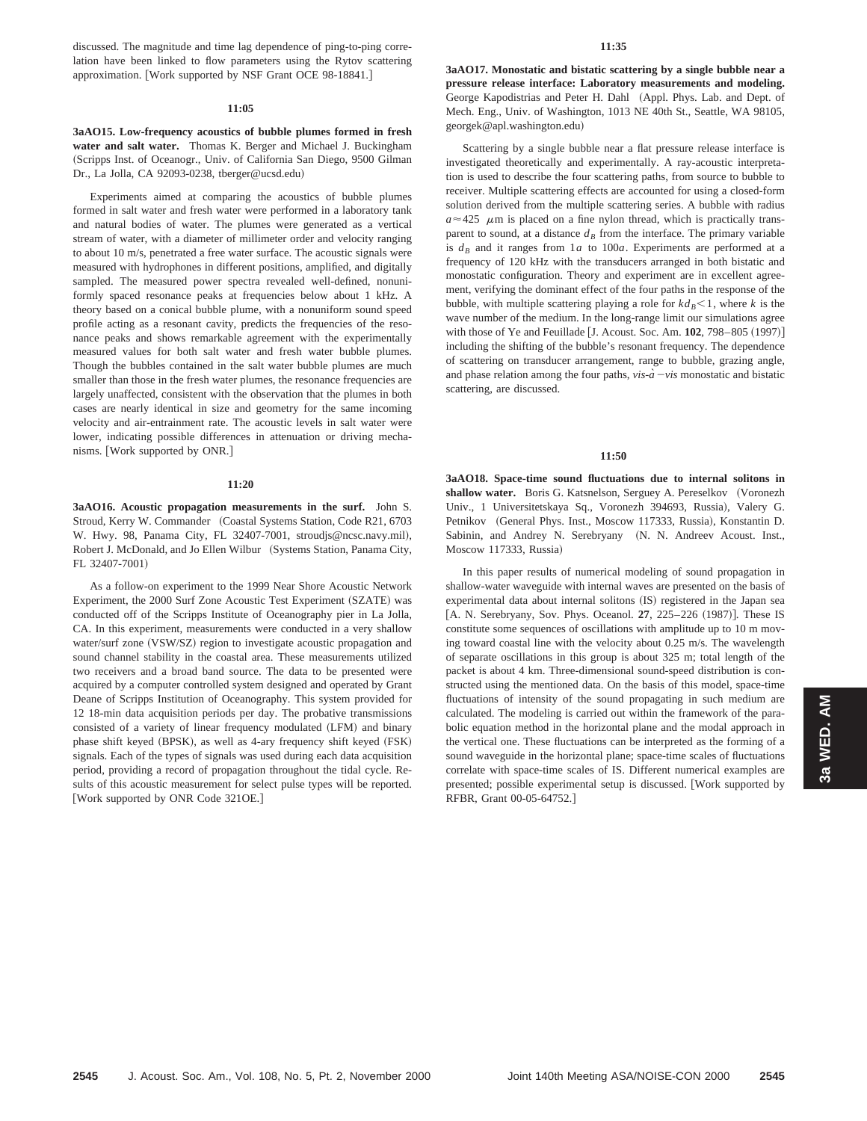discussed. The magnitude and time lag dependence of ping-to-ping correlation have been linked to flow parameters using the Rytov scattering approximation. [Work supported by NSF Grant OCE 98-18841.]

#### **11:05**

**3aAO15. Low-frequency acoustics of bubble plumes formed in fresh water and salt water.** Thomas K. Berger and Michael J. Buckingham (Scripps Inst. of Oceanogr., Univ. of California San Diego, 9500 Gilman Dr., La Jolla, CA 92093-0238, tberger@ucsd.edu)

Experiments aimed at comparing the acoustics of bubble plumes formed in salt water and fresh water were performed in a laboratory tank and natural bodies of water. The plumes were generated as a vertical stream of water, with a diameter of millimeter order and velocity ranging to about 10 m/s, penetrated a free water surface. The acoustic signals were measured with hydrophones in different positions, amplified, and digitally sampled. The measured power spectra revealed well-defined, nonuniformly spaced resonance peaks at frequencies below about 1 kHz. A theory based on a conical bubble plume, with a nonuniform sound speed profile acting as a resonant cavity, predicts the frequencies of the resonance peaks and shows remarkable agreement with the experimentally measured values for both salt water and fresh water bubble plumes. Though the bubbles contained in the salt water bubble plumes are much smaller than those in the fresh water plumes, the resonance frequencies are largely unaffected, consistent with the observation that the plumes in both cases are nearly identical in size and geometry for the same incoming velocity and air-entrainment rate. The acoustic levels in salt water were lower, indicating possible differences in attenuation or driving mechanisms. [Work supported by ONR.]

#### **11:20**

**3aAO16. Acoustic propagation measurements in the surf.** John S. Stroud, Kerry W. Commander (Coastal Systems Station, Code R21, 6703 W. Hwy. 98, Panama City, FL 32407-7001, stroudjs@ncsc.navy.mil), Robert J. McDonald, and Jo Ellen Wilbur (Systems Station, Panama City, FL 32407-7001)

As a follow-on experiment to the 1999 Near Shore Acoustic Network Experiment, the 2000 Surf Zone Acoustic Test Experiment (SZATE) was conducted off of the Scripps Institute of Oceanography pier in La Jolla, CA. In this experiment, measurements were conducted in a very shallow water/surf zone (VSW/SZ) region to investigate acoustic propagation and sound channel stability in the coastal area. These measurements utilized two receivers and a broad band source. The data to be presented were acquired by a computer controlled system designed and operated by Grant Deane of Scripps Institution of Oceanography. This system provided for 12 18-min data acquisition periods per day. The probative transmissions consisted of a variety of linear frequency modulated (LFM) and binary phase shift keyed (BPSK), as well as 4-ary frequency shift keyed (FSK) signals. Each of the types of signals was used during each data acquisition period, providing a record of propagation throughout the tidal cycle. Results of this acoustic measurement for select pulse types will be reported. [Work supported by ONR Code 321OE.]

**3aAO17. Monostatic and bistatic scattering by a single bubble near a pressure release interface: Laboratory measurements and modeling.** George Kapodistrias and Peter H. Dahl (Appl. Phys. Lab. and Dept. of Mech. Eng., Univ. of Washington, 1013 NE 40th St., Seattle, WA 98105, georgek@apl.washington.edu!

Scattering by a single bubble near a flat pressure release interface is investigated theoretically and experimentally. A ray-acoustic interpretation is used to describe the four scattering paths, from source to bubble to receiver. Multiple scattering effects are accounted for using a closed-form solution derived from the multiple scattering series. A bubble with radius  $a \approx 425$   $\mu$ m is placed on a fine nylon thread, which is practically transparent to sound, at a distance  $d_B$  from the interface. The primary variable is  $d_B$  and it ranges from  $1a$  to  $100a$ . Experiments are performed at a frequency of 120 kHz with the transducers arranged in both bistatic and monostatic configuration. Theory and experiment are in excellent agreement, verifying the dominant effect of the four paths in the response of the bubble, with multiple scattering playing a role for  $k d_B < 1$ , where *k* is the wave number of the medium. In the long-range limit our simulations agree with those of Ye and Feuillade [J. Acoust. Soc. Am. 102, 798–805 (1997)] including the shifting of the bubble's resonant frequency. The dependence of scattering on transducer arrangement, range to bubble, grazing angle, and phase relation among the four paths,  $vis - a - vis$  monostatic and bistatic scattering, are discussed.

# **11:50**

**3aAO18. Space-time sound fluctuations due to internal solitons in** shallow water. Boris G. Katsnelson, Serguey A. Pereselkov (Voronezh Univ., 1 Universitetskaya Sq., Voronezh 394693, Russia), Valery G. Petnikov (General Phys. Inst., Moscow 117333, Russia), Konstantin D. Sabinin, and Andrey N. Serebryany (N. N. Andreev Acoust. Inst., Moscow 117333, Russia)

In this paper results of numerical modeling of sound propagation in shallow-water waveguide with internal waves are presented on the basis of experimental data about internal solitons (IS) registered in the Japan sea [A. N. Serebryany, Sov. Phys. Oceanol. **27**, 225–226 (1987)]. These IS constitute some sequences of oscillations with amplitude up to 10 m moving toward coastal line with the velocity about 0.25 m/s. The wavelength of separate oscillations in this group is about 325 m; total length of the packet is about 4 km. Three-dimensional sound-speed distribution is constructed using the mentioned data. On the basis of this model, space-time fluctuations of intensity of the sound propagating in such medium are calculated. The modeling is carried out within the framework of the parabolic equation method in the horizontal plane and the modal approach in the vertical one. These fluctuations can be interpreted as the forming of a sound waveguide in the horizontal plane; space-time scales of fluctuations correlate with space-time scales of IS. Different numerical examples are presented; possible experimental setup is discussed. [Work supported by RFBR, Grant 00-05-64752.]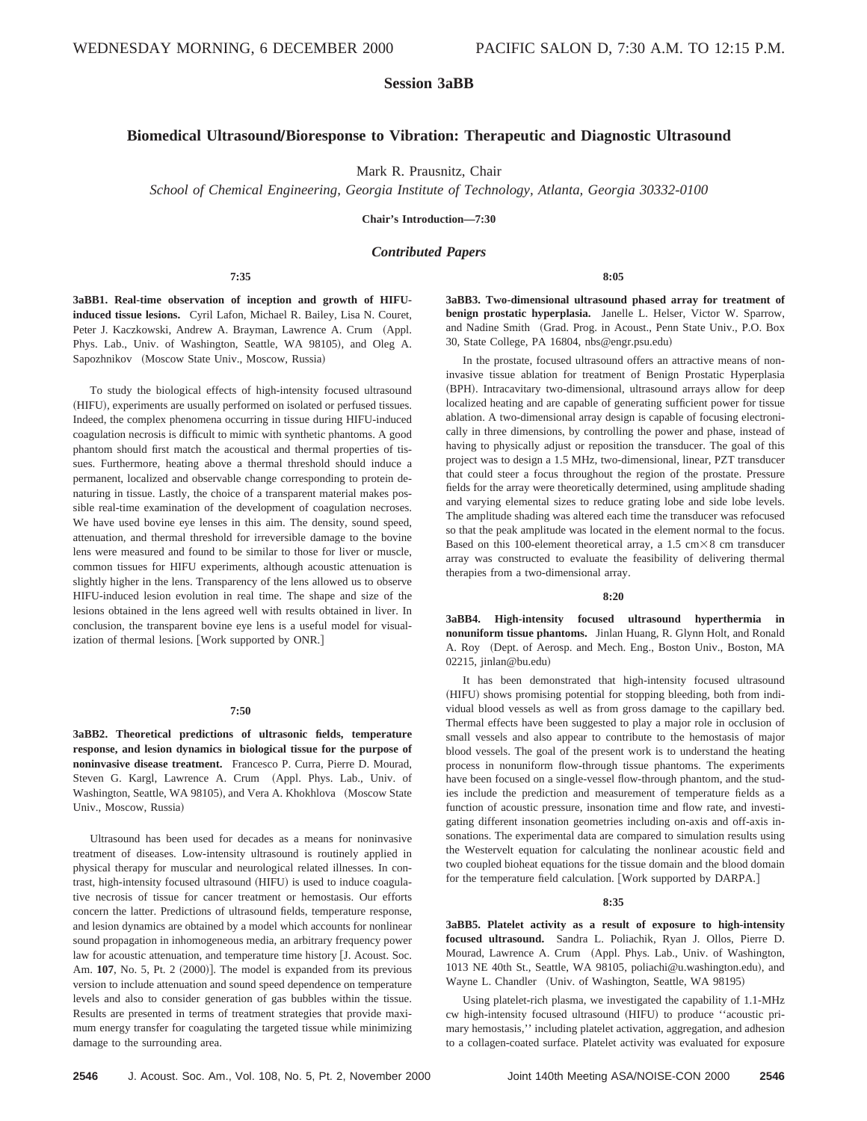# **Session 3aBB**

# **Biomedical UltrasoundÕBioresponse to Vibration: Therapeutic and Diagnostic Ultrasound**

Mark R. Prausnitz, Chair

*School of Chemical Engineering, Georgia Institute of Technology, Atlanta, Georgia 30332-0100*

**Chair's Introduction—7:30**

## *Contributed Papers*

**7:35**

**3aBB1. Real-time observation of inception and growth of HIFUinduced tissue lesions.** Cyril Lafon, Michael R. Bailey, Lisa N. Couret, Peter J. Kaczkowski, Andrew A. Brayman, Lawrence A. Crum (Appl. Phys. Lab., Univ. of Washington, Seattle, WA 98105), and Oleg A. Sapozhnikov (Moscow State Univ., Moscow, Russia)

To study the biological effects of high-intensity focused ultrasound (HIFU), experiments are usually performed on isolated or perfused tissues. Indeed, the complex phenomena occurring in tissue during HIFU-induced coagulation necrosis is difficult to mimic with synthetic phantoms. A good phantom should first match the acoustical and thermal properties of tissues. Furthermore, heating above a thermal threshold should induce a permanent, localized and observable change corresponding to protein denaturing in tissue. Lastly, the choice of a transparent material makes possible real-time examination of the development of coagulation necroses. We have used bovine eye lenses in this aim. The density, sound speed, attenuation, and thermal threshold for irreversible damage to the bovine lens were measured and found to be similar to those for liver or muscle, common tissues for HIFU experiments, although acoustic attenuation is slightly higher in the lens. Transparency of the lens allowed us to observe HIFU-induced lesion evolution in real time. The shape and size of the lesions obtained in the lens agreed well with results obtained in liver. In conclusion, the transparent bovine eye lens is a useful model for visualization of thermal lesions. [Work supported by ONR.]

## **7:50**

**3aBB2. Theoretical predictions of ultrasonic fields, temperature response, and lesion dynamics in biological tissue for the purpose of noninvasive disease treatment.** Francesco P. Curra, Pierre D. Mourad, Steven G. Kargl, Lawrence A. Crum (Appl. Phys. Lab., Univ. of Washington, Seattle, WA 98105), and Vera A. Khokhlova (Moscow State Univ., Moscow, Russia)

Ultrasound has been used for decades as a means for noninvasive treatment of diseases. Low-intensity ultrasound is routinely applied in physical therapy for muscular and neurological related illnesses. In contrast, high-intensity focused ultrasound (HIFU) is used to induce coagulative necrosis of tissue for cancer treatment or hemostasis. Our efforts concern the latter. Predictions of ultrasound fields, temperature response, and lesion dynamics are obtained by a model which accounts for nonlinear sound propagation in inhomogeneous media, an arbitrary frequency power law for acoustic attenuation, and temperature time history [J. Acoust. Soc. Am. **107**, No. 5, Pt. 2 (2000)]. The model is expanded from its previous version to include attenuation and sound speed dependence on temperature levels and also to consider generation of gas bubbles within the tissue. Results are presented in terms of treatment strategies that provide maximum energy transfer for coagulating the targeted tissue while minimizing damage to the surrounding area.

**3aBB3. Two-dimensional ultrasound phased array for treatment of benign prostatic hyperplasia.** Janelle L. Helser, Victor W. Sparrow, and Nadine Smith (Grad. Prog. in Acoust., Penn State Univ., P.O. Box 30, State College, PA 16804, nbs@engr.psu.edu)

**8:05**

In the prostate, focused ultrasound offers an attractive means of noninvasive tissue ablation for treatment of Benign Prostatic Hyperplasia (BPH). Intracavitary two-dimensional, ultrasound arrays allow for deep localized heating and are capable of generating sufficient power for tissue ablation. A two-dimensional array design is capable of focusing electronically in three dimensions, by controlling the power and phase, instead of having to physically adjust or reposition the transducer. The goal of this project was to design a 1.5 MHz, two-dimensional, linear, PZT transducer that could steer a focus throughout the region of the prostate. Pressure fields for the array were theoretically determined, using amplitude shading and varying elemental sizes to reduce grating lobe and side lobe levels. The amplitude shading was altered each time the transducer was refocused so that the peak amplitude was located in the element normal to the focus. Based on this 100-element theoretical array, a 1.5 cm $\times$ 8 cm transducer array was constructed to evaluate the feasibility of delivering thermal therapies from a two-dimensional array.

#### **8:20**

**3aBB4. High-intensity focused ultrasound hyperthermia in nonuniform tissue phantoms.** Jinlan Huang, R. Glynn Holt, and Ronald A. Roy (Dept. of Aerosp. and Mech. Eng., Boston Univ., Boston, MA 02215, jinlan@bu.edu)

It has been demonstrated that high-intensity focused ultrasound (HIFU) shows promising potential for stopping bleeding, both from individual blood vessels as well as from gross damage to the capillary bed. Thermal effects have been suggested to play a major role in occlusion of small vessels and also appear to contribute to the hemostasis of major blood vessels. The goal of the present work is to understand the heating process in nonuniform flow-through tissue phantoms. The experiments have been focused on a single-vessel flow-through phantom, and the studies include the prediction and measurement of temperature fields as a function of acoustic pressure, insonation time and flow rate, and investigating different insonation geometries including on-axis and off-axis insonations. The experimental data are compared to simulation results using the Westervelt equation for calculating the nonlinear acoustic field and two coupled bioheat equations for the tissue domain and the blood domain for the temperature field calculation. [Work supported by DARPA.]

#### **8:35**

**3aBB5. Platelet activity as a result of exposure to high-intensity focused ultrasound.** Sandra L. Poliachik, Ryan J. Ollos, Pierre D. Mourad, Lawrence A. Crum (Appl. Phys. Lab., Univ. of Washington, 1013 NE 40th St., Seattle, WA 98105, poliachi@u.washington.edu), and Wayne L. Chandler (Univ. of Washington, Seattle, WA 98195)

Using platelet-rich plasma, we investigated the capability of 1.1-MHz cw high-intensity focused ultrasound (HIFU) to produce "acoustic primary hemostasis,'' including platelet activation, aggregation, and adhesion to a collagen-coated surface. Platelet activity was evaluated for exposure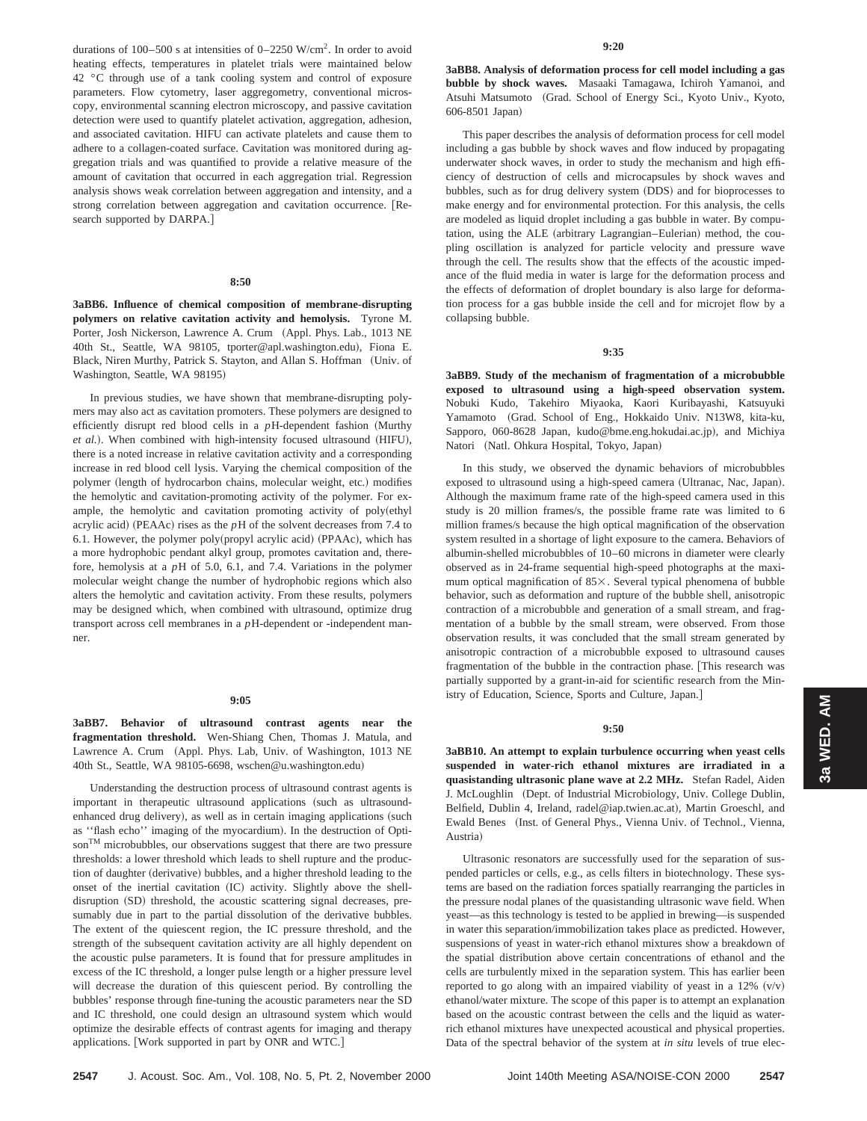durations of 100–500 s at intensities of 0–2250 W/cm2. In order to avoid heating effects, temperatures in platelet trials were maintained below 42 °C through use of a tank cooling system and control of exposure parameters. Flow cytometry, laser aggregometry, conventional microscopy, environmental scanning electron microscopy, and passive cavitation detection were used to quantify platelet activation, aggregation, adhesion, and associated cavitation. HIFU can activate platelets and cause them to adhere to a collagen-coated surface. Cavitation was monitored during aggregation trials and was quantified to provide a relative measure of the amount of cavitation that occurred in each aggregation trial. Regression analysis shows weak correlation between aggregation and intensity, and a strong correlation between aggregation and cavitation occurrence. [Research supported by DARPA.]

#### **8:50**

**3aBB6. Influence of chemical composition of membrane-disrupting polymers on relative cavitation activity and hemolysis.** Tyrone M. Porter, Josh Nickerson, Lawrence A. Crum (Appl. Phys. Lab., 1013 NE 40th St., Seattle, WA 98105, tporter@apl.washington.edu), Fiona E. Black, Niren Murthy, Patrick S. Stayton, and Allan S. Hoffman (Univ. of Washington, Seattle, WA 98195)

In previous studies, we have shown that membrane-disrupting polymers may also act as cavitation promoters. These polymers are designed to efficiently disrupt red blood cells in a  $p$ H-dependent fashion (Murthy *et al.*). When combined with high-intensity focused ultrasound (HIFU), there is a noted increase in relative cavitation activity and a corresponding increase in red blood cell lysis. Varying the chemical composition of the polymer (length of hydrocarbon chains, molecular weight, etc.) modifies the hemolytic and cavitation-promoting activity of the polymer. For example, the hemolytic and cavitation promoting activity of poly(ethyl acrylic acid) (PEAAc) rises as the  $pH$  of the solvent decreases from 7.4 to 6.1. However, the polymer poly(propyl acrylic acid) (PPAAc), which has a more hydrophobic pendant alkyl group, promotes cavitation and, therefore, hemolysis at a *p*H of 5.0, 6.1, and 7.4. Variations in the polymer molecular weight change the number of hydrophobic regions which also alters the hemolytic and cavitation activity. From these results, polymers may be designed which, when combined with ultrasound, optimize drug transport across cell membranes in a *p*H-dependent or -independent manner.

## **9:05**

**3aBB7. Behavior of ultrasound contrast agents near the fragmentation threshold.** Wen-Shiang Chen, Thomas J. Matula, and Lawrence A. Crum (Appl. Phys. Lab, Univ. of Washington, 1013 NE 40th St., Seattle, WA 98105-6698, wschen@u.washington.edu)

Understanding the destruction process of ultrasound contrast agents is important in therapeutic ultrasound applications (such as ultrasoundenhanced drug delivery), as well as in certain imaging applications (such as "flash echo" imaging of the myocardium). In the destruction of OptisonTM microbubbles, our observations suggest that there are two pressure thresholds: a lower threshold which leads to shell rupture and the production of daughter (derivative) bubbles, and a higher threshold leading to the onset of the inertial cavitation (IC) activity. Slightly above the shelldisruption (SD) threshold, the acoustic scattering signal decreases, presumably due in part to the partial dissolution of the derivative bubbles. The extent of the quiescent region, the IC pressure threshold, and the strength of the subsequent cavitation activity are all highly dependent on the acoustic pulse parameters. It is found that for pressure amplitudes in excess of the IC threshold, a longer pulse length or a higher pressure level will decrease the duration of this quiescent period. By controlling the bubbles' response through fine-tuning the acoustic parameters near the SD and IC threshold, one could design an ultrasound system which would optimize the desirable effects of contrast agents for imaging and therapy applications. [Work supported in part by ONR and WTC.]

**3aBB8. Analysis of deformation process for cell model including a gas bubble by shock waves.** Masaaki Tamagawa, Ichiroh Yamanoi, and Atsuhi Matsumoto (Grad. School of Energy Sci., Kyoto Univ., Kyoto, 606-8501 Japan!

This paper describes the analysis of deformation process for cell model including a gas bubble by shock waves and flow induced by propagating underwater shock waves, in order to study the mechanism and high efficiency of destruction of cells and microcapsules by shock waves and bubbles, such as for drug delivery system (DDS) and for bioprocesses to make energy and for environmental protection. For this analysis, the cells are modeled as liquid droplet including a gas bubble in water. By computation, using the ALE (arbitrary Lagrangian–Eulerian) method, the coupling oscillation is analyzed for particle velocity and pressure wave through the cell. The results show that the effects of the acoustic impedance of the fluid media in water is large for the deformation process and the effects of deformation of droplet boundary is also large for deformation process for a gas bubble inside the cell and for microjet flow by a collapsing bubble.

**9:35**

**3aBB9. Study of the mechanism of fragmentation of a microbubble exposed to ultrasound using a high-speed observation system.** Nobuki Kudo, Takehiro Miyaoka, Kaori Kuribayashi, Katsuyuki Yamamoto (Grad. School of Eng., Hokkaido Univ. N13W8, kita-ku, Sapporo, 060-8628 Japan, kudo@bme.eng.hokudai.ac.jp), and Michiya Natori (Natl. Ohkura Hospital, Tokyo, Japan)

In this study, we observed the dynamic behaviors of microbubbles exposed to ultrasound using a high-speed camera (Ultranac, Nac, Japan). Although the maximum frame rate of the high-speed camera used in this study is 20 million frames/s, the possible frame rate was limited to 6 million frames/s because the high optical magnification of the observation system resulted in a shortage of light exposure to the camera. Behaviors of albumin-shelled microbubbles of 10–60 microns in diameter were clearly observed as in 24-frame sequential high-speed photographs at the maximum optical magnification of  $85\times$ . Several typical phenomena of bubble behavior, such as deformation and rupture of the bubble shell, anisotropic contraction of a microbubble and generation of a small stream, and fragmentation of a bubble by the small stream, were observed. From those observation results, it was concluded that the small stream generated by anisotropic contraction of a microbubble exposed to ultrasound causes fragmentation of the bubble in the contraction phase. [This research was partially supported by a grant-in-aid for scientific research from the Ministry of Education, Science, Sports and Culture, Japan.]

## **9:50**

**3aBB10. An attempt to explain turbulence occurring when yeast cells suspended in water-rich ethanol mixtures are irradiated in a quasistanding ultrasonic plane wave at 2.2 MHz.** Stefan Radel, Aiden J. McLoughlin (Dept. of Industrial Microbiology, Univ. College Dublin, Belfield, Dublin 4, Ireland, radel@iap.twien.ac.at), Martin Groeschl, and Ewald Benes (Inst. of General Phys., Vienna Univ. of Technol., Vienna, Austria)

Ultrasonic resonators are successfully used for the separation of suspended particles or cells, e.g., as cells filters in biotechnology. These systems are based on the radiation forces spatially rearranging the particles in the pressure nodal planes of the quasistanding ultrasonic wave field. When yeast—as this technology is tested to be applied in brewing—is suspended in water this separation/immobilization takes place as predicted. However, suspensions of yeast in water-rich ethanol mixtures show a breakdown of the spatial distribution above certain concentrations of ethanol and the cells are turbulently mixed in the separation system. This has earlier been reported to go along with an impaired viability of yeast in a 12%  $(v/v)$ ethanol/water mixture. The scope of this paper is to attempt an explanation based on the acoustic contrast between the cells and the liquid as waterrich ethanol mixtures have unexpected acoustical and physical properties. Data of the spectral behavior of the system at *in situ* levels of true elec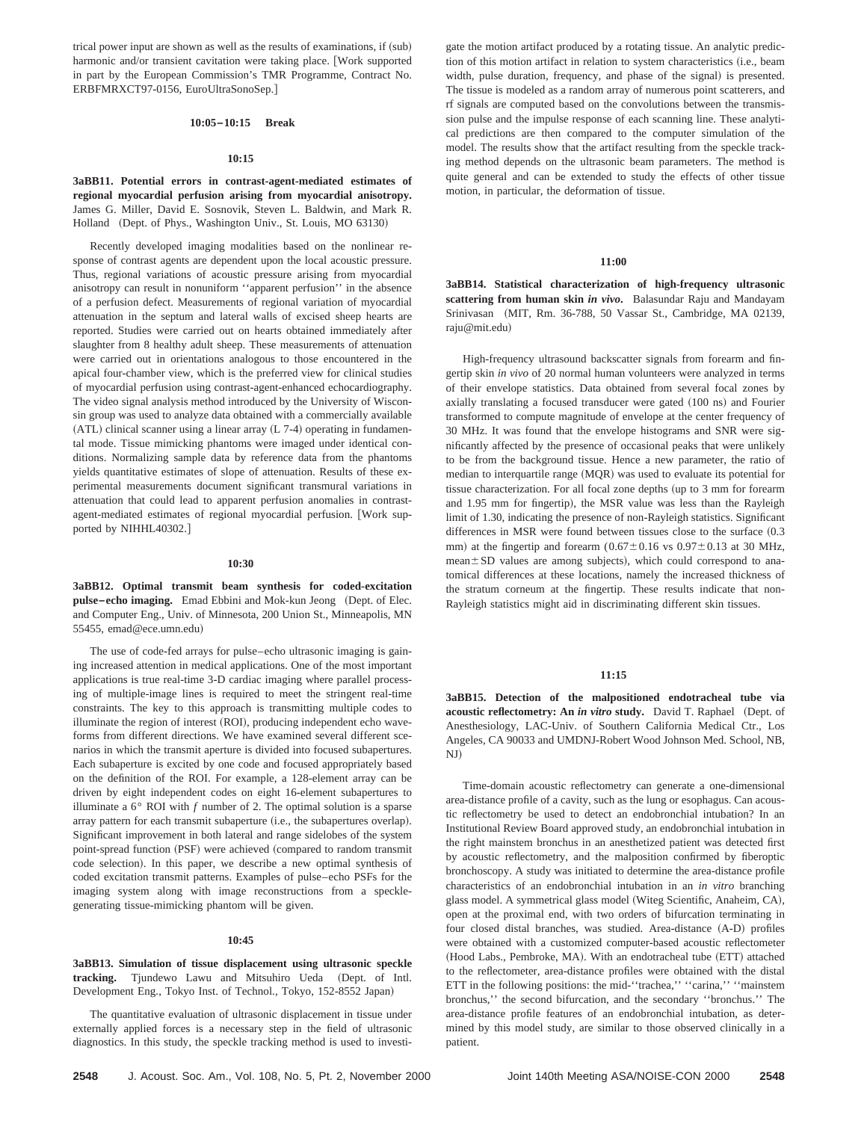trical power input are shown as well as the results of examinations, if (sub) harmonic and/or transient cavitation were taking place. [Work supported in part by the European Commission's TMR Programme, Contract No. ERBFMRXCT97-0156, EuroUltraSonoSep.#

## **10:05–10:15 Break**

#### **10:15**

**3aBB11. Potential errors in contrast-agent-mediated estimates of regional myocardial perfusion arising from myocardial anisotropy.** James G. Miller, David E. Sosnovik, Steven L. Baldwin, and Mark R. Holland (Dept. of Phys., Washington Univ., St. Louis, MO 63130)

Recently developed imaging modalities based on the nonlinear response of contrast agents are dependent upon the local acoustic pressure. Thus, regional variations of acoustic pressure arising from myocardial anisotropy can result in nonuniform ''apparent perfusion'' in the absence of a perfusion defect. Measurements of regional variation of myocardial attenuation in the septum and lateral walls of excised sheep hearts are reported. Studies were carried out on hearts obtained immediately after slaughter from 8 healthy adult sheep. These measurements of attenuation were carried out in orientations analogous to those encountered in the apical four-chamber view, which is the preferred view for clinical studies of myocardial perfusion using contrast-agent-enhanced echocardiography. The video signal analysis method introduced by the University of Wisconsin group was used to analyze data obtained with a commercially available  $(ATL)$  clinical scanner using a linear array  $(L 7-4)$  operating in fundamental mode. Tissue mimicking phantoms were imaged under identical conditions. Normalizing sample data by reference data from the phantoms yields quantitative estimates of slope of attenuation. Results of these experimental measurements document significant transmural variations in attenuation that could lead to apparent perfusion anomalies in contrastagent-mediated estimates of regional myocardial perfusion. [Work supported by NIHHL40302.]

#### **10:30**

**3aBB12. Optimal transmit beam synthesis for coded-excitation pulse-echo imaging.** Emad Ebbini and Mok-kun Jeong (Dept. of Elec. and Computer Eng., Univ. of Minnesota, 200 Union St., Minneapolis, MN 55455, emad@ece.umn.edu!

The use of code-fed arrays for pulse–echo ultrasonic imaging is gaining increased attention in medical applications. One of the most important applications is true real-time 3-D cardiac imaging where parallel processing of multiple-image lines is required to meet the stringent real-time constraints. The key to this approach is transmitting multiple codes to illuminate the region of interest (ROI), producing independent echo waveforms from different directions. We have examined several different scenarios in which the transmit aperture is divided into focused subapertures. Each subaperture is excited by one code and focused appropriately based on the definition of the ROI. For example, a 128-element array can be driven by eight independent codes on eight 16-element subapertures to illuminate a  $6^{\circ}$  ROI with  $f$  number of 2. The optimal solution is a sparse array pattern for each transmit subaperture (i.e., the subapertures overlap). Significant improvement in both lateral and range sidelobes of the system point-spread function (PSF) were achieved (compared to random transmit code selection). In this paper, we describe a new optimal synthesis of coded excitation transmit patterns. Examples of pulse–echo PSFs for the imaging system along with image reconstructions from a specklegenerating tissue-mimicking phantom will be given.

#### **10:45**

**3aBB13. Simulation of tissue displacement using ultrasonic speckle** tracking. Tjundewo Lawu and Mitsuhiro Ueda (Dept. of Intl. Development Eng., Tokyo Inst. of Technol., Tokyo, 152-8552 Japan)

The quantitative evaluation of ultrasonic displacement in tissue under externally applied forces is a necessary step in the field of ultrasonic diagnostics. In this study, the speckle tracking method is used to investigate the motion artifact produced by a rotating tissue. An analytic prediction of this motion artifact in relation to system characteristics (i.e., beam width, pulse duration, frequency, and phase of the signal) is presented. The tissue is modeled as a random array of numerous point scatterers, and rf signals are computed based on the convolutions between the transmission pulse and the impulse response of each scanning line. These analytical predictions are then compared to the computer simulation of the model. The results show that the artifact resulting from the speckle tracking method depends on the ultrasonic beam parameters. The method is quite general and can be extended to study the effects of other tissue motion, in particular, the deformation of tissue.

#### **11:00**

**3aBB14. Statistical characterization of high-frequency ultrasonic scattering from human skin** *in vivo***.** Balasundar Raju and Mandayam Srinivasan (MIT, Rm. 36-788, 50 Vassar St., Cambridge, MA 02139, raju@mit.edu!

High-frequency ultrasound backscatter signals from forearm and fingertip skin *in vivo* of 20 normal human volunteers were analyzed in terms of their envelope statistics. Data obtained from several focal zones by axially translating a focused transducer were gated (100 ns) and Fourier transformed to compute magnitude of envelope at the center frequency of 30 MHz. It was found that the envelope histograms and SNR were significantly affected by the presence of occasional peaks that were unlikely to be from the background tissue. Hence a new parameter, the ratio of median to interquartile range  $(MQR)$  was used to evaluate its potential for tissue characterization. For all focal zone depths (up to 3 mm for forearm and 1.95 mm for fingertip), the MSR value was less than the Rayleigh limit of 1.30, indicating the presence of non-Rayleigh statistics. Significant differences in MSR were found between tissues close to the surface  $(0.3)$ mm) at the fingertip and forearm  $(0.67\pm0.16 \text{ vs } 0.97\pm0.13 \text{ at } 30 \text{ MHz},$ mean ± SD values are among subjects), which could correspond to anatomical differences at these locations, namely the increased thickness of the stratum corneum at the fingertip. These results indicate that non-Rayleigh statistics might aid in discriminating different skin tissues.

## **11:15**

**3aBB15. Detection of the malpositioned endotracheal tube via acoustic reflectometry: An in vitro study.** David T. Raphael (Dept. of Anesthesiology, LAC-Univ. of Southern California Medical Ctr., Los Angeles, CA 90033 and UMDNJ-Robert Wood Johnson Med. School, NB, NJ)

Time-domain acoustic reflectometry can generate a one-dimensional area-distance profile of a cavity, such as the lung or esophagus. Can acoustic reflectometry be used to detect an endobronchial intubation? In an Institutional Review Board approved study, an endobronchial intubation in the right mainstem bronchus in an anesthetized patient was detected first by acoustic reflectometry, and the malposition confirmed by fiberoptic bronchoscopy. A study was initiated to determine the area-distance profile characteristics of an endobronchial intubation in an *in vitro* branching glass model. A symmetrical glass model (Witeg Scientific, Anaheim, CA), open at the proximal end, with two orders of bifurcation terminating in four closed distal branches, was studied. Area-distance (A-D) profiles were obtained with a customized computer-based acoustic reflectometer (Hood Labs., Pembroke, MA). With an endotracheal tube (ETT) attached to the reflectometer, area-distance profiles were obtained with the distal ETT in the following positions: the mid-''trachea,'' ''carina,'' ''mainstem bronchus,'' the second bifurcation, and the secondary ''bronchus.'' The area-distance profile features of an endobronchial intubation, as determined by this model study, are similar to those observed clinically in a patient.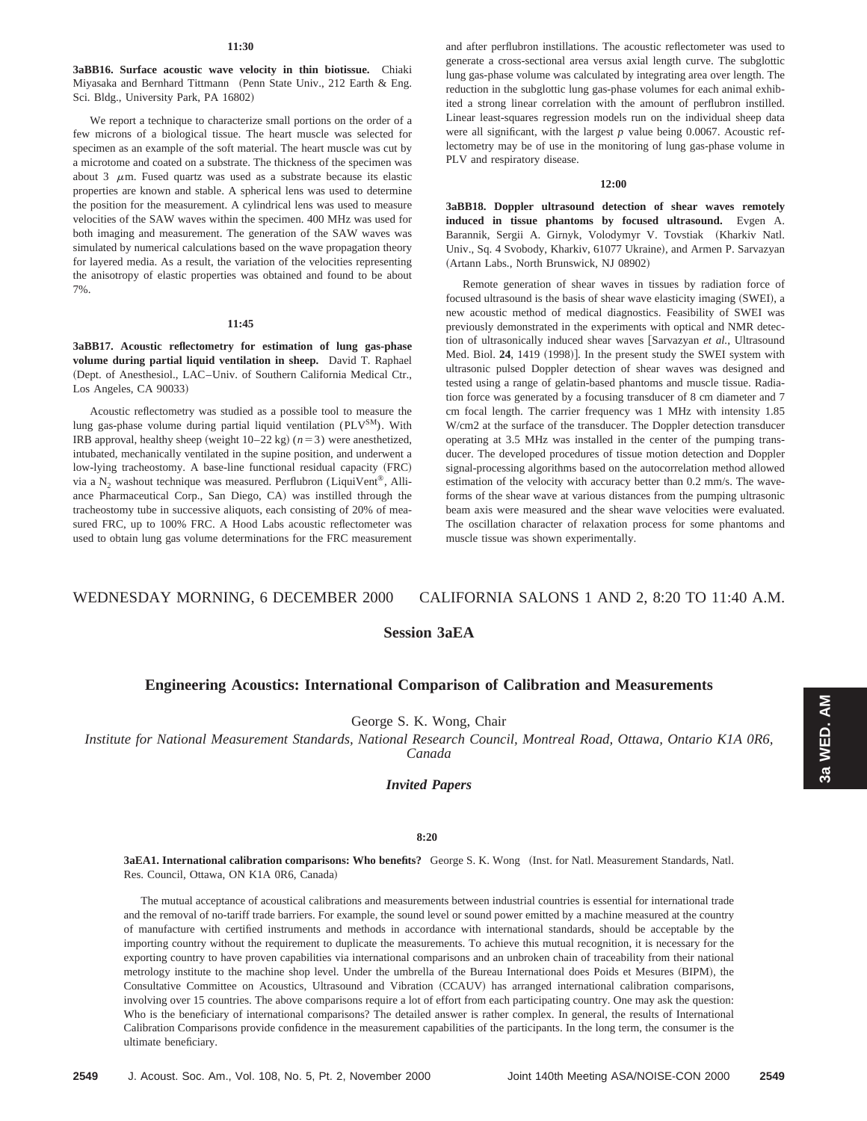#### **11:30**

**3aBB16. Surface acoustic wave velocity in thin biotissue.** Chiaki Miyasaka and Bernhard Tittmann (Penn State Univ., 212 Earth & Eng. Sci. Bldg., University Park, PA 16802)

We report a technique to characterize small portions on the order of a few microns of a biological tissue. The heart muscle was selected for specimen as an example of the soft material. The heart muscle was cut by a microtome and coated on a substrate. The thickness of the specimen was about  $3 \mu$ m. Fused quartz was used as a substrate because its elastic properties are known and stable. A spherical lens was used to determine the position for the measurement. A cylindrical lens was used to measure velocities of the SAW waves within the specimen. 400 MHz was used for both imaging and measurement. The generation of the SAW waves was simulated by numerical calculations based on the wave propagation theory for layered media. As a result, the variation of the velocities representing the anisotropy of elastic properties was obtained and found to be about 7%.

#### **11:45**

**3aBB17. Acoustic reflectometry for estimation of lung gas-phase volume during partial liquid ventilation in sheep.** David T. Raphael (Dept. of Anesthesiol., LAC–Univ. of Southern California Medical Ctr., Los Angeles, CA 90033)

Acoustic reflectometry was studied as a possible tool to measure the lung gas-phase volume during partial liquid ventilation (PLV<sup>SM</sup>). With IRB approval, healthy sheep (weight  $10-22$  kg) ( $n=3$ ) were anesthetized, intubated, mechanically ventilated in the supine position, and underwent a low-lying tracheostomy. A base-line functional residual capacity (FRC) via a  $N_2$  washout technique was measured. Perflubron (LiquiVent®, Alliance Pharmaceutical Corp., San Diego, CA) was instilled through the tracheostomy tube in successive aliquots, each consisting of 20% of measured FRC, up to 100% FRC. A Hood Labs acoustic reflectometer was used to obtain lung gas volume determinations for the FRC measurement

and after perflubron instillations. The acoustic reflectometer was used to generate a cross-sectional area versus axial length curve. The subglottic lung gas-phase volume was calculated by integrating area over length. The reduction in the subglottic lung gas-phase volumes for each animal exhibited a strong linear correlation with the amount of perflubron instilled. Linear least-squares regression models run on the individual sheep data were all significant, with the largest *p* value being 0.0067. Acoustic reflectometry may be of use in the monitoring of lung gas-phase volume in PLV and respiratory disease.

### **12:00**

**3aBB18. Doppler ultrasound detection of shear waves remotely induced in tissue phantoms by focused ultrasound.** Evgen A. Barannik, Sergii A. Girnyk, Volodymyr V. Tovstiak (Kharkiv Natl. Univ., Sq. 4 Svobody, Kharkiv, 61077 Ukraine), and Armen P. Sarvazyan (Artann Labs., North Brunswick, NJ 08902)

Remote generation of shear waves in tissues by radiation force of focused ultrasound is the basis of shear wave elasticity imaging (SWEI), a new acoustic method of medical diagnostics. Feasibility of SWEI was previously demonstrated in the experiments with optical and NMR detection of ultrasonically induced shear waves [Sarvazyan et al., Ultrasound Med. Biol. 24, 1419 (1998)]. In the present study the SWEI system with ultrasonic pulsed Doppler detection of shear waves was designed and tested using a range of gelatin-based phantoms and muscle tissue. Radiation force was generated by a focusing transducer of 8 cm diameter and 7 cm focal length. The carrier frequency was 1 MHz with intensity 1.85 W/cm2 at the surface of the transducer. The Doppler detection transducer operating at 3.5 MHz was installed in the center of the pumping transducer. The developed procedures of tissue motion detection and Doppler signal-processing algorithms based on the autocorrelation method allowed estimation of the velocity with accuracy better than 0.2 mm/s. The waveforms of the shear wave at various distances from the pumping ultrasonic beam axis were measured and the shear wave velocities were evaluated. The oscillation character of relaxation process for some phantoms and muscle tissue was shown experimentally.

# WEDNESDAY MORNING, 6 DECEMBER 2000 CALIFORNIA SALONS 1 AND 2, 8:20 TO 11:40 A.M.

# **Session 3aEA**

# **Engineering Acoustics: International Comparison of Calibration and Measurements**

George S. K. Wong, Chair

*Institute for National Measurement Standards, National Research Council, Montreal Road, Ottawa, Ontario K1A 0R6, Canada*

# *Invited Papers*

## **8:20**

**3aEA1. International calibration comparisons: Who benefits?** George S. K. Wong ~Inst. for Natl. Measurement Standards, Natl. Res. Council, Ottawa, ON K1A 0R6, Canada)

The mutual acceptance of acoustical calibrations and measurements between industrial countries is essential for international trade and the removal of no-tariff trade barriers. For example, the sound level or sound power emitted by a machine measured at the country of manufacture with certified instruments and methods in accordance with international standards, should be acceptable by the importing country without the requirement to duplicate the measurements. To achieve this mutual recognition, it is necessary for the exporting country to have proven capabilities via international comparisons and an unbroken chain of traceability from their national metrology institute to the machine shop level. Under the umbrella of the Bureau International does Poids et Mesures (BIPM), the Consultative Committee on Acoustics, Ultrasound and Vibration (CCAUV) has arranged international calibration comparisons, involving over 15 countries. The above comparisons require a lot of effort from each participating country. One may ask the question: Who is the beneficiary of international comparisons? The detailed answer is rather complex. In general, the results of International Calibration Comparisons provide confidence in the measurement capabilities of the participants. In the long term, the consumer is the ultimate beneficiary.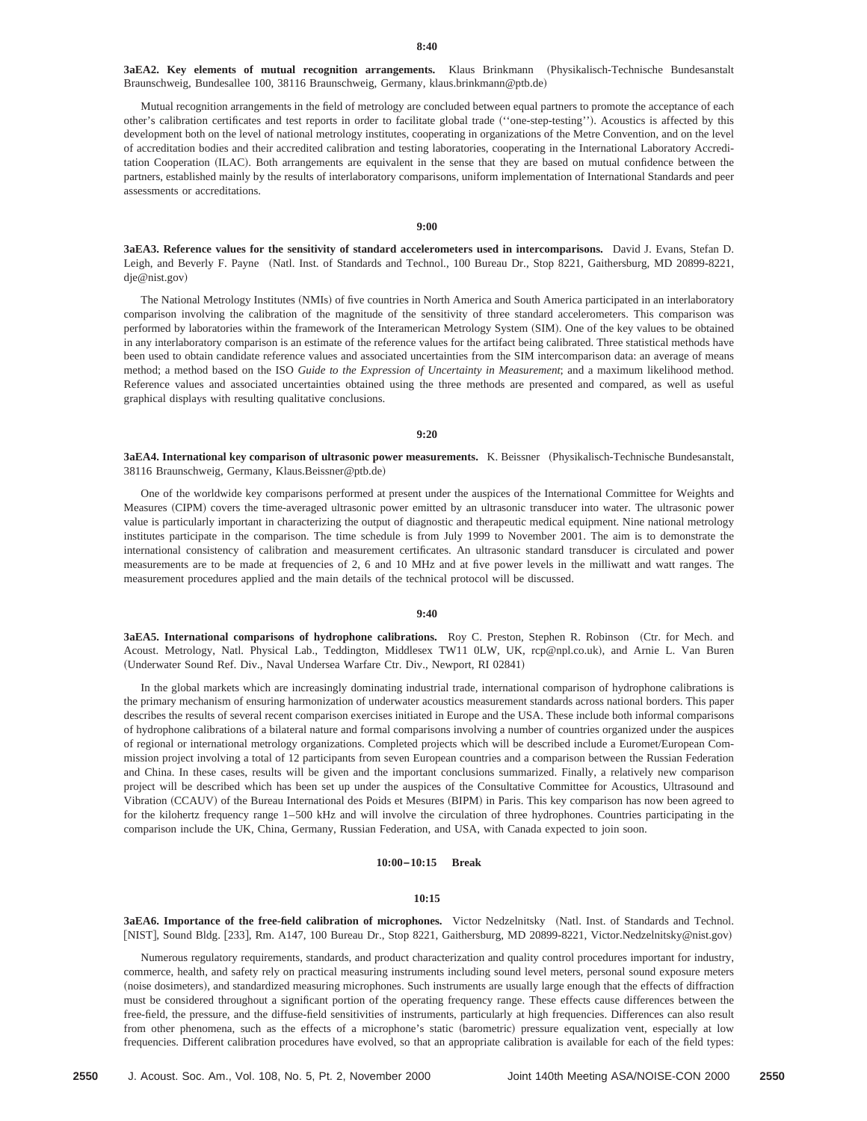3aEA2. Key elements of mutual recognition arrangements. Klaus Brinkmann (Physikalisch-Technische Bundesanstalt Braunschweig, Bundesallee 100, 38116 Braunschweig, Germany, klaus.brinkmann@ptb.de)

Mutual recognition arrangements in the field of metrology are concluded between equal partners to promote the acceptance of each other's calibration certificates and test reports in order to facilitate global trade ("one-step-testing"). Acoustics is affected by this development both on the level of national metrology institutes, cooperating in organizations of the Metre Convention, and on the level of accreditation bodies and their accredited calibration and testing laboratories, cooperating in the International Laboratory Accreditation Cooperation (ILAC). Both arrangements are equivalent in the sense that they are based on mutual confidence between the partners, established mainly by the results of interlaboratory comparisons, uniform implementation of International Standards and peer assessments or accreditations.

#### **9:00**

**3aEA3. Reference values for the sensitivity of standard accelerometers used in intercomparisons.** David J. Evans, Stefan D. Leigh, and Beverly F. Payne (Natl. Inst. of Standards and Technol., 100 Bureau Dr., Stop 8221, Gaithersburg, MD 20899-8221, dje@nist.gov)

The National Metrology Institutes (NMIs) of five countries in North America and South America participated in an interlaboratory comparison involving the calibration of the magnitude of the sensitivity of three standard accelerometers. This comparison was performed by laboratories within the framework of the Interamerican Metrology System (SIM). One of the key values to be obtained in any interlaboratory comparison is an estimate of the reference values for the artifact being calibrated. Three statistical methods have been used to obtain candidate reference values and associated uncertainties from the SIM intercomparison data: an average of means method; a method based on the ISO *Guide to the Expression of Uncertainty in Measurement*; and a maximum likelihood method. Reference values and associated uncertainties obtained using the three methods are presented and compared, as well as useful graphical displays with resulting qualitative conclusions.

## **9:20**

3aEA4. International key comparison of ultrasonic power measurements. K. Beissner (Physikalisch-Technische Bundesanstalt, 38116 Braunschweig, Germany, Klaus.Beissner@ptb.de!

One of the worldwide key comparisons performed at present under the auspices of the International Committee for Weights and Measures (CIPM) covers the time-averaged ultrasonic power emitted by an ultrasonic transducer into water. The ultrasonic power value is particularly important in characterizing the output of diagnostic and therapeutic medical equipment. Nine national metrology institutes participate in the comparison. The time schedule is from July 1999 to November 2001. The aim is to demonstrate the international consistency of calibration and measurement certificates. An ultrasonic standard transducer is circulated and power measurements are to be made at frequencies of 2, 6 and 10 MHz and at five power levels in the milliwatt and watt ranges. The measurement procedures applied and the main details of the technical protocol will be discussed.

# **9:40**

3aEA5. International comparisons of hydrophone calibrations. Roy C. Preston, Stephen R. Robinson (Ctr. for Mech. and Acoust. Metrology, Natl. Physical Lab., Teddington, Middlesex TW11 0LW, UK, rcp@npl.co.uk), and Arnie L. Van Buren (Underwater Sound Ref. Div., Naval Undersea Warfare Ctr. Div., Newport, RI 02841)

In the global markets which are increasingly dominating industrial trade, international comparison of hydrophone calibrations is the primary mechanism of ensuring harmonization of underwater acoustics measurement standards across national borders. This paper describes the results of several recent comparison exercises initiated in Europe and the USA. These include both informal comparisons of hydrophone calibrations of a bilateral nature and formal comparisons involving a number of countries organized under the auspices of regional or international metrology organizations. Completed projects which will be described include a Euromet/European Commission project involving a total of 12 participants from seven European countries and a comparison between the Russian Federation and China. In these cases, results will be given and the important conclusions summarized. Finally, a relatively new comparison project will be described which has been set up under the auspices of the Consultative Committee for Acoustics, Ultrasound and Vibration (CCAUV) of the Bureau International des Poids et Mesures (BIPM) in Paris. This key comparison has now been agreed to for the kilohertz frequency range 1–500 kHz and will involve the circulation of three hydrophones. Countries participating in the comparison include the UK, China, Germany, Russian Federation, and USA, with Canada expected to join soon.

#### **10:00–10:15 Break**

#### **10:15**

3aEA6. Importance of the free-field calibration of microphones. Victor Nedzelnitsky (Natl. Inst. of Standards and Technol. [NIST], Sound Bldg. [233], Rm. A147, 100 Bureau Dr., Stop 8221, Gaithersburg, MD 20899-8221, Victor.Nedzelnitsky@nist.gov)

Numerous regulatory requirements, standards, and product characterization and quality control procedures important for industry, commerce, health, and safety rely on practical measuring instruments including sound level meters, personal sound exposure meters (noise dosimeters), and standardized measuring microphones. Such instruments are usually large enough that the effects of diffraction must be considered throughout a significant portion of the operating frequency range. These effects cause differences between the free-field, the pressure, and the diffuse-field sensitivities of instruments, particularly at high frequencies. Differences can also result from other phenomena, such as the effects of a microphone's static (barometric) pressure equalization vent, especially at low frequencies. Different calibration procedures have evolved, so that an appropriate calibration is available for each of the field types: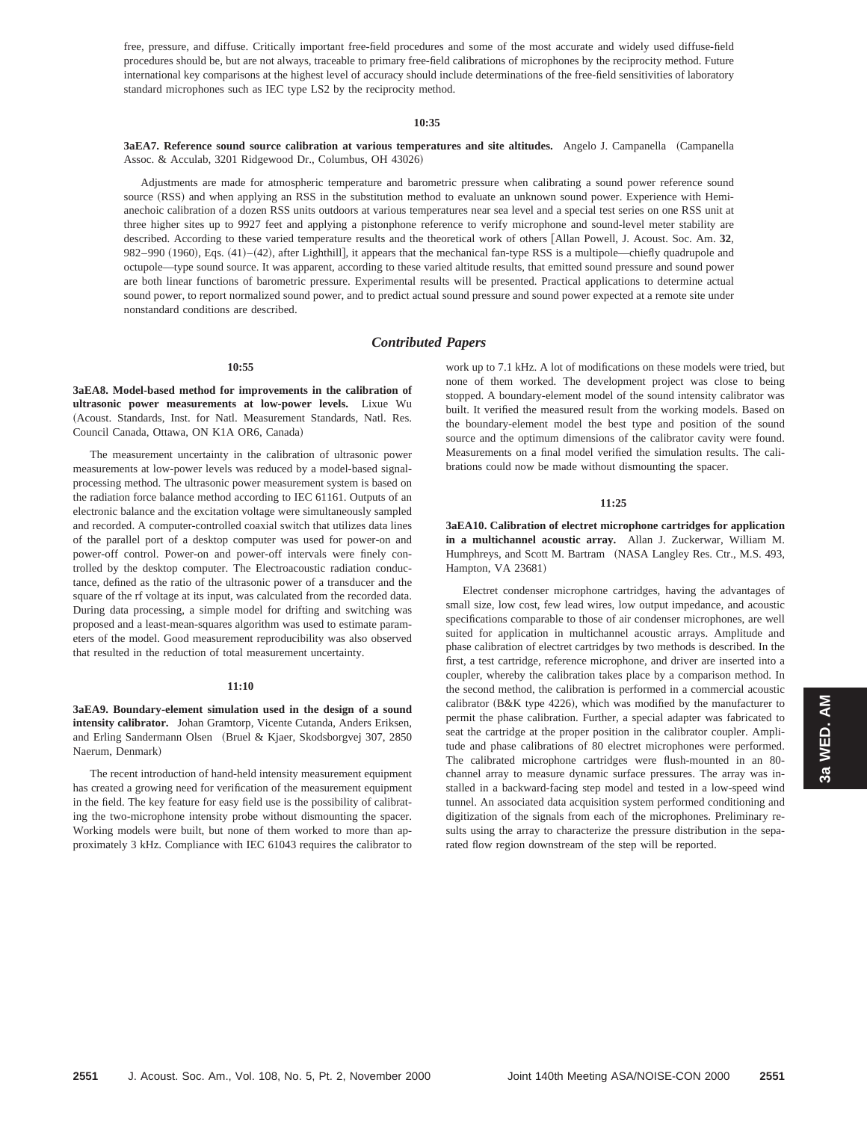free, pressure, and diffuse. Critically important free-field procedures and some of the most accurate and widely used diffuse-field procedures should be, but are not always, traceable to primary free-field calibrations of microphones by the reciprocity method. Future international key comparisons at the highest level of accuracy should include determinations of the free-field sensitivities of laboratory standard microphones such as IEC type LS2 by the reciprocity method.

#### **10:35**

**3aEA7. Reference sound source calibration at various temperatures and site altitudes.** Angelo J. Campanella (Campanella Assoc. & Acculab, 3201 Ridgewood Dr., Columbus, OH 43026!

Adjustments are made for atmospheric temperature and barometric pressure when calibrating a sound power reference sound source (RSS) and when applying an RSS in the substitution method to evaluate an unknown sound power. Experience with Hemianechoic calibration of a dozen RSS units outdoors at various temperatures near sea level and a special test series on one RSS unit at three higher sites up to 9927 feet and applying a pistonphone reference to verify microphone and sound-level meter stability are described. According to these varied temperature results and the theoretical work of others [Allan Powell, J. Acoust. Soc. Am. 32, 982–990 (1960), Eqs. (41)–(42), after Lighthill], it appears that the mechanical fan-type RSS is a multipole—chiefly quadrupole and octupole—type sound source. It was apparent, according to these varied altitude results, that emitted sound pressure and sound power are both linear functions of barometric pressure. Experimental results will be presented. Practical applications to determine actual sound power, to report normalized sound power, and to predict actual sound pressure and sound power expected at a remote site under nonstandard conditions are described.

# *Contributed Papers*

#### **10:55**

**3aEA8. Model-based method for improvements in the calibration of ultrasonic power measurements at low-power levels.** Lixue Wu (Acoust. Standards, Inst. for Natl. Measurement Standards, Natl. Res. Council Canada, Ottawa, ON K1A OR6, Canada)

The measurement uncertainty in the calibration of ultrasonic power measurements at low-power levels was reduced by a model-based signalprocessing method. The ultrasonic power measurement system is based on the radiation force balance method according to IEC 61161. Outputs of an electronic balance and the excitation voltage were simultaneously sampled and recorded. A computer-controlled coaxial switch that utilizes data lines of the parallel port of a desktop computer was used for power-on and power-off control. Power-on and power-off intervals were finely controlled by the desktop computer. The Electroacoustic radiation conductance, defined as the ratio of the ultrasonic power of a transducer and the square of the rf voltage at its input, was calculated from the recorded data. During data processing, a simple model for drifting and switching was proposed and a least-mean-squares algorithm was used to estimate parameters of the model. Good measurement reproducibility was also observed that resulted in the reduction of total measurement uncertainty.

#### **11:10**

**3aEA9. Boundary-element simulation used in the design of a sound intensity calibrator.** Johan Gramtorp, Vicente Cutanda, Anders Eriksen, and Erling Sandermann Olsen (Bruel & Kjaer, Skodsborgvej 307, 2850) Naerum, Denmark!

The recent introduction of hand-held intensity measurement equipment has created a growing need for verification of the measurement equipment in the field. The key feature for easy field use is the possibility of calibrating the two-microphone intensity probe without dismounting the spacer. Working models were built, but none of them worked to more than approximately 3 kHz. Compliance with IEC 61043 requires the calibrator to work up to 7.1 kHz. A lot of modifications on these models were tried, but none of them worked. The development project was close to being stopped. A boundary-element model of the sound intensity calibrator was built. It verified the measured result from the working models. Based on the boundary-element model the best type and position of the sound source and the optimum dimensions of the calibrator cavity were found. Measurements on a final model verified the simulation results. The calibrations could now be made without dismounting the spacer.

#### **11:25**

**3aEA10. Calibration of electret microphone cartridges for application in a multichannel acoustic array.** Allan J. Zuckerwar, William M. Humphreys, and Scott M. Bartram (NASA Langley Res. Ctr., M.S. 493, Hampton, VA 23681)

Electret condenser microphone cartridges, having the advantages of small size, low cost, few lead wires, low output impedance, and acoustic specifications comparable to those of air condenser microphones, are well suited for application in multichannel acoustic arrays. Amplitude and phase calibration of electret cartridges by two methods is described. In the first, a test cartridge, reference microphone, and driver are inserted into a coupler, whereby the calibration takes place by a comparison method. In the second method, the calibration is performed in a commercial acoustic calibrator  $(B&K$  type 4226), which was modified by the manufacturer to permit the phase calibration. Further, a special adapter was fabricated to seat the cartridge at the proper position in the calibrator coupler. Amplitude and phase calibrations of 80 electret microphones were performed. The calibrated microphone cartridges were flush-mounted in an 80 channel array to measure dynamic surface pressures. The array was installed in a backward-facing step model and tested in a low-speed wind tunnel. An associated data acquisition system performed conditioning and digitization of the signals from each of the microphones. Preliminary results using the array to characterize the pressure distribution in the separated flow region downstream of the step will be reported.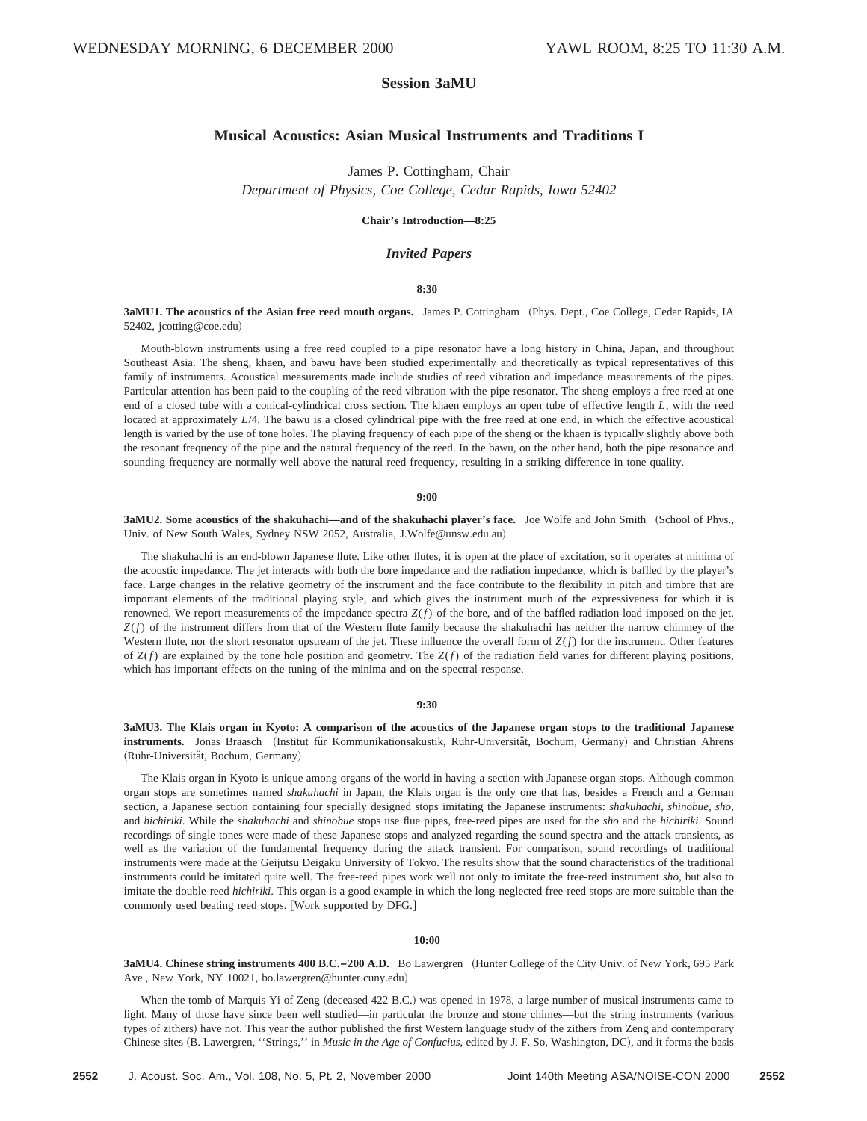# **Session 3aMU**

# **Musical Acoustics: Asian Musical Instruments and Traditions I**

James P. Cottingham, Chair

*Department of Physics, Coe College, Cedar Rapids, Iowa 52402*

# **Chair's Introduction—8:25**

## *Invited Papers*

## **8:30**

**3aMU1. The acoustics of the Asian free reed mouth organs.** James P. Cottingham ~Phys. Dept., Coe College, Cedar Rapids, IA 52402, jcotting@coe.edu)

Mouth-blown instruments using a free reed coupled to a pipe resonator have a long history in China, Japan, and throughout Southeast Asia. The sheng, khaen, and bawu have been studied experimentally and theoretically as typical representatives of this family of instruments. Acoustical measurements made include studies of reed vibration and impedance measurements of the pipes. Particular attention has been paid to the coupling of the reed vibration with the pipe resonator. The sheng employs a free reed at one end of a closed tube with a conical-cylindrical cross section. The khaen employs an open tube of effective length *L*, with the reed located at approximately *L*/4. The bawu is a closed cylindrical pipe with the free reed at one end, in which the effective acoustical length is varied by the use of tone holes. The playing frequency of each pipe of the sheng or the khaen is typically slightly above both the resonant frequency of the pipe and the natural frequency of the reed. In the bawu, on the other hand, both the pipe resonance and sounding frequency are normally well above the natural reed frequency, resulting in a striking difference in tone quality.

#### **9:00**

**3aMU2. Some acoustics of the shakuhachi—and of the shakuhachi player's face.** Joe Wolfe and John Smith (School of Phys., Univ. of New South Wales, Sydney NSW 2052, Australia, J.Wolfe@unsw.edu.au)

The shakuhachi is an end-blown Japanese flute. Like other flutes, it is open at the place of excitation, so it operates at minima of the acoustic impedance. The jet interacts with both the bore impedance and the radiation impedance, which is baffled by the player's face. Large changes in the relative geometry of the instrument and the face contribute to the flexibility in pitch and timbre that are important elements of the traditional playing style, and which gives the instrument much of the expressiveness for which it is renowned. We report measurements of the impedance spectra *Z*(*f*) of the bore, and of the baffled radiation load imposed on the jet. *Z*(*f*) of the instrument differs from that of the Western flute family because the shakuhachi has neither the narrow chimney of the Western flute, nor the short resonator upstream of the jet. These influence the overall form of *Z*(*f*) for the instrument. Other features of  $Z(f)$  are explained by the tone hole position and geometry. The  $Z(f)$  of the radiation field varies for different playing positions, which has important effects on the tuning of the minima and on the spectral response.

#### **9:30**

**3aMU3. The Klais organ in Kyoto: A comparison of the acoustics of the Japanese organ stops to the traditional Japanese** instruments. Jonas Braasch (Institut für Kommunikationsakustik, Ruhr-Universität, Bochum, Germany) and Christian Ahrens (Ruhr-Universität, Bochum, Germany)

The Klais organ in Kyoto is unique among organs of the world in having a section with Japanese organ stops. Although common organ stops are sometimes named *shakuhachi* in Japan, the Klais organ is the only one that has, besides a French and a German section, a Japanese section containing four specially designed stops imitating the Japanese instruments: *shakuhachi*, *shinobue*, *sho*, and *hichiriki*. While the *shakuhachi* and *shinobue* stops use flue pipes, free-reed pipes are used for the *sho* and the *hichiriki*. Sound recordings of single tones were made of these Japanese stops and analyzed regarding the sound spectra and the attack transients, as well as the variation of the fundamental frequency during the attack transient. For comparison, sound recordings of traditional instruments were made at the Geijutsu Deigaku University of Tokyo. The results show that the sound characteristics of the traditional instruments could be imitated quite well. The free-reed pipes work well not only to imitate the free-reed instrument *sho*, but also to imitate the double-reed *hichiriki*. This organ is a good example in which the long-neglected free-reed stops are more suitable than the commonly used beating reed stops. [Work supported by DFG.]

#### **10:00**

**3aMU4. Chinese string instruments 400 B.C.-200 A.D.** Bo Lawergren (Hunter College of the City Univ. of New York, 695 Park Ave., New York, NY 10021, bo.lawergren@hunter.cuny.edu)

When the tomb of Marquis Yi of Zeng (deceased 422 B.C.) was opened in 1978, a large number of musical instruments came to light. Many of those have since been well studied—in particular the bronze and stone chimes—but the string instruments (various types of zithers) have not. This year the author published the first Western language study of the zithers from Zeng and contemporary Chinese sites (B. Lawergren, "Strings," in *Music in the Age of Confucius*, edited by J. F. So, Washington, DC), and it forms the basis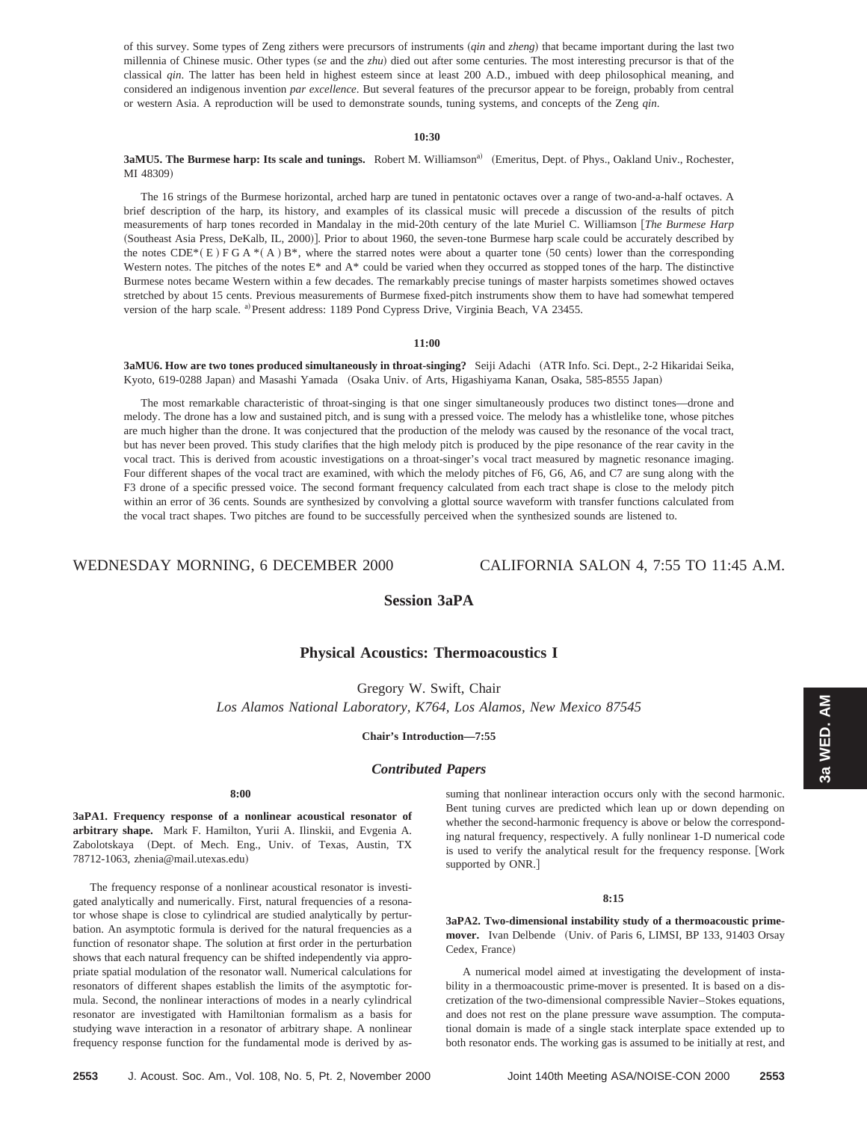of this survey. Some types of Zeng zithers were precursors of instruments (*qin* and *zheng*) that became important during the last two millennia of Chinese music. Other types (se and the *zhu*) died out after some centuries. The most interesting precursor is that of the classical *qin*. The latter has been held in highest esteem since at least 200 A.D., imbued with deep philosophical meaning, and considered an indigenous invention *par excellence*. But several features of the precursor appear to be foreign, probably from central or western Asia. A reproduction will be used to demonstrate sounds, tuning systems, and concepts of the Zeng *qin*.

# **10:30**

**3aMU5. The Burmese harp: Its scale and tunings.** Robert M. Williamson<sup>a)</sup> (Emeritus, Dept. of Phys., Oakland Univ., Rochester, MI 48309)

The 16 strings of the Burmese horizontal, arched harp are tuned in pentatonic octaves over a range of two-and-a-half octaves. A brief description of the harp, its history, and examples of its classical music will precede a discussion of the results of pitch measurements of harp tones recorded in Mandalay in the mid-20th century of the late Muriel C. Williamson [The Burmese Harp (Southeast Asia Press, DeKalb, IL, 2000)]. Prior to about 1960, the seven-tone Burmese harp scale could be accurately described by the notes CDE\* $(E)$  FGA \* $(A)$  B\*, where the starred notes were about a quarter tone (50 cents) lower than the corresponding Western notes. The pitches of the notes E\* and  $A^*$  could be varied when they occurred as stopped tones of the harp. The distinctive Burmese notes became Western within a few decades. The remarkably precise tunings of master harpists sometimes showed octaves stretched by about 15 cents. Previous measurements of Burmese fixed-pitch instruments show them to have had somewhat tempered version of the harp scale. <sup>a)</sup> Present address: 1189 Pond Cypress Drive, Virginia Beach, VA 23455.

## **11:00**

**3aMU6. How are two tones produced simultaneously in throat-singing?** Seiji Adachi (ATR Info. Sci. Dept., 2-2 Hikaridai Seika, Kyoto, 619-0288 Japan) and Masashi Yamada (Osaka Univ. of Arts, Higashiyama Kanan, Osaka, 585-8555 Japan)

The most remarkable characteristic of throat-singing is that one singer simultaneously produces two distinct tones—drone and melody. The drone has a low and sustained pitch, and is sung with a pressed voice. The melody has a whistlelike tone, whose pitches are much higher than the drone. It was conjectured that the production of the melody was caused by the resonance of the vocal tract, but has never been proved. This study clarifies that the high melody pitch is produced by the pipe resonance of the rear cavity in the vocal tract. This is derived from acoustic investigations on a throat-singer's vocal tract measured by magnetic resonance imaging. Four different shapes of the vocal tract are examined, with which the melody pitches of F6, G6, A6, and C7 are sung along with the F3 drone of a specific pressed voice. The second formant frequency calculated from each tract shape is close to the melody pitch within an error of 36 cents. Sounds are synthesized by convolving a glottal source waveform with transfer functions calculated from the vocal tract shapes. Two pitches are found to be successfully perceived when the synthesized sounds are listened to.

WEDNESDAY MORNING, 6 DECEMBER 2000 CALIFORNIA SALON 4, 7:55 TO 11:45 A.M.

# **Session 3aPA**

# **Physical Acoustics: Thermoacoustics I**

Gregory W. Swift, Chair

*Los Alamos National Laboratory, K764, Los Alamos, New Mexico 87545*

**Chair's Introduction—7:55**

# *Contributed Papers*

## **8:00**

**3aPA1. Frequency response of a nonlinear acoustical resonator of arbitrary shape.** Mark F. Hamilton, Yurii A. Ilinskii, and Evgenia A. Zabolotskaya (Dept. of Mech. Eng., Univ. of Texas, Austin, TX 78712-1063, zhenia@mail.utexas.edu!

The frequency response of a nonlinear acoustical resonator is investigated analytically and numerically. First, natural frequencies of a resonator whose shape is close to cylindrical are studied analytically by perturbation. An asymptotic formula is derived for the natural frequencies as a function of resonator shape. The solution at first order in the perturbation shows that each natural frequency can be shifted independently via appropriate spatial modulation of the resonator wall. Numerical calculations for resonators of different shapes establish the limits of the asymptotic formula. Second, the nonlinear interactions of modes in a nearly cylindrical resonator are investigated with Hamiltonian formalism as a basis for studying wave interaction in a resonator of arbitrary shape. A nonlinear frequency response function for the fundamental mode is derived by assuming that nonlinear interaction occurs only with the second harmonic. Bent tuning curves are predicted which lean up or down depending on whether the second-harmonic frequency is above or below the corresponding natural frequency, respectively. A fully nonlinear 1-D numerical code is used to verify the analytical result for the frequency response. [Work supported by ONR.]

## **8:15**

**3aPA2. Two-dimensional instability study of a thermoacoustic prime**mover. Ivan Delbende (Univ. of Paris 6, LIMSI, BP 133, 91403 Orsay Cedex, France)

A numerical model aimed at investigating the development of instability in a thermoacoustic prime-mover is presented. It is based on a discretization of the two-dimensional compressible Navier–Stokes equations, and does not rest on the plane pressure wave assumption. The computational domain is made of a single stack interplate space extended up to both resonator ends. The working gas is assumed to be initially at rest, and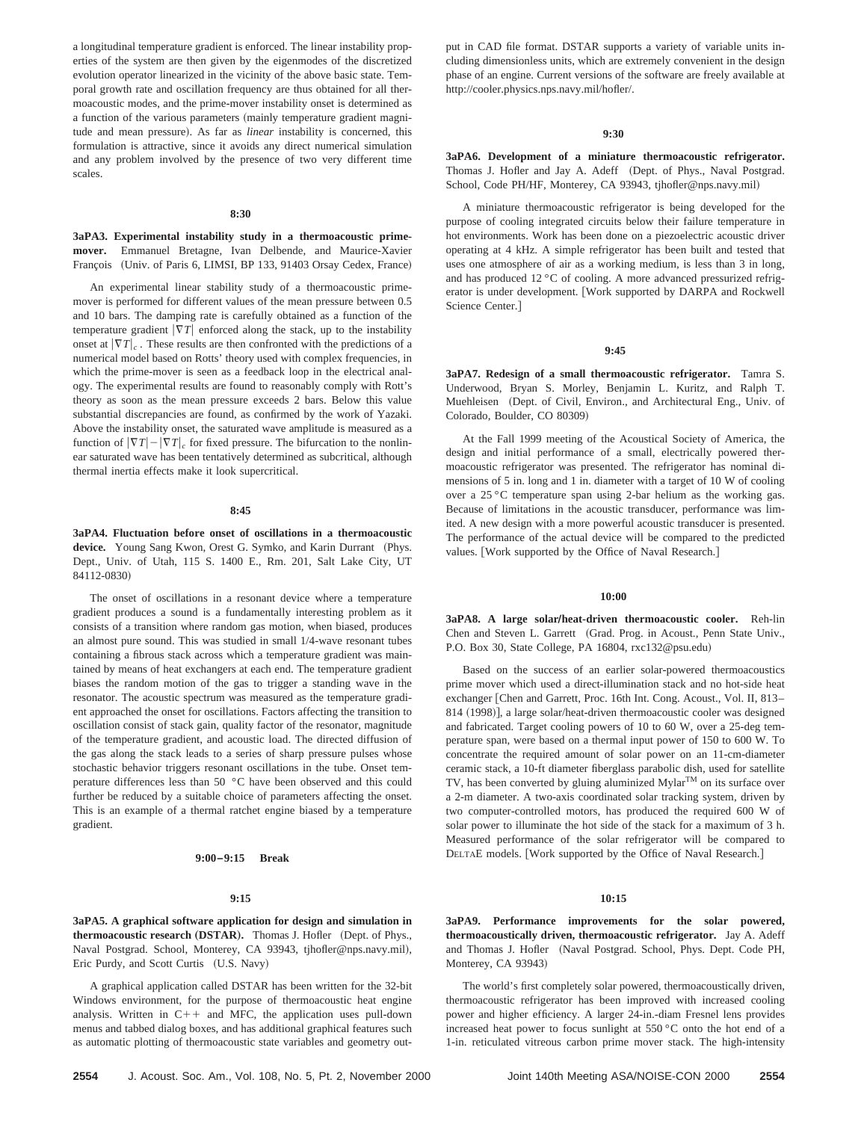a longitudinal temperature gradient is enforced. The linear instability properties of the system are then given by the eigenmodes of the discretized evolution operator linearized in the vicinity of the above basic state. Temporal growth rate and oscillation frequency are thus obtained for all thermoacoustic modes, and the prime-mover instability onset is determined as a function of the various parameters (mainly temperature gradient magnitude and mean pressure). As far as *linear* instability is concerned, this formulation is attractive, since it avoids any direct numerical simulation and any problem involved by the presence of two very different time scales.

#### **8:30**

# **3aPA3. Experimental instability study in a thermoacoustic primemover.** Emmanuel Bretagne, Ivan Delbende, and Maurice-Xavier François (Univ. of Paris 6, LIMSI, BP 133, 91403 Orsay Cedex, France)

An experimental linear stability study of a thermoacoustic primemover is performed for different values of the mean pressure between 0.5 and 10 bars. The damping rate is carefully obtained as a function of the temperature gradient  $|\nabla T|$  enforced along the stack, up to the instability onset at  $|\nabla T|_c$ . These results are then confronted with the predictions of a numerical model based on Rotts' theory used with complex frequencies, in which the prime-mover is seen as a feedback loop in the electrical analogy. The experimental results are found to reasonably comply with Rott's theory as soon as the mean pressure exceeds 2 bars. Below this value substantial discrepancies are found, as confirmed by the work of Yazaki. Above the instability onset, the saturated wave amplitude is measured as a function of  $|\nabla T| - |\nabla T|_c$  for fixed pressure. The bifurcation to the nonlinear saturated wave has been tentatively determined as subcritical, although thermal inertia effects make it look supercritical.

## **8:45**

**3aPA4. Fluctuation before onset of oscillations in a thermoacoustic** device. Young Sang Kwon, Orest G. Symko, and Karin Durrant (Phys. Dept., Univ. of Utah, 115 S. 1400 E., Rm. 201, Salt Lake City, UT 84112-0830)

The onset of oscillations in a resonant device where a temperature gradient produces a sound is a fundamentally interesting problem as it consists of a transition where random gas motion, when biased, produces an almost pure sound. This was studied in small 1/4-wave resonant tubes containing a fibrous stack across which a temperature gradient was maintained by means of heat exchangers at each end. The temperature gradient biases the random motion of the gas to trigger a standing wave in the resonator. The acoustic spectrum was measured as the temperature gradient approached the onset for oscillations. Factors affecting the transition to oscillation consist of stack gain, quality factor of the resonator, magnitude of the temperature gradient, and acoustic load. The directed diffusion of the gas along the stack leads to a series of sharp pressure pulses whose stochastic behavior triggers resonant oscillations in the tube. Onset temperature differences less than 50 °C have been observed and this could further be reduced by a suitable choice of parameters affecting the onset. This is an example of a thermal ratchet engine biased by a temperature gradient.

#### **9:00–9:15 Break**

#### **9:15**

**3aPA5. A graphical software application for design and simulation in thermoacoustic research (DSTAR).** Thomas J. Hofler (Dept. of Phys., Naval Postgrad. School, Monterey, CA 93943, tjhofler@nps.navy.mil), Eric Purdy, and Scott Curtis (U.S. Navy)

A graphical application called DSTAR has been written for the 32-bit Windows environment, for the purpose of thermoacoustic heat engine analysis. Written in  $C++$  and MFC, the application uses pull-down menus and tabbed dialog boxes, and has additional graphical features such as automatic plotting of thermoacoustic state variables and geometry output in CAD file format. DSTAR supports a variety of variable units including dimensionless units, which are extremely convenient in the design phase of an engine. Current versions of the software are freely available at http://cooler.physics.nps.navy.mil/hofler/.

#### **9:30**

**3aPA6. Development of a miniature thermoacoustic refrigerator.** Thomas J. Hofler and Jay A. Adeff (Dept. of Phys., Naval Postgrad. School, Code PH/HF, Monterey, CA 93943, tjhofler@nps.navy.mil)

A miniature thermoacoustic refrigerator is being developed for the purpose of cooling integrated circuits below their failure temperature in hot environments. Work has been done on a piezoelectric acoustic driver operating at 4 kHz. A simple refrigerator has been built and tested that uses one atmosphere of air as a working medium, is less than 3 in long, and has produced 12 °C of cooling. A more advanced pressurized refrigerator is under development. [Work supported by DARPA and Rockwell Science Center.<sup>1</sup>

#### **9:45**

**3aPA7. Redesign of a small thermoacoustic refrigerator.** Tamra S. Underwood, Bryan S. Morley, Benjamin L. Kuritz, and Ralph T. Muehleisen (Dept. of Civil, Environ., and Architectural Eng., Univ. of Colorado, Boulder, CO 80309)

At the Fall 1999 meeting of the Acoustical Society of America, the design and initial performance of a small, electrically powered thermoacoustic refrigerator was presented. The refrigerator has nominal dimensions of 5 in. long and 1 in. diameter with a target of 10 W of cooling over a 25 °C temperature span using 2-bar helium as the working gas. Because of limitations in the acoustic transducer, performance was limited. A new design with a more powerful acoustic transducer is presented. The performance of the actual device will be compared to the predicted values. [Work supported by the Office of Naval Research.]

#### **10:00**

3aPA8. A large solar/heat-driven thermoacoustic cooler. Reh-lin Chen and Steven L. Garrett (Grad. Prog. in Acoust., Penn State Univ., P.O. Box 30, State College, PA 16804, rxc132@psu.edu)

Based on the success of an earlier solar-powered thermoacoustics prime mover which used a direct-illumination stack and no hot-side heat exchanger [Chen and Garrett, Proc. 16th Int. Cong. Acoust., Vol. II, 813– 814 (1998)], a large solar/heat-driven thermoacoustic cooler was designed and fabricated. Target cooling powers of 10 to 60 W, over a 25-deg temperature span, were based on a thermal input power of 150 to 600 W. To concentrate the required amount of solar power on an 11-cm-diameter ceramic stack, a 10-ft diameter fiberglass parabolic dish, used for satellite TV, has been converted by gluing aluminized Mylar<sup>TM</sup> on its surface over a 2-m diameter. A two-axis coordinated solar tracking system, driven by two computer-controlled motors, has produced the required 600 W of solar power to illuminate the hot side of the stack for a maximum of 3 h. Measured performance of the solar refrigerator will be compared to DELTAE models. [Work supported by the Office of Naval Research.]

#### **10:15**

**3aPA9. Performance improvements for the solar powered, thermoacoustically driven, thermoacoustic refrigerator.** Jay A. Adeff and Thomas J. Hofler (Naval Postgrad. School, Phys. Dept. Code PH, Monterey, CA 93943)

The world's first completely solar powered, thermoacoustically driven, thermoacoustic refrigerator has been improved with increased cooling power and higher efficiency. A larger 24-in.-diam Fresnel lens provides increased heat power to focus sunlight at 550 °C onto the hot end of a 1-in. reticulated vitreous carbon prime mover stack. The high-intensity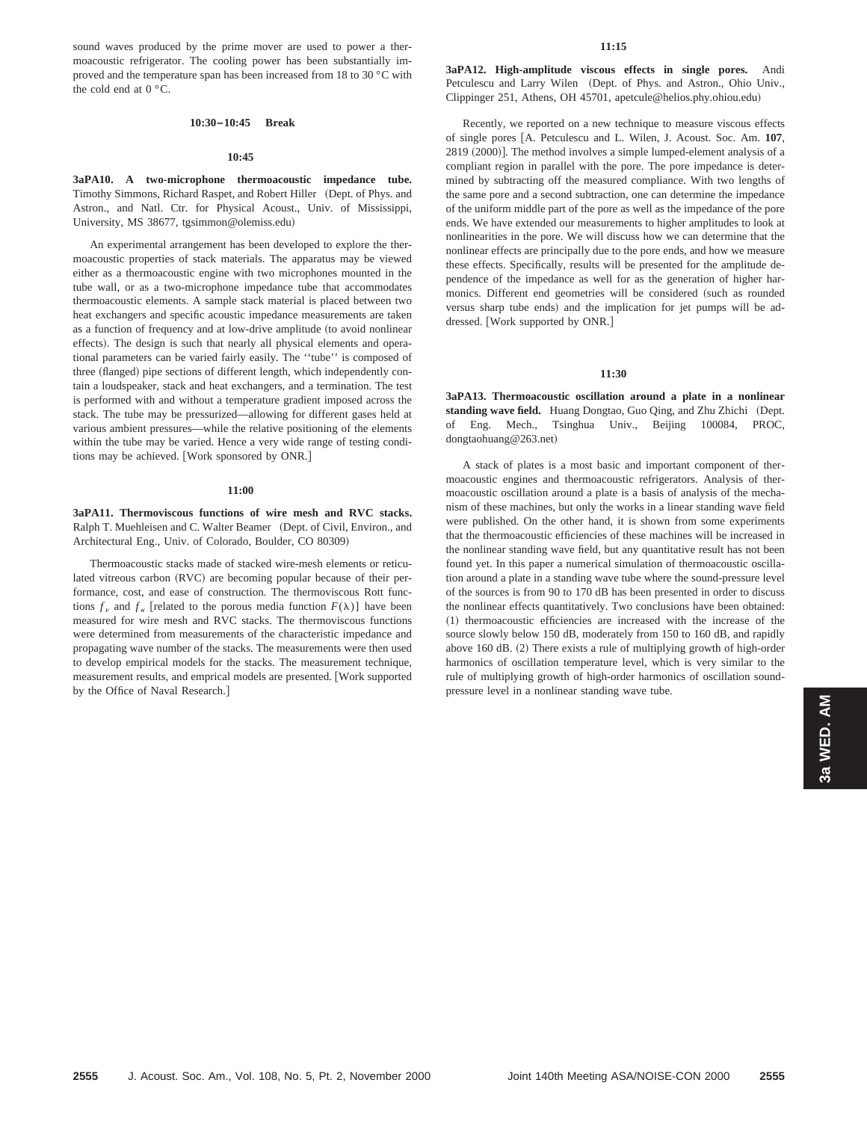sound waves produced by the prime mover are used to power a thermoacoustic refrigerator. The cooling power has been substantially improved and the temperature span has been increased from 18 to 30 °C with the cold end at  $0^{\circ}$ C.

#### **10:30–10:45 Break**

#### **10:45**

**3aPA10. A two-microphone thermoacoustic impedance tube.** Timothy Simmons, Richard Raspet, and Robert Hiller (Dept. of Phys. and Astron., and Natl. Ctr. for Physical Acoust., Univ. of Mississippi, University, MS 38677, tgsimmon@olemiss.edu)

An experimental arrangement has been developed to explore the thermoacoustic properties of stack materials. The apparatus may be viewed either as a thermoacoustic engine with two microphones mounted in the tube wall, or as a two-microphone impedance tube that accommodates thermoacoustic elements. A sample stack material is placed between two heat exchangers and specific acoustic impedance measurements are taken as a function of frequency and at low-drive amplitude (to avoid nonlinear effects). The design is such that nearly all physical elements and operational parameters can be varied fairly easily. The ''tube'' is composed of three (flanged) pipe sections of different length, which independently contain a loudspeaker, stack and heat exchangers, and a termination. The test is performed with and without a temperature gradient imposed across the stack. The tube may be pressurized—allowing for different gases held at various ambient pressures—while the relative positioning of the elements within the tube may be varied. Hence a very wide range of testing conditions may be achieved. [Work sponsored by ONR.]

#### **11:00**

**3aPA11. Thermoviscous functions of wire mesh and RVC stacks.** Ralph T. Muehleisen and C. Walter Beamer (Dept. of Civil, Environ., and Architectural Eng., Univ. of Colorado, Boulder, CO 80309)

Thermoacoustic stacks made of stacked wire-mesh elements or reticulated vitreous carbon (RVC) are becoming popular because of their performance, cost, and ease of construction. The thermoviscous Rott functions  $f_{\nu}$  and  $f_{\kappa}$  [related to the porous media function  $F(\lambda)$ ] have been measured for wire mesh and RVC stacks. The thermoviscous functions were determined from measurements of the characteristic impedance and propagating wave number of the stacks. The measurements were then used to develop empirical models for the stacks. The measurement technique, measurement results, and emprical models are presented. [Work supported by the Office of Naval Research.]

**3aPA12. High-amplitude viscous effects in single pores.** Andi Petculescu and Larry Wilen (Dept. of Phys. and Astron., Ohio Univ., Clippinger 251, Athens, OH 45701, apetcule@helios.phy.ohiou.edu)

Recently, we reported on a new technique to measure viscous effects of single pores [A. Petculescu and L. Wilen, J. Acoust. Soc. Am. 107,  $2819 ~ (2000)$ ]. The method involves a simple lumped-element analysis of a compliant region in parallel with the pore. The pore impedance is determined by subtracting off the measured compliance. With two lengths of the same pore and a second subtraction, one can determine the impedance of the uniform middle part of the pore as well as the impedance of the pore ends. We have extended our measurements to higher amplitudes to look at nonlinearities in the pore. We will discuss how we can determine that the nonlinear effects are principally due to the pore ends, and how we measure these effects. Specifically, results will be presented for the amplitude dependence of the impedance as well for as the generation of higher harmonics. Different end geometries will be considered (such as rounded versus sharp tube ends) and the implication for jet pumps will be addressed. [Work supported by ONR.]

#### **11:30**

**3aPA13. Thermoacoustic oscillation around a plate in a nonlinear** standing wave field. Huang Dongtao, Guo Qing, and Zhu Zhichi (Dept. of Eng. Mech., Tsinghua Univ., Beijing 100084, PROC, dongtaohuang@263.net)

A stack of plates is a most basic and important component of thermoacoustic engines and thermoacoustic refrigerators. Analysis of thermoacoustic oscillation around a plate is a basis of analysis of the mechanism of these machines, but only the works in a linear standing wave field were published. On the other hand, it is shown from some experiments that the thermoacoustic efficiencies of these machines will be increased in the nonlinear standing wave field, but any quantitative result has not been found yet. In this paper a numerical simulation of thermoacoustic oscillation around a plate in a standing wave tube where the sound-pressure level of the sources is from 90 to 170 dB has been presented in order to discuss the nonlinear effects quantitatively. Two conclusions have been obtained: ~1! thermoacoustic efficiencies are increased with the increase of the source slowly below 150 dB, moderately from 150 to 160 dB, and rapidly above 160 dB.  $(2)$  There exists a rule of multiplying growth of high-order harmonics of oscillation temperature level, which is very similar to the rule of multiplying growth of high-order harmonics of oscillation soundpressure level in a nonlinear standing wave tube.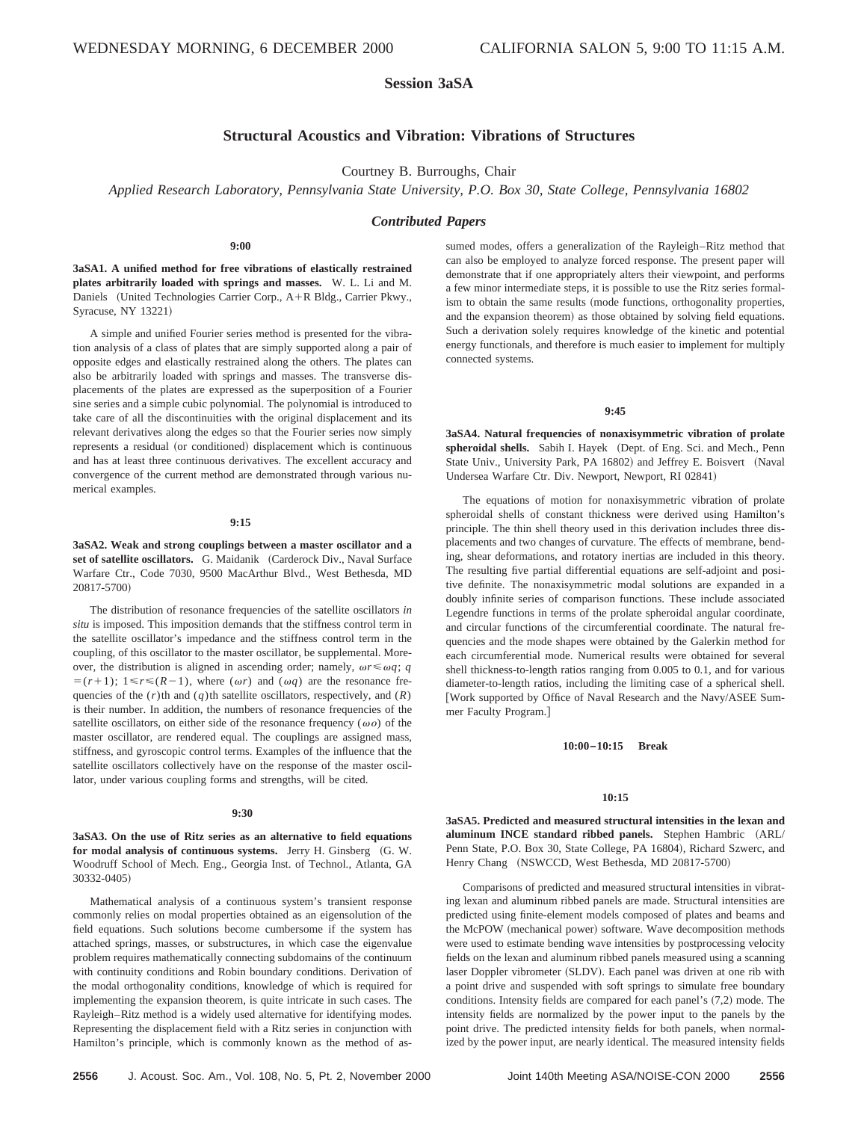# **Session 3aSA**

# **Structural Acoustics and Vibration: Vibrations of Structures**

Courtney B. Burroughs, Chair

*Applied Research Laboratory, Pennsylvania State University, P.O. Box 30, State College, Pennsylvania 16802*

## *Contributed Papers*

#### **9:00**

**3aSA1. A unified method for free vibrations of elastically restrained plates arbitrarily loaded with springs and masses.** W. L. Li and M. Daniels (United Technologies Carrier Corp., A+R Bldg., Carrier Pkwy., Syracuse, NY 13221)

A simple and unified Fourier series method is presented for the vibration analysis of a class of plates that are simply supported along a pair of opposite edges and elastically restrained along the others. The plates can also be arbitrarily loaded with springs and masses. The transverse displacements of the plates are expressed as the superposition of a Fourier sine series and a simple cubic polynomial. The polynomial is introduced to take care of all the discontinuities with the original displacement and its relevant derivatives along the edges so that the Fourier series now simply represents a residual (or conditioned) displacement which is continuous and has at least three continuous derivatives. The excellent accuracy and convergence of the current method are demonstrated through various numerical examples.

## **9:15**

**3aSA2. Weak and strong couplings between a master oscillator and a** set of satellite oscillators. G. Maidanik (Carderock Div., Naval Surface Warfare Ctr., Code 7030, 9500 MacArthur Blvd., West Bethesda, MD 20817-5700)

The distribution of resonance frequencies of the satellite oscillators *in situ* is imposed. This imposition demands that the stiffness control term in the satellite oscillator's impedance and the stiffness control term in the coupling, of this oscillator to the master oscillator, be supplemental. Moreover, the distribution is aligned in ascending order; namely,  $\omega r \leq \omega q$ ; *q*  $=(r+1); 1 \le r \le (R-1)$ , where  $(\omega r)$  and  $(\omega q)$  are the resonance frequencies of the  $(r)$ th and  $(q)$ th satellite oscillators, respectively, and  $(R)$ is their number. In addition, the numbers of resonance frequencies of the satellite oscillators, on either side of the resonance frequency ( $\omega o$ ) of the master oscillator, are rendered equal. The couplings are assigned mass, stiffness, and gyroscopic control terms. Examples of the influence that the satellite oscillators collectively have on the response of the master oscillator, under various coupling forms and strengths, will be cited.

#### **9:30**

**3aSA3. On the use of Ritz series as an alternative to field equations** for modal analysis of continuous systems. Jerry H. Ginsberg  $(G. W. )$ Woodruff School of Mech. Eng., Georgia Inst. of Technol., Atlanta, GA 30332-0405)

Mathematical analysis of a continuous system's transient response commonly relies on modal properties obtained as an eigensolution of the field equations. Such solutions become cumbersome if the system has attached springs, masses, or substructures, in which case the eigenvalue problem requires mathematically connecting subdomains of the continuum with continuity conditions and Robin boundary conditions. Derivation of the modal orthogonality conditions, knowledge of which is required for implementing the expansion theorem, is quite intricate in such cases. The Rayleigh–Ritz method is a widely used alternative for identifying modes. Representing the displacement field with a Ritz series in conjunction with Hamilton's principle, which is commonly known as the method of assumed modes, offers a generalization of the Rayleigh–Ritz method that can also be employed to analyze forced response. The present paper will demonstrate that if one appropriately alters their viewpoint, and performs a few minor intermediate steps, it is possible to use the Ritz series formalism to obtain the same results (mode functions, orthogonality properties, and the expansion theorem) as those obtained by solving field equations. Such a derivation solely requires knowledge of the kinetic and potential energy functionals, and therefore is much easier to implement for multiply connected systems.

## **9:45**

**3aSA4. Natural frequencies of nonaxisymmetric vibration of prolate** spheroidal shells. Sabih I. Hayek (Dept. of Eng. Sci. and Mech., Penn State Univ., University Park, PA 16802) and Jeffrey E. Boisvert (Naval Undersea Warfare Ctr. Div. Newport, Newport, RI 02841)

The equations of motion for nonaxisymmetric vibration of prolate spheroidal shells of constant thickness were derived using Hamilton's principle. The thin shell theory used in this derivation includes three displacements and two changes of curvature. The effects of membrane, bending, shear deformations, and rotatory inertias are included in this theory. The resulting five partial differential equations are self-adjoint and positive definite. The nonaxisymmetric modal solutions are expanded in a doubly infinite series of comparison functions. These include associated Legendre functions in terms of the prolate spheroidal angular coordinate, and circular functions of the circumferential coordinate. The natural frequencies and the mode shapes were obtained by the Galerkin method for each circumferential mode. Numerical results were obtained for several shell thickness-to-length ratios ranging from 0.005 to 0.1, and for various diameter-to-length ratios, including the limiting case of a spherical shell. [Work supported by Office of Naval Research and the Navy/ASEE Summer Faculty Program.]

## **10:00–10:15 Break**

## **10:15**

**3aSA5. Predicted and measured structural intensities in the lexan and** aluminum INCE standard ribbed panels. Stephen Hambric (ARL/ Penn State, P.O. Box 30, State College, PA 16804), Richard Szwerc, and Henry Chang (NSWCCD, West Bethesda, MD 20817-5700)

Comparisons of predicted and measured structural intensities in vibrating lexan and aluminum ribbed panels are made. Structural intensities are predicted using finite-element models composed of plates and beams and the McPOW (mechanical power) software. Wave decomposition methods were used to estimate bending wave intensities by postprocessing velocity fields on the lexan and aluminum ribbed panels measured using a scanning laser Doppler vibrometer (SLDV). Each panel was driven at one rib with a point drive and suspended with soft springs to simulate free boundary conditions. Intensity fields are compared for each panel's  $(7,2)$  mode. The intensity fields are normalized by the power input to the panels by the point drive. The predicted intensity fields for both panels, when normalized by the power input, are nearly identical. The measured intensity fields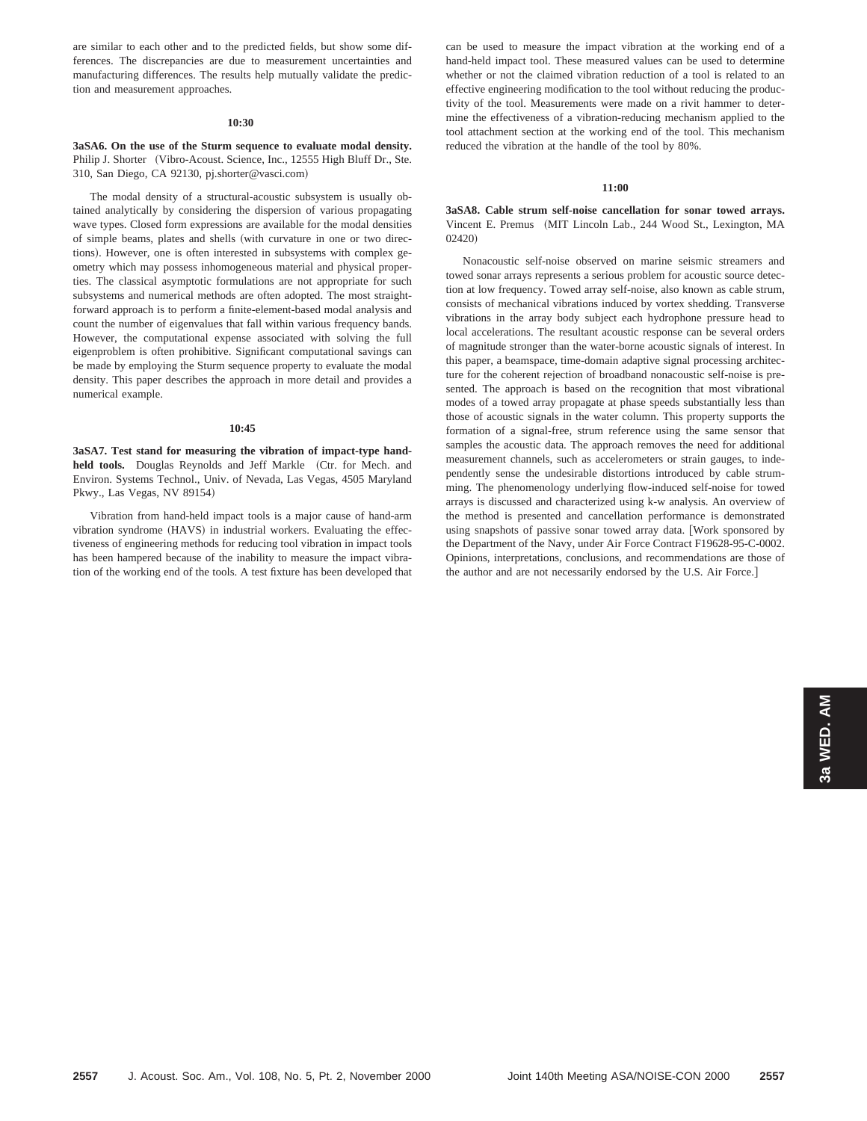are similar to each other and to the predicted fields, but show some differences. The discrepancies are due to measurement uncertainties and manufacturing differences. The results help mutually validate the prediction and measurement approaches.

#### **10:30**

**3aSA6. On the use of the Sturm sequence to evaluate modal density.** Philip J. Shorter (Vibro-Acoust. Science, Inc., 12555 High Bluff Dr., Ste. 310, San Diego, CA 92130, pj.shorter@vasci.com!

The modal density of a structural-acoustic subsystem is usually obtained analytically by considering the dispersion of various propagating wave types. Closed form expressions are available for the modal densities of simple beams, plates and shells (with curvature in one or two directions). However, one is often interested in subsystems with complex geometry which may possess inhomogeneous material and physical properties. The classical asymptotic formulations are not appropriate for such subsystems and numerical methods are often adopted. The most straightforward approach is to perform a finite-element-based modal analysis and count the number of eigenvalues that fall within various frequency bands. However, the computational expense associated with solving the full eigenproblem is often prohibitive. Significant computational savings can be made by employing the Sturm sequence property to evaluate the modal density. This paper describes the approach in more detail and provides a numerical example.

#### **10:45**

**3aSA7. Test stand for measuring the vibration of impact-type hand**held tools. Douglas Reynolds and Jeff Markle (Ctr. for Mech. and Environ. Systems Technol., Univ. of Nevada, Las Vegas, 4505 Maryland Pkwy., Las Vegas, NV 89154)

Vibration from hand-held impact tools is a major cause of hand-arm vibration syndrome (HAVS) in industrial workers. Evaluating the effectiveness of engineering methods for reducing tool vibration in impact tools has been hampered because of the inability to measure the impact vibration of the working end of the tools. A test fixture has been developed that can be used to measure the impact vibration at the working end of a hand-held impact tool. These measured values can be used to determine whether or not the claimed vibration reduction of a tool is related to an effective engineering modification to the tool without reducing the productivity of the tool. Measurements were made on a rivit hammer to determine the effectiveness of a vibration-reducing mechanism applied to the tool attachment section at the working end of the tool. This mechanism reduced the vibration at the handle of the tool by 80%.

# **11:00**

**3aSA8. Cable strum self-noise cancellation for sonar towed arrays.** Vincent E. Premus (MIT Lincoln Lab., 244 Wood St., Lexington, MA  $(02420)$ 

Nonacoustic self-noise observed on marine seismic streamers and towed sonar arrays represents a serious problem for acoustic source detection at low frequency. Towed array self-noise, also known as cable strum, consists of mechanical vibrations induced by vortex shedding. Transverse vibrations in the array body subject each hydrophone pressure head to local accelerations. The resultant acoustic response can be several orders of magnitude stronger than the water-borne acoustic signals of interest. In this paper, a beamspace, time-domain adaptive signal processing architecture for the coherent rejection of broadband nonacoustic self-noise is presented. The approach is based on the recognition that most vibrational modes of a towed array propagate at phase speeds substantially less than those of acoustic signals in the water column. This property supports the formation of a signal-free, strum reference using the same sensor that samples the acoustic data. The approach removes the need for additional measurement channels, such as accelerometers or strain gauges, to independently sense the undesirable distortions introduced by cable strumming. The phenomenology underlying flow-induced self-noise for towed arrays is discussed and characterized using k-w analysis. An overview of the method is presented and cancellation performance is demonstrated using snapshots of passive sonar towed array data. [Work sponsored by the Department of the Navy, under Air Force Contract F19628-95-C-0002. Opinions, interpretations, conclusions, and recommendations are those of the author and are not necessarily endorsed by the U.S. Air Force.]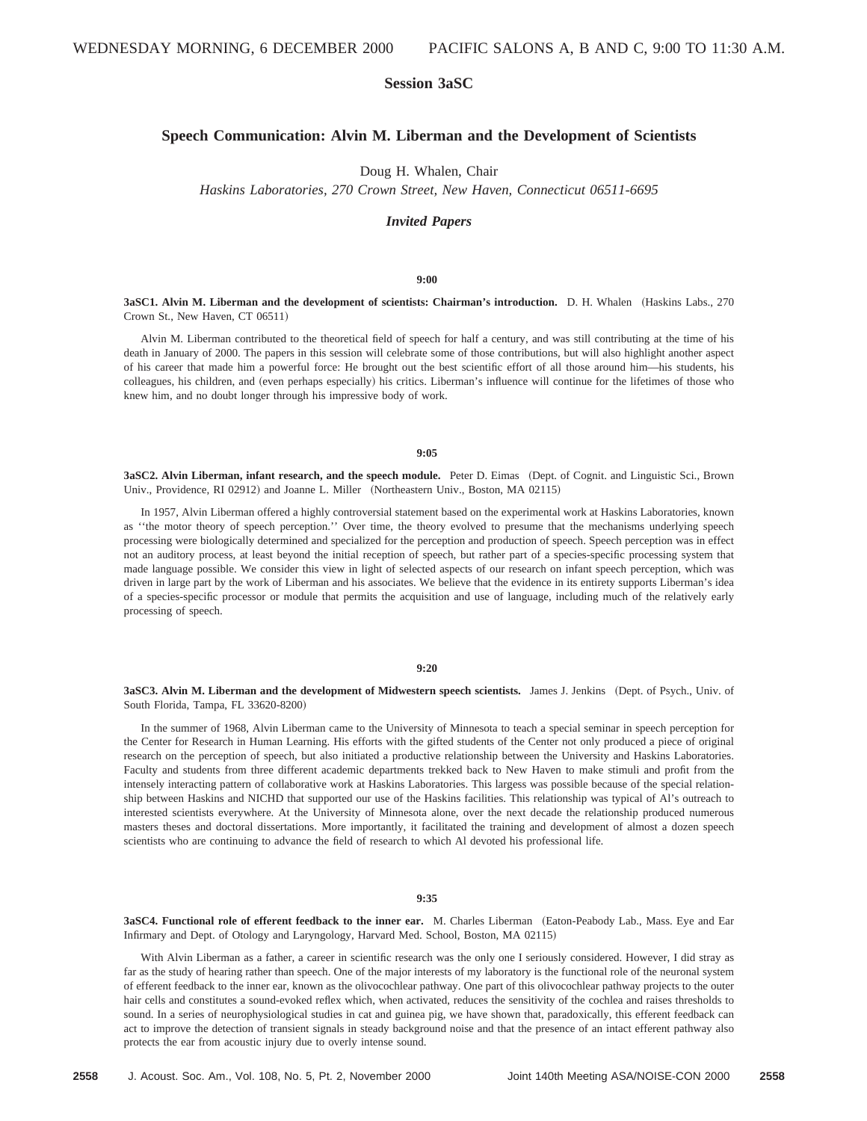# **Session 3aSC**

# **Speech Communication: Alvin M. Liberman and the Development of Scientists**

Doug H. Whalen, Chair

*Haskins Laboratories, 270 Crown Street, New Haven, Connecticut 06511-6695*

## *Invited Papers*

#### **9:00**

3aSC1. Alvin M. Liberman and the development of scientists: Chairman's introduction. D. H. Whalen (Haskins Labs., 270) Crown St., New Haven, CT 06511)

Alvin M. Liberman contributed to the theoretical field of speech for half a century, and was still contributing at the time of his death in January of 2000. The papers in this session will celebrate some of those contributions, but will also highlight another aspect of his career that made him a powerful force: He brought out the best scientific effort of all those around him—his students, his colleagues, his children, and (even perhaps especially) his critics. Liberman's influence will continue for the lifetimes of those who knew him, and no doubt longer through his impressive body of work.

# **9:05**

**3aSC2. Alvin Liberman, infant research, and the speech module.** Peter D. Eimas (Dept. of Cognit. and Linguistic Sci., Brown Univ., Providence, RI 02912) and Joanne L. Miller (Northeastern Univ., Boston, MA 02115)

In 1957, Alvin Liberman offered a highly controversial statement based on the experimental work at Haskins Laboratories, known as ''the motor theory of speech perception.'' Over time, the theory evolved to presume that the mechanisms underlying speech processing were biologically determined and specialized for the perception and production of speech. Speech perception was in effect not an auditory process, at least beyond the initial reception of speech, but rather part of a species-specific processing system that made language possible. We consider this view in light of selected aspects of our research on infant speech perception, which was driven in large part by the work of Liberman and his associates. We believe that the evidence in its entirety supports Liberman's idea of a species-specific processor or module that permits the acquisition and use of language, including much of the relatively early processing of speech.

# **9:20**

**3aSC3. Alvin M. Liberman and the development of Midwestern speech scientists.** James J. Jenkins (Dept. of Psych., Univ. of South Florida, Tampa, FL 33620-8200)

In the summer of 1968, Alvin Liberman came to the University of Minnesota to teach a special seminar in speech perception for the Center for Research in Human Learning. His efforts with the gifted students of the Center not only produced a piece of original research on the perception of speech, but also initiated a productive relationship between the University and Haskins Laboratories. Faculty and students from three different academic departments trekked back to New Haven to make stimuli and profit from the intensely interacting pattern of collaborative work at Haskins Laboratories. This largess was possible because of the special relationship between Haskins and NICHD that supported our use of the Haskins facilities. This relationship was typical of Al's outreach to interested scientists everywhere. At the University of Minnesota alone, over the next decade the relationship produced numerous masters theses and doctoral dissertations. More importantly, it facilitated the training and development of almost a dozen speech scientists who are continuing to advance the field of research to which Al devoted his professional life.

#### **9:35**

**3aSC4. Functional role of efferent feedback to the inner ear.** M. Charles Liberman ~Eaton-Peabody Lab., Mass. Eye and Ear Infirmary and Dept. of Otology and Laryngology, Harvard Med. School, Boston, MA 02115)

With Alvin Liberman as a father, a career in scientific research was the only one I seriously considered. However, I did stray as far as the study of hearing rather than speech. One of the major interests of my laboratory is the functional role of the neuronal system of efferent feedback to the inner ear, known as the olivocochlear pathway. One part of this olivocochlear pathway projects to the outer hair cells and constitutes a sound-evoked reflex which, when activated, reduces the sensitivity of the cochlea and raises thresholds to sound. In a series of neurophysiological studies in cat and guinea pig, we have shown that, paradoxically, this efferent feedback can act to improve the detection of transient signals in steady background noise and that the presence of an intact efferent pathway also protects the ear from acoustic injury due to overly intense sound.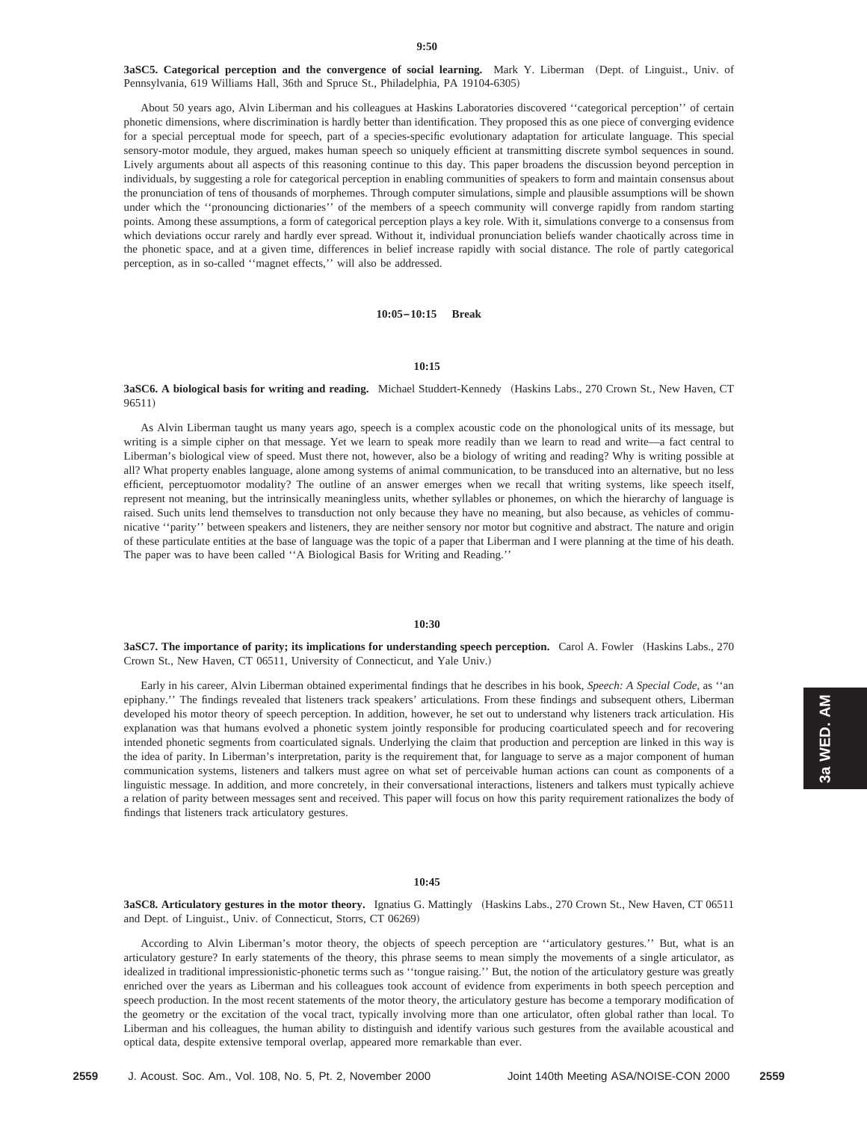3aSC5. Categorical perception and the convergence of social learning. Mark Y. Liberman (Dept. of Linguist., Univ. of Pennsylvania, 619 Williams Hall, 36th and Spruce St., Philadelphia, PA 19104-6305)

About 50 years ago, Alvin Liberman and his colleagues at Haskins Laboratories discovered ''categorical perception'' of certain phonetic dimensions, where discrimination is hardly better than identification. They proposed this as one piece of converging evidence for a special perceptual mode for speech, part of a species-specific evolutionary adaptation for articulate language. This special sensory-motor module, they argued, makes human speech so uniquely efficient at transmitting discrete symbol sequences in sound. Lively arguments about all aspects of this reasoning continue to this day. This paper broadens the discussion beyond perception in individuals, by suggesting a role for categorical perception in enabling communities of speakers to form and maintain consensus about the pronunciation of tens of thousands of morphemes. Through computer simulations, simple and plausible assumptions will be shown under which the "pronouncing dictionaries" of the members of a speech community will converge rapidly from random starting points. Among these assumptions, a form of categorical perception plays a key role. With it, simulations converge to a consensus from which deviations occur rarely and hardly ever spread. Without it, individual pronunciation beliefs wander chaotically across time in the phonetic space, and at a given time, differences in belief increase rapidly with social distance. The role of partly categorical perception, as in so-called ''magnet effects,'' will also be addressed.

#### **10:05–10:15 Break**

#### **10:15**

# 3aSC6. A biological basis for writing and reading. Michael Studdert-Kennedy (Haskins Labs., 270 Crown St., New Haven, CT 96511)

As Alvin Liberman taught us many years ago, speech is a complex acoustic code on the phonological units of its message, but writing is a simple cipher on that message. Yet we learn to speak more readily than we learn to read and write—a fact central to Liberman's biological view of speed. Must there not, however, also be a biology of writing and reading? Why is writing possible at all? What property enables language, alone among systems of animal communication, to be transduced into an alternative, but no less efficient, perceptuomotor modality? The outline of an answer emerges when we recall that writing systems, like speech itself, represent not meaning, but the intrinsically meaningless units, whether syllables or phonemes, on which the hierarchy of language is raised. Such units lend themselves to transduction not only because they have no meaning, but also because, as vehicles of communicative ''parity'' between speakers and listeners, they are neither sensory nor motor but cognitive and abstract. The nature and origin of these particulate entities at the base of language was the topic of a paper that Liberman and I were planning at the time of his death. The paper was to have been called ''A Biological Basis for Writing and Reading.''

## **10:30**

**3aSC7. The importance of parity; its implications for understanding speech perception.** Carol A. Fowler (Haskins Labs., 270) Crown St., New Haven, CT 06511, University of Connecticut, and Yale Univ.)

Early in his career, Alvin Liberman obtained experimental findings that he describes in his book, *Speech: A Special Code*, as ''an epiphany.'' The findings revealed that listeners track speakers' articulations. From these findings and subsequent others, Liberman developed his motor theory of speech perception. In addition, however, he set out to understand why listeners track articulation. His explanation was that humans evolved a phonetic system jointly responsible for producing coarticulated speech and for recovering intended phonetic segments from coarticulated signals. Underlying the claim that production and perception are linked in this way is the idea of parity. In Liberman's interpretation, parity is the requirement that, for language to serve as a major component of human communication systems, listeners and talkers must agree on what set of perceivable human actions can count as components of a linguistic message. In addition, and more concretely, in their conversational interactions, listeners and talkers must typically achieve a relation of parity between messages sent and received. This paper will focus on how this parity requirement rationalizes the body of findings that listeners track articulatory gestures.

#### **10:45**

**3aSC8. Articulatory gestures in the motor theory.** Ignatius G. Mattingly (Haskins Labs., 270 Crown St., New Haven, CT 06511 and Dept. of Linguist., Univ. of Connecticut, Storrs, CT 06269)

According to Alvin Liberman's motor theory, the objects of speech perception are ''articulatory gestures.'' But, what is an articulatory gesture? In early statements of the theory, this phrase seems to mean simply the movements of a single articulator, as idealized in traditional impressionistic-phonetic terms such as ''tongue raising.'' But, the notion of the articulatory gesture was greatly enriched over the years as Liberman and his colleagues took account of evidence from experiments in both speech perception and speech production. In the most recent statements of the motor theory, the articulatory gesture has become a temporary modification of the geometry or the excitation of the vocal tract, typically involving more than one articulator, often global rather than local. To Liberman and his colleagues, the human ability to distinguish and identify various such gestures from the available acoustical and optical data, despite extensive temporal overlap, appeared more remarkable than ever.

**3a WED. AM**

3a WED. AM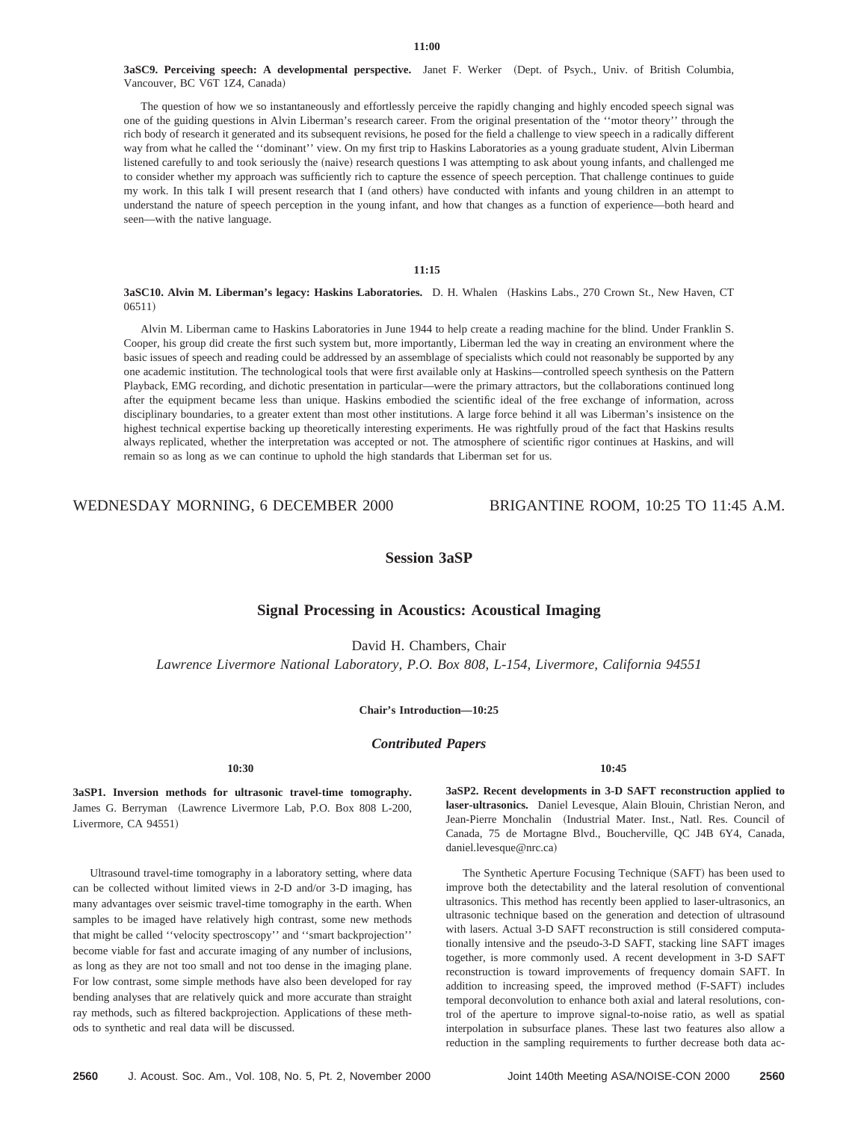3aSC9. Perceiving speech: A developmental perspective. Janet F. Werker (Dept. of Psych., Univ. of British Columbia, Vancouver, BC V6T 1Z4, Canada)

The question of how we so instantaneously and effortlessly perceive the rapidly changing and highly encoded speech signal was one of the guiding questions in Alvin Liberman's research career. From the original presentation of the ''motor theory'' through the rich body of research it generated and its subsequent revisions, he posed for the field a challenge to view speech in a radically different way from what he called the ''dominant'' view. On my first trip to Haskins Laboratories as a young graduate student, Alvin Liberman listened carefully to and took seriously the (naive) research questions I was attempting to ask about young infants, and challenged me to consider whether my approach was sufficiently rich to capture the essence of speech perception. That challenge continues to guide my work. In this talk I will present research that I (and others) have conducted with infants and young children in an attempt to understand the nature of speech perception in the young infant, and how that changes as a function of experience—both heard and seen—with the native language.

## **11:15**

## **3aSC10. Alvin M. Liberman's legacy: Haskins Laboratories.** D. H. Whalen (Haskins Labs., 270 Crown St., New Haven, CT  $06511)$

Alvin M. Liberman came to Haskins Laboratories in June 1944 to help create a reading machine for the blind. Under Franklin S. Cooper, his group did create the first such system but, more importantly, Liberman led the way in creating an environment where the basic issues of speech and reading could be addressed by an assemblage of specialists which could not reasonably be supported by any one academic institution. The technological tools that were first available only at Haskins—controlled speech synthesis on the Pattern Playback, EMG recording, and dichotic presentation in particular—were the primary attractors, but the collaborations continued long after the equipment became less than unique. Haskins embodied the scientific ideal of the free exchange of information, across disciplinary boundaries, to a greater extent than most other institutions. A large force behind it all was Liberman's insistence on the highest technical expertise backing up theoretically interesting experiments. He was rightfully proud of the fact that Haskins results always replicated, whether the interpretation was accepted or not. The atmosphere of scientific rigor continues at Haskins, and will remain so as long as we can continue to uphold the high standards that Liberman set for us.

WEDNESDAY MORNING, 6 DECEMBER 2000 BRIGANTINE ROOM, 10:25 TO 11:45 A.M.

# **Session 3aSP**

# **Signal Processing in Acoustics: Acoustical Imaging**

David H. Chambers, Chair

*Lawrence Livermore National Laboratory, P.O. Box 808, L-154, Livermore, California 94551*

## **Chair's Introduction—10:25**

*Contributed Papers*

**3aSP1. Inversion methods for ultrasonic travel-time tomography.** James G. Berryman (Lawrence Livermore Lab, P.O. Box 808 L-200, Livermore, CA 94551)

Ultrasound travel-time tomography in a laboratory setting, where data can be collected without limited views in 2-D and/or 3-D imaging, has many advantages over seismic travel-time tomography in the earth. When samples to be imaged have relatively high contrast, some new methods that might be called ''velocity spectroscopy'' and ''smart backprojection'' become viable for fast and accurate imaging of any number of inclusions, as long as they are not too small and not too dense in the imaging plane. For low contrast, some simple methods have also been developed for ray bending analyses that are relatively quick and more accurate than straight ray methods, such as filtered backprojection. Applications of these methods to synthetic and real data will be discussed.

**10:45**

**3aSP2. Recent developments in 3-D SAFT reconstruction applied to laser-ultrasonics.** Daniel Levesque, Alain Blouin, Christian Neron, and Jean-Pierre Monchalin (Industrial Mater. Inst., Natl. Res. Council of Canada, 75 de Mortagne Blvd., Boucherville, QC J4B 6Y4, Canada, daniel.levesque@nrc.ca)

The Synthetic Aperture Focusing Technique (SAFT) has been used to improve both the detectability and the lateral resolution of conventional ultrasonics. This method has recently been applied to laser-ultrasonics, an ultrasonic technique based on the generation and detection of ultrasound with lasers. Actual 3-D SAFT reconstruction is still considered computationally intensive and the pseudo-3-D SAFT, stacking line SAFT images together, is more commonly used. A recent development in 3-D SAFT reconstruction is toward improvements of frequency domain SAFT. In addition to increasing speed, the improved method (F-SAFT) includes temporal deconvolution to enhance both axial and lateral resolutions, control of the aperture to improve signal-to-noise ratio, as well as spatial interpolation in subsurface planes. These last two features also allow a reduction in the sampling requirements to further decrease both data ac-

**10:30**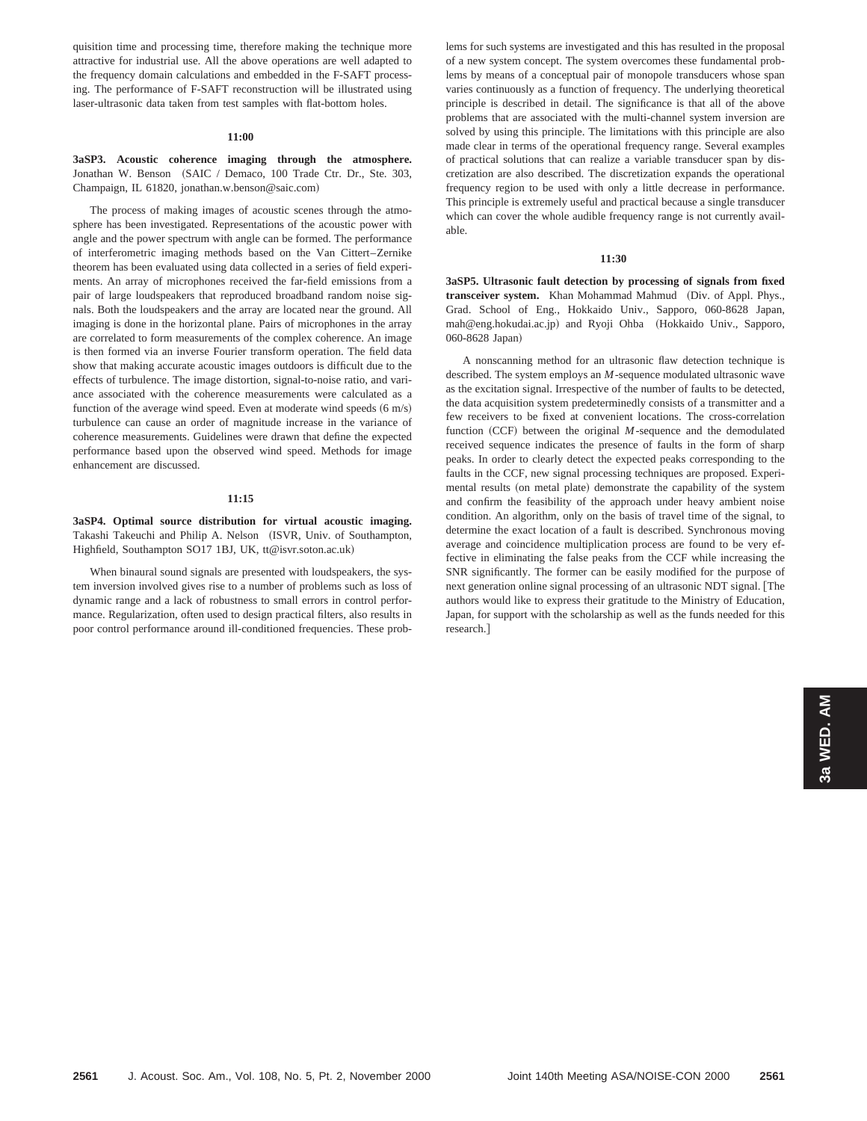quisition time and processing time, therefore making the technique more attractive for industrial use. All the above operations are well adapted to the frequency domain calculations and embedded in the F-SAFT processing. The performance of F-SAFT reconstruction will be illustrated using laser-ultrasonic data taken from test samples with flat-bottom holes.

## **11:00**

**3aSP3. Acoustic coherence imaging through the atmosphere.** Jonathan W. Benson (SAIC / Demaco, 100 Trade Ctr. Dr., Ste. 303, Champaign, IL 61820, jonathan.w.benson@saic.com)

The process of making images of acoustic scenes through the atmosphere has been investigated. Representations of the acoustic power with angle and the power spectrum with angle can be formed. The performance of interferometric imaging methods based on the Van Cittert–Zernike theorem has been evaluated using data collected in a series of field experiments. An array of microphones received the far-field emissions from a pair of large loudspeakers that reproduced broadband random noise signals. Both the loudspeakers and the array are located near the ground. All imaging is done in the horizontal plane. Pairs of microphones in the array are correlated to form measurements of the complex coherence. An image is then formed via an inverse Fourier transform operation. The field data show that making accurate acoustic images outdoors is difficult due to the effects of turbulence. The image distortion, signal-to-noise ratio, and variance associated with the coherence measurements were calculated as a function of the average wind speed. Even at moderate wind speeds  $(6 \text{ m/s})$ turbulence can cause an order of magnitude increase in the variance of coherence measurements. Guidelines were drawn that define the expected performance based upon the observed wind speed. Methods for image enhancement are discussed.

# **11:15**

**3aSP4. Optimal source distribution for virtual acoustic imaging.** Takashi Takeuchi and Philip A. Nelson (ISVR, Univ. of Southampton, Highfield, Southampton SO17 1BJ, UK, tt@isvr.soton.ac.uk)

When binaural sound signals are presented with loudspeakers, the system inversion involved gives rise to a number of problems such as loss of dynamic range and a lack of robustness to small errors in control performance. Regularization, often used to design practical filters, also results in poor control performance around ill-conditioned frequencies. These problems for such systems are investigated and this has resulted in the proposal of a new system concept. The system overcomes these fundamental problems by means of a conceptual pair of monopole transducers whose span varies continuously as a function of frequency. The underlying theoretical principle is described in detail. The significance is that all of the above problems that are associated with the multi-channel system inversion are solved by using this principle. The limitations with this principle are also made clear in terms of the operational frequency range. Several examples of practical solutions that can realize a variable transducer span by discretization are also described. The discretization expands the operational frequency region to be used with only a little decrease in performance. This principle is extremely useful and practical because a single transducer which can cover the whole audible frequency range is not currently available.

## **11:30**

**3aSP5. Ultrasonic fault detection by processing of signals from fixed** transceiver system. Khan Mohammad Mahmud (Div. of Appl. Phys., Grad. School of Eng., Hokkaido Univ., Sapporo, 060-8628 Japan, mah@eng.hokudai.ac.jp) and Ryoji Ohba (Hokkaido Univ., Sapporo, 060-8628 Japan)

A nonscanning method for an ultrasonic flaw detection technique is described. The system employs an *M*-sequence modulated ultrasonic wave as the excitation signal. Irrespective of the number of faults to be detected, the data acquisition system predeterminedly consists of a transmitter and a few receivers to be fixed at convenient locations. The cross-correlation function (CCF) between the original *M*-sequence and the demodulated received sequence indicates the presence of faults in the form of sharp peaks. In order to clearly detect the expected peaks corresponding to the faults in the CCF, new signal processing techniques are proposed. Experimental results (on metal plate) demonstrate the capability of the system and confirm the feasibility of the approach under heavy ambient noise condition. An algorithm, only on the basis of travel time of the signal, to determine the exact location of a fault is described. Synchronous moving average and coincidence multiplication process are found to be very effective in eliminating the false peaks from the CCF while increasing the SNR significantly. The former can be easily modified for the purpose of next generation online signal processing of an ultrasonic NDT signal. The authors would like to express their gratitude to the Ministry of Education, Japan, for support with the scholarship as well as the funds needed for this research.<sup>1</sup>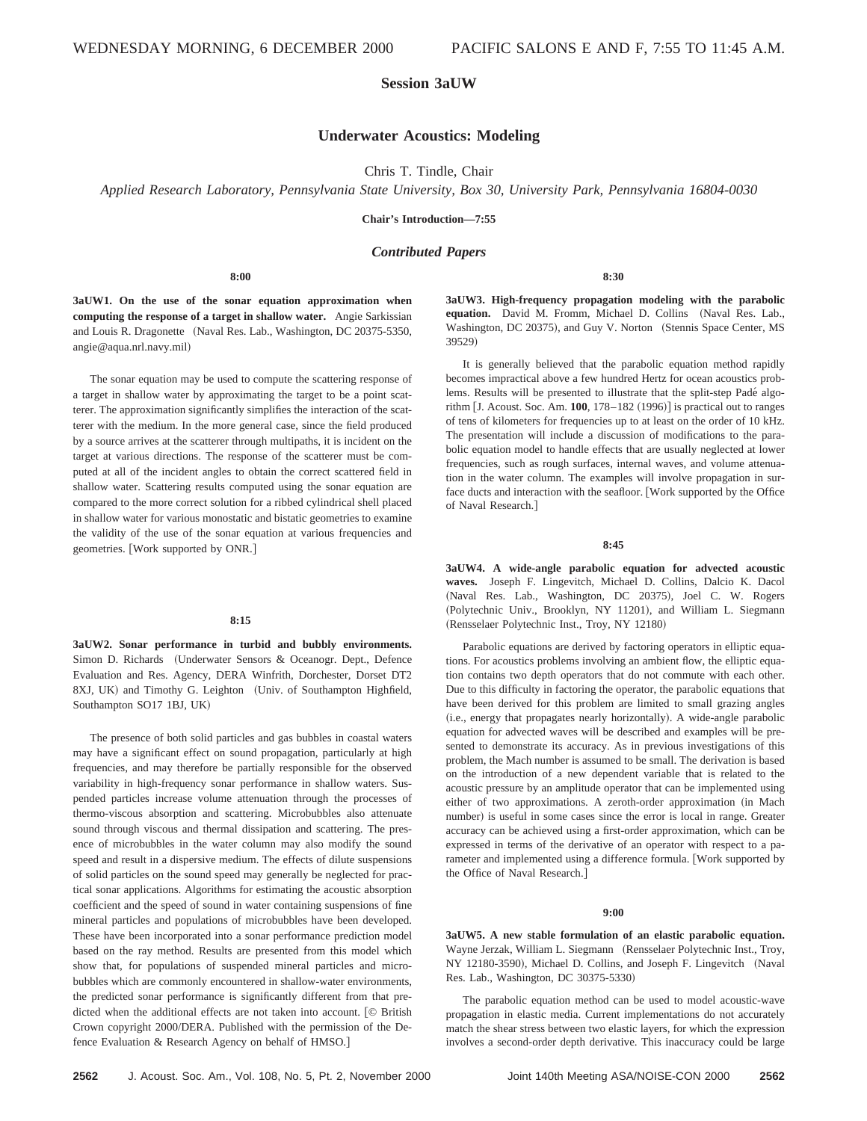# **Session 3aUW**

# **Underwater Acoustics: Modeling**

Chris T. Tindle, Chair

*Applied Research Laboratory, Pennsylvania State University, Box 30, University Park, Pennsylvania 16804-0030*

**Chair's Introduction—7:55**

# *Contributed Papers*

**8:00**

**3aUW1. On the use of the sonar equation approximation when computing the response of a target in shallow water.** Angie Sarkissian and Louis R. Dragonette (Naval Res. Lab., Washington, DC 20375-5350, angie@aqua.nrl.navy.mil!

The sonar equation may be used to compute the scattering response of a target in shallow water by approximating the target to be a point scatterer. The approximation significantly simplifies the interaction of the scatterer with the medium. In the more general case, since the field produced by a source arrives at the scatterer through multipaths, it is incident on the target at various directions. The response of the scatterer must be computed at all of the incident angles to obtain the correct scattered field in shallow water. Scattering results computed using the sonar equation are compared to the more correct solution for a ribbed cylindrical shell placed in shallow water for various monostatic and bistatic geometries to examine the validity of the use of the sonar equation at various frequencies and geometries. [Work supported by ONR.]

## **8:15**

**3aUW2. Sonar performance in turbid and bubbly environments.** Simon D. Richards (Underwater Sensors & Oceanogr. Dept., Defence Evaluation and Res. Agency, DERA Winfrith, Dorchester, Dorset DT2 8XJ, UK) and Timothy G. Leighton (Univ. of Southampton Highfield, Southampton SO17 1BJ, UK!

The presence of both solid particles and gas bubbles in coastal waters may have a significant effect on sound propagation, particularly at high frequencies, and may therefore be partially responsible for the observed variability in high-frequency sonar performance in shallow waters. Suspended particles increase volume attenuation through the processes of thermo-viscous absorption and scattering. Microbubbles also attenuate sound through viscous and thermal dissipation and scattering. The presence of microbubbles in the water column may also modify the sound speed and result in a dispersive medium. The effects of dilute suspensions of solid particles on the sound speed may generally be neglected for practical sonar applications. Algorithms for estimating the acoustic absorption coefficient and the speed of sound in water containing suspensions of fine mineral particles and populations of microbubbles have been developed. These have been incorporated into a sonar performance prediction model based on the ray method. Results are presented from this model which show that, for populations of suspended mineral particles and microbubbles which are commonly encountered in shallow-water environments, the predicted sonar performance is significantly different from that predicted when the additional effects are not taken into account. [C British Crown copyright 2000/DERA. Published with the permission of the Defence Evaluation & Research Agency on behalf of HMSO.#

**3aUW3. High-frequency propagation modeling with the parabolic** equation. David M. Fromm, Michael D. Collins (Naval Res. Lab., Washington, DC 20375), and Guy V. Norton (Stennis Space Center, MS 39529)

**8:30**

It is generally believed that the parabolic equation method rapidly becomes impractical above a few hundred Hertz for ocean acoustics problems. Results will be presented to illustrate that the split-step Padé algorithm  $\overline{J}$ . Acoust. Soc. Am. **100**, 178–182 (1996) $\overline{J}$  is practical out to ranges of tens of kilometers for frequencies up to at least on the order of 10 kHz. The presentation will include a discussion of modifications to the parabolic equation model to handle effects that are usually neglected at lower frequencies, such as rough surfaces, internal waves, and volume attenuation in the water column. The examples will involve propagation in surface ducts and interaction with the seafloor. [Work supported by the Office of Naval Research.]

## **8:45**

**3aUW4. A wide-angle parabolic equation for advected acoustic waves.** Joseph F. Lingevitch, Michael D. Collins, Dalcio K. Dacol (Naval Res. Lab., Washington, DC 20375), Joel C. W. Rogers (Polytechnic Univ., Brooklyn, NY 11201), and William L. Siegmann (Rensselaer Polytechnic Inst., Troy, NY 12180)

Parabolic equations are derived by factoring operators in elliptic equations. For acoustics problems involving an ambient flow, the elliptic equation contains two depth operators that do not commute with each other. Due to this difficulty in factoring the operator, the parabolic equations that have been derived for this problem are limited to small grazing angles (i.e., energy that propagates nearly horizontally). A wide-angle parabolic equation for advected waves will be described and examples will be presented to demonstrate its accuracy. As in previous investigations of this problem, the Mach number is assumed to be small. The derivation is based on the introduction of a new dependent variable that is related to the acoustic pressure by an amplitude operator that can be implemented using either of two approximations. A zeroth-order approximation (in Mach number) is useful in some cases since the error is local in range. Greater accuracy can be achieved using a first-order approximation, which can be expressed in terms of the derivative of an operator with respect to a parameter and implemented using a difference formula. [Work supported by the Office of Naval Research.]

#### **9:00**

**3aUW5. A new stable formulation of an elastic parabolic equation.** Wayne Jerzak, William L. Siegmann (Rensselaer Polytechnic Inst., Troy, NY 12180-3590), Michael D. Collins, and Joseph F. Lingevitch (Naval Res. Lab., Washington, DC 30375-5330!

The parabolic equation method can be used to model acoustic-wave propagation in elastic media. Current implementations do not accurately match the shear stress between two elastic layers, for which the expression involves a second-order depth derivative. This inaccuracy could be large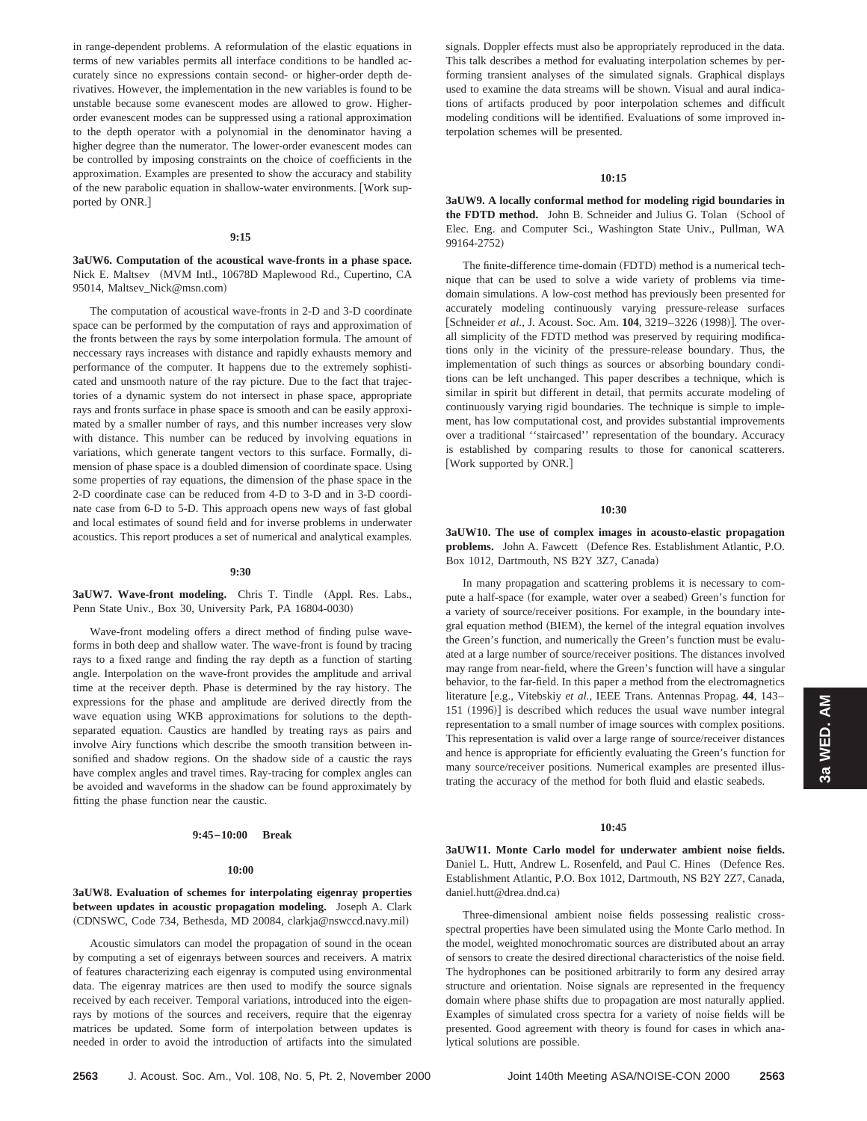in range-dependent problems. A reformulation of the elastic equations in terms of new variables permits all interface conditions to be handled accurately since no expressions contain second- or higher-order depth derivatives. However, the implementation in the new variables is found to be unstable because some evanescent modes are allowed to grow. Higherorder evanescent modes can be suppressed using a rational approximation to the depth operator with a polynomial in the denominator having a higher degree than the numerator. The lower-order evanescent modes can be controlled by imposing constraints on the choice of coefficients in the approximation. Examples are presented to show the accuracy and stability of the new parabolic equation in shallow-water environments. [Work supported by ONR.]

#### **9:15**

**3aUW6. Computation of the acoustical wave-fronts in a phase space.** Nick E. Maltsev (MVM Intl., 10678D Maplewood Rd., Cupertino, CA 95014, Maltsev\_Nick@msn.com)

The computation of acoustical wave-fronts in 2-D and 3-D coordinate space can be performed by the computation of rays and approximation of the fronts between the rays by some interpolation formula. The amount of neccessary rays increases with distance and rapidly exhausts memory and performance of the computer. It happens due to the extremely sophisticated and unsmooth nature of the ray picture. Due to the fact that trajectories of a dynamic system do not intersect in phase space, appropriate rays and fronts surface in phase space is smooth and can be easily approximated by a smaller number of rays, and this number increases very slow with distance. This number can be reduced by involving equations in variations, which generate tangent vectors to this surface. Formally, dimension of phase space is a doubled dimension of coordinate space. Using some properties of ray equations, the dimension of the phase space in the 2-D coordinate case can be reduced from 4-D to 3-D and in 3-D coordinate case from 6-D to 5-D. This approach opens new ways of fast global and local estimates of sound field and for inverse problems in underwater acoustics. This report produces a set of numerical and analytical examples.

#### **9:30**

**3aUW7. Wave-front modeling.** Chris T. Tindle (Appl. Res. Labs., Penn State Univ., Box 30, University Park, PA 16804-0030)

Wave-front modeling offers a direct method of finding pulse waveforms in both deep and shallow water. The wave-front is found by tracing rays to a fixed range and finding the ray depth as a function of starting angle. Interpolation on the wave-front provides the amplitude and arrival time at the receiver depth. Phase is determined by the ray history. The expressions for the phase and amplitude are derived directly from the wave equation using WKB approximations for solutions to the depthseparated equation. Caustics are handled by treating rays as pairs and involve Airy functions which describe the smooth transition between insonified and shadow regions. On the shadow side of a caustic the rays have complex angles and travel times. Ray-tracing for complex angles can be avoided and waveforms in the shadow can be found approximately by fitting the phase function near the caustic.

## **9:45–10:00 Break**

#### **10:00**

# **3aUW8. Evaluation of schemes for interpolating eigenray properties between updates in acoustic propagation modeling.** Joseph A. Clark (CDNSWC, Code 734, Bethesda, MD 20084, clarkja@nswccd.navy.mil)

Acoustic simulators can model the propagation of sound in the ocean by computing a set of eigenrays between sources and receivers. A matrix of features characterizing each eigenray is computed using environmental data. The eigenray matrices are then used to modify the source signals received by each receiver. Temporal variations, introduced into the eigenrays by motions of the sources and receivers, require that the eigenray matrices be updated. Some form of interpolation between updates is needed in order to avoid the introduction of artifacts into the simulated

signals. Doppler effects must also be appropriately reproduced in the data. This talk describes a method for evaluating interpolation schemes by performing transient analyses of the simulated signals. Graphical displays used to examine the data streams will be shown. Visual and aural indications of artifacts produced by poor interpolation schemes and difficult modeling conditions will be identified. Evaluations of some improved interpolation schemes will be presented.

#### **10:15**

**3aUW9. A locally conformal method for modeling rigid boundaries in** the FDTD method. John B. Schneider and Julius G. Tolan (School of Elec. Eng. and Computer Sci., Washington State Univ., Pullman, WA 99164-2752)

The finite-difference time-domain (FDTD) method is a numerical technique that can be used to solve a wide variety of problems via timedomain simulations. A low-cost method has previously been presented for accurately modeling continuously varying pressure-release surfaces [Schneider *et al.*, J. Acoust. Soc. Am. **104**, 3219–3226 (1998)]. The overall simplicity of the FDTD method was preserved by requiring modifications only in the vicinity of the pressure-release boundary. Thus, the implementation of such things as sources or absorbing boundary conditions can be left unchanged. This paper describes a technique, which is similar in spirit but different in detail, that permits accurate modeling of continuously varying rigid boundaries. The technique is simple to implement, has low computational cost, and provides substantial improvements over a traditional ''staircased'' representation of the boundary. Accuracy is established by comparing results to those for canonical scatterers. [Work supported by ONR.]

#### **10:30**

**3aUW10. The use of complex images in acousto-elastic propagation** problems. John A. Fawcett (Defence Res. Establishment Atlantic, P.O. Box 1012, Dartmouth, NS B2Y 3Z7, Canada)

In many propagation and scattering problems it is necessary to compute a half-space (for example, water over a seabed) Green's function for a variety of source/receiver positions. For example, in the boundary integral equation method (BIEM), the kernel of the integral equation involves the Green's function, and numerically the Green's function must be evaluated at a large number of source/receiver positions. The distances involved may range from near-field, where the Green's function will have a singular behavior, to the far-field. In this paper a method from the electromagnetics literature [e.g., Vitebskiy et al., IEEE Trans. Antennas Propag. 44, 143- $151 ~ (1996)$  is described which reduces the usual wave number integral representation to a small number of image sources with complex positions. This representation is valid over a large range of source/receiver distances and hence is appropriate for efficiently evaluating the Green's function for many source/receiver positions. Numerical examples are presented illustrating the accuracy of the method for both fluid and elastic seabeds.

#### **10:45**

**3aUW11. Monte Carlo model for underwater ambient noise fields.** Daniel L. Hutt, Andrew L. Rosenfeld, and Paul C. Hines (Defence Res. Establishment Atlantic, P.O. Box 1012, Dartmouth, NS B2Y 2Z7, Canada, daniel.hutt@drea.dnd.ca)

Three-dimensional ambient noise fields possessing realistic crossspectral properties have been simulated using the Monte Carlo method. In the model, weighted monochromatic sources are distributed about an array of sensors to create the desired directional characteristics of the noise field. The hydrophones can be positioned arbitrarily to form any desired array structure and orientation. Noise signals are represented in the frequency domain where phase shifts due to propagation are most naturally applied. Examples of simulated cross spectra for a variety of noise fields will be presented. Good agreement with theory is found for cases in which analytical solutions are possible.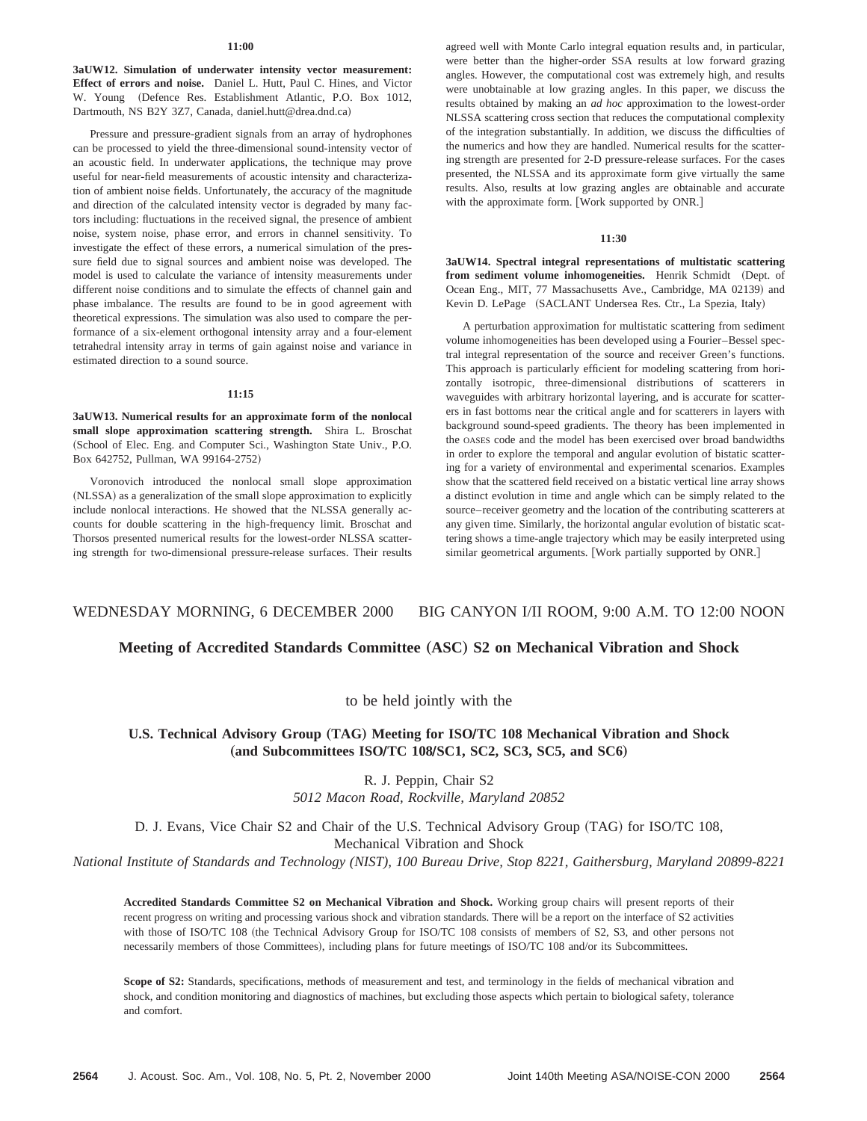### **11:00**

**3aUW12. Simulation of underwater intensity vector measurement: Effect of errors and noise.** Daniel L. Hutt, Paul C. Hines, and Victor W. Young (Defence Res. Establishment Atlantic, P.O. Box 1012, Dartmouth, NS B2Y 3Z7, Canada, daniel.hutt@drea.dnd.ca)

Pressure and pressure-gradient signals from an array of hydrophones can be processed to yield the three-dimensional sound-intensity vector of an acoustic field. In underwater applications, the technique may prove useful for near-field measurements of acoustic intensity and characterization of ambient noise fields. Unfortunately, the accuracy of the magnitude and direction of the calculated intensity vector is degraded by many factors including: fluctuations in the received signal, the presence of ambient noise, system noise, phase error, and errors in channel sensitivity. To investigate the effect of these errors, a numerical simulation of the pressure field due to signal sources and ambient noise was developed. The model is used to calculate the variance of intensity measurements under different noise conditions and to simulate the effects of channel gain and phase imbalance. The results are found to be in good agreement with theoretical expressions. The simulation was also used to compare the performance of a six-element orthogonal intensity array and a four-element tetrahedral intensity array in terms of gain against noise and variance in estimated direction to a sound source.

#### **11:15**

**3aUW13. Numerical results for an approximate form of the nonlocal small slope approximation scattering strength.** Shira L. Broschat (School of Elec. Eng. and Computer Sci., Washington State Univ., P.O. Box 642752, Pullman, WA 99164-2752)

Voronovich introduced the nonlocal small slope approximation (NLSSA) as a generalization of the small slope approximation to explicitly include nonlocal interactions. He showed that the NLSSA generally accounts for double scattering in the high-frequency limit. Broschat and Thorsos presented numerical results for the lowest-order NLSSA scattering strength for two-dimensional pressure-release surfaces. Their results

agreed well with Monte Carlo integral equation results and, in particular, were better than the higher-order SSA results at low forward grazing angles. However, the computational cost was extremely high, and results were unobtainable at low grazing angles. In this paper, we discuss the results obtained by making an *ad hoc* approximation to the lowest-order NLSSA scattering cross section that reduces the computational complexity of the integration substantially. In addition, we discuss the difficulties of the numerics and how they are handled. Numerical results for the scattering strength are presented for 2-D pressure-release surfaces. For the cases presented, the NLSSA and its approximate form give virtually the same results. Also, results at low grazing angles are obtainable and accurate with the approximate form. [Work supported by ONR.]

#### **11:30**

**3aUW14. Spectral integral representations of multistatic scattering** from sediment volume inhomogeneities. Henrik Schmidt (Dept. of Ocean Eng., MIT, 77 Massachusetts Ave., Cambridge, MA 02139) and Kevin D. LePage (SACLANT Undersea Res. Ctr., La Spezia, Italy)

A perturbation approximation for multistatic scattering from sediment volume inhomogeneities has been developed using a Fourier–Bessel spectral integral representation of the source and receiver Green's functions. This approach is particularly efficient for modeling scattering from horizontally isotropic, three-dimensional distributions of scatterers in waveguides with arbitrary horizontal layering, and is accurate for scatterers in fast bottoms near the critical angle and for scatterers in layers with background sound-speed gradients. The theory has been implemented in the OASES code and the model has been exercised over broad bandwidths in order to explore the temporal and angular evolution of bistatic scattering for a variety of environmental and experimental scenarios. Examples show that the scattered field received on a bistatic vertical line array shows a distinct evolution in time and angle which can be simply related to the source–receiver geometry and the location of the contributing scatterers at any given time. Similarly, the horizontal angular evolution of bistatic scattering shows a time-angle trajectory which may be easily interpreted using similar geometrical arguments. [Work partially supported by ONR.]

# WEDNESDAY MORNING, 6 DECEMBER 2000 BIG CANYON I/II ROOM, 9:00 A.M. TO 12:00 NOON

# **Meeting of Accredited Standards Committee** "**ASC**… **S2 on Mechanical Vibration and Shock**

to be held jointly with the

# **U.S. Technical Advisory Group** "**TAG**… **Meeting for ISOÕTC 108 Mechanical Vibration and Shock** (and Subcommittees ISO/TC 108/SC1, SC2, SC3, SC5, and SC6)

R. J. Peppin, Chair S2 *5012 Macon Road, Rockville, Maryland 20852*

D. J. Evans, Vice Chair S2 and Chair of the U.S. Technical Advisory Group (TAG) for ISO/TC 108, Mechanical Vibration and Shock

*National Institute of Standards and Technology (NIST), 100 Bureau Drive, Stop 8221, Gaithersburg, Maryland 20899-8221*

**Accredited Standards Committee S2 on Mechanical Vibration and Shock.** Working group chairs will present reports of their recent progress on writing and processing various shock and vibration standards. There will be a report on the interface of S2 activities with those of ISO/TC 108 (the Technical Advisory Group for ISO/TC 108 consists of members of S2, S3, and other persons not necessarily members of those Committees), including plans for future meetings of ISO/TC 108 and/or its Subcommittees.

Scope of S2: Standards, specifications, methods of measurement and test, and terminology in the fields of mechanical vibration and shock, and condition monitoring and diagnostics of machines, but excluding those aspects which pertain to biological safety, tolerance and comfort.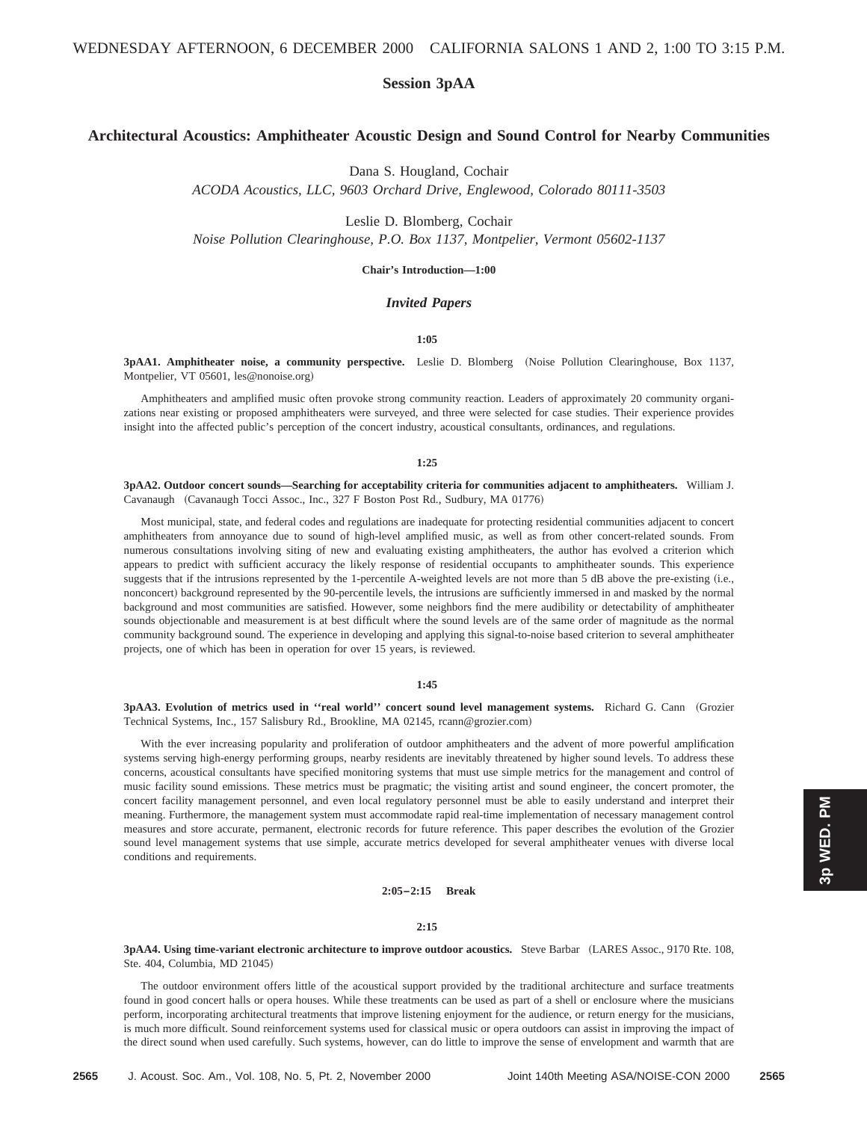# **Session 3pAA**

# **Architectural Acoustics: Amphitheater Acoustic Design and Sound Control for Nearby Communities**

Dana S. Hougland, Cochair

*ACODA Acoustics, LLC, 9603 Orchard Drive, Englewood, Colorado 80111-3503*

Leslie D. Blomberg, Cochair

*Noise Pollution Clearinghouse, P.O. Box 1137, Montpelier, Vermont 05602-1137*

**Chair's Introduction—1:00**

# *Invited Papers*

## **1:05**

**3pAA1. Amphitheater noise, a community perspective.** Leslie D. Blomberg (Noise Pollution Clearinghouse, Box 1137, Montpelier, VT 05601, les@nonoise.org)

Amphitheaters and amplified music often provoke strong community reaction. Leaders of approximately 20 community organizations near existing or proposed amphitheaters were surveyed, and three were selected for case studies. Their experience provides insight into the affected public's perception of the concert industry, acoustical consultants, ordinances, and regulations.

#### **1:25**

**3pAA2. Outdoor concert sounds—Searching for acceptability criteria for communities adjacent to amphitheaters.** William J. Cavanaugh (Cavanaugh Tocci Assoc., Inc., 327 F Boston Post Rd., Sudbury, MA 01776)

Most municipal, state, and federal codes and regulations are inadequate for protecting residential communities adjacent to concert amphitheaters from annoyance due to sound of high-level amplified music, as well as from other concert-related sounds. From numerous consultations involving siting of new and evaluating existing amphitheaters, the author has evolved a criterion which appears to predict with sufficient accuracy the likely response of residential occupants to amphitheater sounds. This experience suggests that if the intrusions represented by the 1-percentile A-weighted levels are not more than 5 dB above the pre-existing (i.e., nonconcert) background represented by the 90-percentile levels, the intrusions are sufficiently immersed in and masked by the normal background and most communities are satisfied. However, some neighbors find the mere audibility or detectability of amphitheater sounds objectionable and measurement is at best difficult where the sound levels are of the same order of magnitude as the normal community background sound. The experience in developing and applying this signal-to-noise based criterion to several amphitheater projects, one of which has been in operation for over 15 years, is reviewed.

#### **1:45**

**3pAA3. Evolution of metrics used in ''real world'' concert sound level management systems.** Richard G. Cann ~Grozier Technical Systems, Inc., 157 Salisbury Rd., Brookline, MA 02145, rcann@grozier.com!

With the ever increasing popularity and proliferation of outdoor amphitheaters and the advent of more powerful amplification systems serving high-energy performing groups, nearby residents are inevitably threatened by higher sound levels. To address these concerns, acoustical consultants have specified monitoring systems that must use simple metrics for the management and control of music facility sound emissions. These metrics must be pragmatic; the visiting artist and sound engineer, the concert promoter, the concert facility management personnel, and even local regulatory personnel must be able to easily understand and interpret their meaning. Furthermore, the management system must accommodate rapid real-time implementation of necessary management control measures and store accurate, permanent, electronic records for future reference. This paper describes the evolution of the Grozier sound level management systems that use simple, accurate metrics developed for several amphitheater venues with diverse local conditions and requirements.

**2:05–2:15 Break**

#### **2:15**

**3pAA4. Using time-variant electronic architecture to improve outdoor acoustics.** Steve Barbar ~LARES Assoc., 9170 Rte. 108, Ste. 404, Columbia, MD 21045!

The outdoor environment offers little of the acoustical support provided by the traditional architecture and surface treatments found in good concert halls or opera houses. While these treatments can be used as part of a shell or enclosure where the musicians perform, incorporating architectural treatments that improve listening enjoyment for the audience, or return energy for the musicians, is much more difficult. Sound reinforcement systems used for classical music or opera outdoors can assist in improving the impact of the direct sound when used carefully. Such systems, however, can do little to improve the sense of envelopment and warmth that are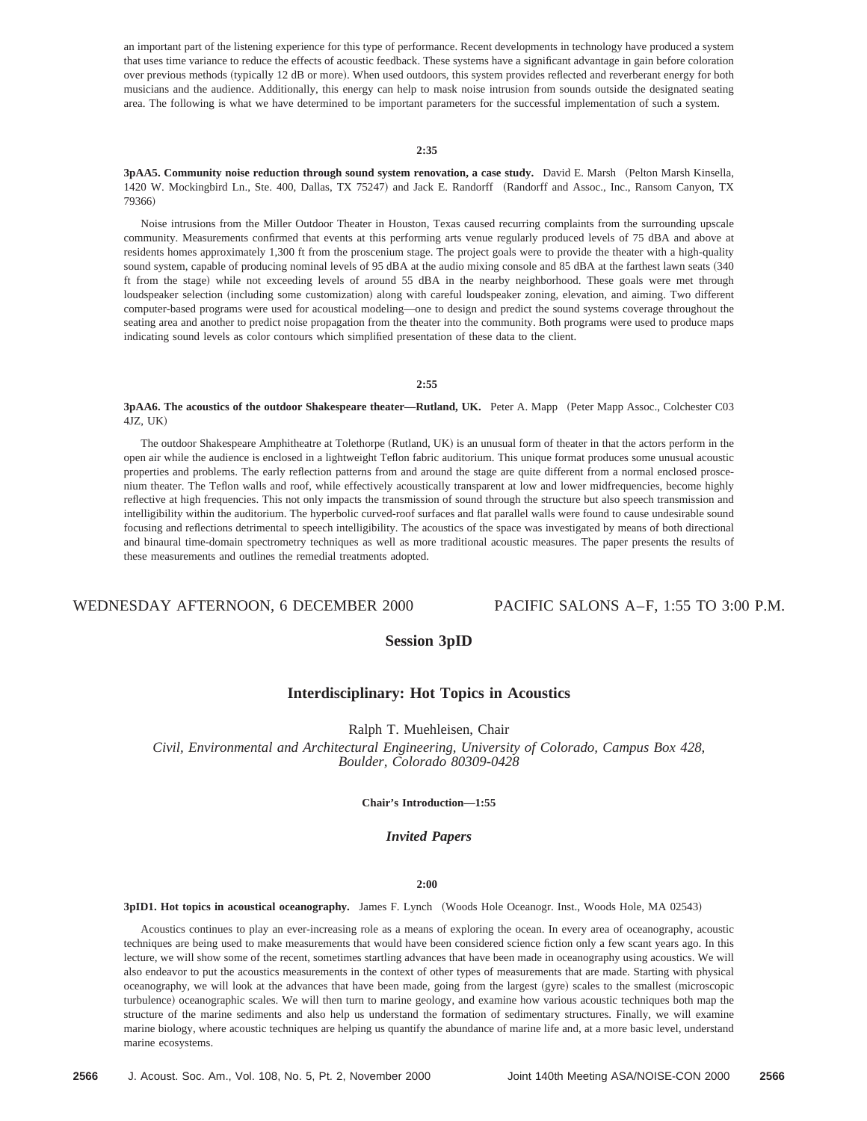an important part of the listening experience for this type of performance. Recent developments in technology have produced a system that uses time variance to reduce the effects of acoustic feedback. These systems have a significant advantage in gain before coloration over previous methods (typically 12 dB or more). When used outdoors, this system provides reflected and reverberant energy for both musicians and the audience. Additionally, this energy can help to mask noise intrusion from sounds outside the designated seating area. The following is what we have determined to be important parameters for the successful implementation of such a system.

# **2:35**

**3pAA5. Community noise reduction through sound system renovation, a case study.** David E. Marsh (Pelton Marsh Kinsella, 1420 W. Mockingbird Ln., Ste. 400, Dallas, TX 75247) and Jack E. Randorff (Randorff and Assoc., Inc., Ransom Canyon, TX 79366)

Noise intrusions from the Miller Outdoor Theater in Houston, Texas caused recurring complaints from the surrounding upscale community. Measurements confirmed that events at this performing arts venue regularly produced levels of 75 dBA and above at residents homes approximately 1,300 ft from the proscenium stage. The project goals were to provide the theater with a high-quality sound system, capable of producing nominal levels of 95 dBA at the audio mixing console and 85 dBA at the farthest lawn seats (340 ft from the stage) while not exceeding levels of around 55 dBA in the nearby neighborhood. These goals were met through loudspeaker selection (including some customization) along with careful loudspeaker zoning, elevation, and aiming. Two different computer-based programs were used for acoustical modeling—one to design and predict the sound systems coverage throughout the seating area and another to predict noise propagation from the theater into the community. Both programs were used to produce maps indicating sound levels as color contours which simplified presentation of these data to the client.

#### **2:55**

**3pAA6. The acoustics of the outdoor Shakespeare theater—Rutland, UK.** Peter A. Mapp (Peter Mapp Assoc., Colchester C03 4JZ, UK!

The outdoor Shakespeare Amphitheatre at Tolethorpe (Rutland, UK) is an unusual form of theater in that the actors perform in the open air while the audience is enclosed in a lightweight Teflon fabric auditorium. This unique format produces some unusual acoustic properties and problems. The early reflection patterns from and around the stage are quite different from a normal enclosed proscenium theater. The Teflon walls and roof, while effectively acoustically transparent at low and lower midfrequencies, become highly reflective at high frequencies. This not only impacts the transmission of sound through the structure but also speech transmission and intelligibility within the auditorium. The hyperbolic curved-roof surfaces and flat parallel walls were found to cause undesirable sound focusing and reflections detrimental to speech intelligibility. The acoustics of the space was investigated by means of both directional and binaural time-domain spectrometry techniques as well as more traditional acoustic measures. The paper presents the results of these measurements and outlines the remedial treatments adopted.

# WEDNESDAY AFTERNOON, 6 DECEMBER 2000 PACIFIC SALONS A–F, 1:55 TO 3:00 P.M.

# **Session 3pID**

# **Interdisciplinary: Hot Topics in Acoustics**

Ralph T. Muehleisen, Chair

*Civil, Environmental and Architectural Engineering, University of Colorado, Campus Box 428, Boulder, Colorado 80309-0428*

# **Chair's Introduction—1:55**

# *Invited Papers*

# **2:00**

**3pID1. Hot topics in acoustical oceanography.** James F. Lynch (Woods Hole Oceanogr. Inst., Woods Hole, MA 02543)

Acoustics continues to play an ever-increasing role as a means of exploring the ocean. In every area of oceanography, acoustic techniques are being used to make measurements that would have been considered science fiction only a few scant years ago. In this lecture, we will show some of the recent, sometimes startling advances that have been made in oceanography using acoustics. We will also endeavor to put the acoustics measurements in the context of other types of measurements that are made. Starting with physical oceanography, we will look at the advances that have been made, going from the largest (gyre) scales to the smallest (microscopic turbulence) oceanographic scales. We will then turn to marine geology, and examine how various acoustic techniques both map the structure of the marine sediments and also help us understand the formation of sedimentary structures. Finally, we will examine marine biology, where acoustic techniques are helping us quantify the abundance of marine life and, at a more basic level, understand marine ecosystems.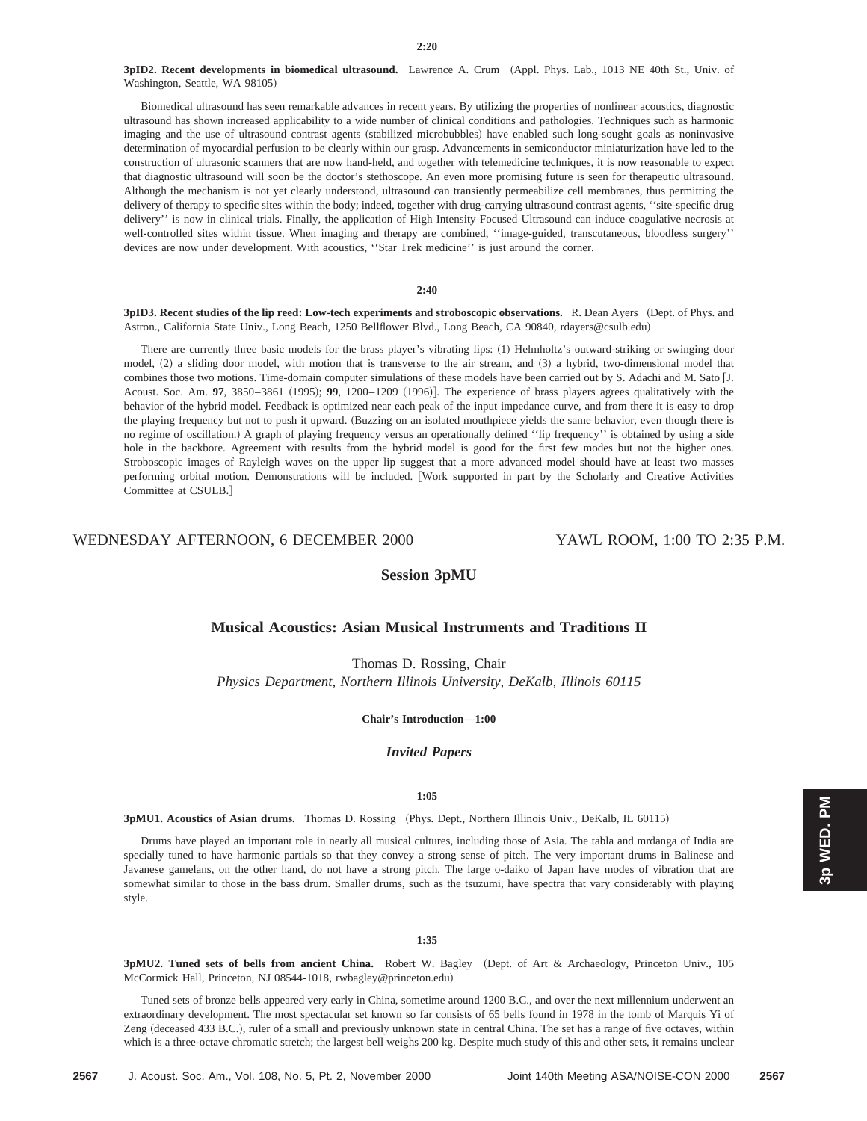**3pID2. Recent developments in biomedical ultrasound.** Lawrence A. Crum (Appl. Phys. Lab., 1013 NE 40th St., Univ. of Washington, Seattle, WA 98105)

Biomedical ultrasound has seen remarkable advances in recent years. By utilizing the properties of nonlinear acoustics, diagnostic ultrasound has shown increased applicability to a wide number of clinical conditions and pathologies. Techniques such as harmonic imaging and the use of ultrasound contrast agents (stabilized microbubbles) have enabled such long-sought goals as noninvasive determination of myocardial perfusion to be clearly within our grasp. Advancements in semiconductor miniaturization have led to the construction of ultrasonic scanners that are now hand-held, and together with telemedicine techniques, it is now reasonable to expect that diagnostic ultrasound will soon be the doctor's stethoscope. An even more promising future is seen for therapeutic ultrasound. Although the mechanism is not yet clearly understood, ultrasound can transiently permeabilize cell membranes, thus permitting the delivery of therapy to specific sites within the body; indeed, together with drug-carrying ultrasound contrast agents, ''site-specific drug delivery'' is now in clinical trials. Finally, the application of High Intensity Focused Ultrasound can induce coagulative necrosis at well-controlled sites within tissue. When imaging and therapy are combined, ''image-guided, transcutaneous, bloodless surgery'' devices are now under development. With acoustics, ''Star Trek medicine'' is just around the corner.

## **2:40**

3pID3. Recent studies of the lip reed: Low-tech experiments and stroboscopic observations. R. Dean Ayers (Dept. of Phys. and Astron., California State Univ., Long Beach, 1250 Bellflower Blvd., Long Beach, CA 90840, rdayers@csulb.edu)

There are currently three basic models for the brass player's vibrating lips: (1) Helmholtz's outward-striking or swinging door model,  $(2)$  a sliding door model, with motion that is transverse to the air stream, and  $(3)$  a hybrid, two-dimensional model that combines those two motions. Time-domain computer simulations of these models have been carried out by S. Adachi and M. Sato [J. Acoust. Soc. Am. 97, 3850–3861 (1995); 99, 1200–1209 (1996)]. The experience of brass players agrees qualitatively with the behavior of the hybrid model. Feedback is optimized near each peak of the input impedance curve, and from there it is easy to drop the playing frequency but not to push it upward. (Buzzing on an isolated mouthpiece yields the same behavior, even though there is no regime of oscillation.! A graph of playing frequency versus an operationally defined ''lip frequency'' is obtained by using a side hole in the backbore. Agreement with results from the hybrid model is good for the first few modes but not the higher ones. Stroboscopic images of Rayleigh waves on the upper lip suggest that a more advanced model should have at least two masses performing orbital motion. Demonstrations will be included. [Work supported in part by the Scholarly and Creative Activities Committee at CSULB.]

# WEDNESDAY AFTERNOON, 6 DECEMBER 2000 YAWL ROOM, 1:00 TO 2:35 P.M.

# **Session 3pMU**

# **Musical Acoustics: Asian Musical Instruments and Traditions II**

Thomas D. Rossing, Chair

*Physics Department, Northern Illinois University, DeKalb, Illinois 60115*

**Chair's Introduction—1:00**

# *Invited Papers*

# **1:05**

**3pMU1. Acoustics of Asian drums.** Thomas D. Rossing (Phys. Dept., Northern Illinois Univ., DeKalb, IL 60115)

Drums have played an important role in nearly all musical cultures, including those of Asia. The tabla and mrdanga of India are specially tuned to have harmonic partials so that they convey a strong sense of pitch. The very important drums in Balinese and Javanese gamelans, on the other hand, do not have a strong pitch. The large o-daiko of Japan have modes of vibration that are somewhat similar to those in the bass drum. Smaller drums, such as the tsuzumi, have spectra that vary considerably with playing style.

#### **1:35**

**3pMU2. Tuned sets of bells from ancient China.** Robert W. Bagley (Dept. of Art & Archaeology, Princeton Univ., 105 McCormick Hall, Princeton, NJ 08544-1018, rwbagley@princeton.edu)

Tuned sets of bronze bells appeared very early in China, sometime around 1200 B.C., and over the next millennium underwent an extraordinary development. The most spectacular set known so far consists of 65 bells found in 1978 in the tomb of Marquis Yi of Zeng (deceased 433 B.C.), ruler of a small and previously unknown state in central China. The set has a range of five octaves, within which is a three-octave chromatic stretch; the largest bell weighs 200 kg. Despite much study of this and other sets, it remains unclear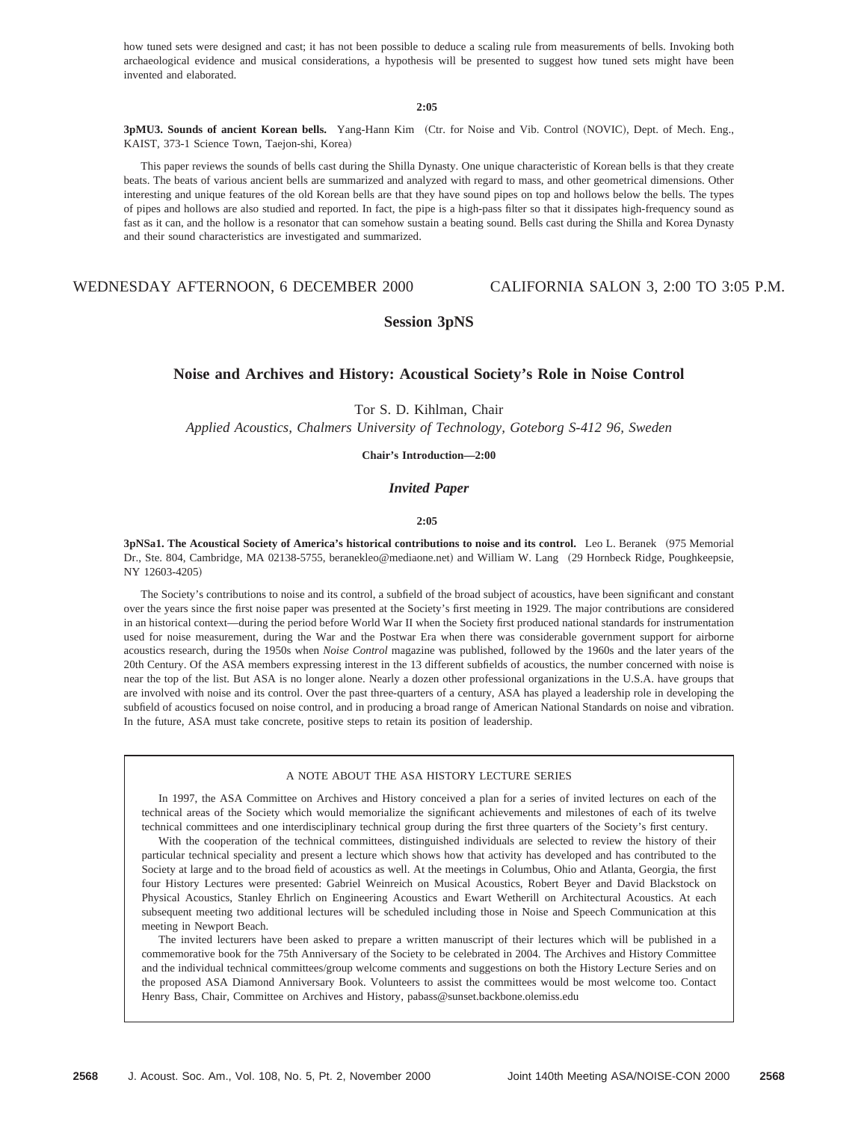how tuned sets were designed and cast; it has not been possible to deduce a scaling rule from measurements of bells. Invoking both archaeological evidence and musical considerations, a hypothesis will be presented to suggest how tuned sets might have been invented and elaborated.

**2:05**

3pMU3. Sounds of ancient Korean bells. Yang-Hann Kim (Ctr. for Noise and Vib. Control (NOVIC), Dept. of Mech. Eng., KAIST, 373-1 Science Town, Taejon-shi, Korea)

This paper reviews the sounds of bells cast during the Shilla Dynasty. One unique characteristic of Korean bells is that they create beats. The beats of various ancient bells are summarized and analyzed with regard to mass, and other geometrical dimensions. Other interesting and unique features of the old Korean bells are that they have sound pipes on top and hollows below the bells. The types of pipes and hollows are also studied and reported. In fact, the pipe is a high-pass filter so that it dissipates high-frequency sound as fast as it can, and the hollow is a resonator that can somehow sustain a beating sound. Bells cast during the Shilla and Korea Dynasty and their sound characteristics are investigated and summarized.

# WEDNESDAY AFTERNOON, 6 DECEMBER 2000 CALIFORNIA SALON 3, 2:00 TO 3:05 P.M.

# **Session 3pNS**

# **Noise and Archives and History: Acoustical Society's Role in Noise Control**

Tor S. D. Kihlman, Chair

*Applied Acoustics, Chalmers University of Technology, Goteborg S-412 96, Sweden*

**Chair's Introduction—2:00**

# *Invited Paper*

# **2:05**

**3pNSa1. The Acoustical Society of America's historical contributions to noise and its control.** Leo L. Beranek ~975 Memorial Dr., Ste. 804, Cambridge, MA 02138-5755, beranekleo@mediaone.net) and William W. Lang (29 Hornbeck Ridge, Poughkeepsie, NY 12603-4205)

The Society's contributions to noise and its control, a subfield of the broad subject of acoustics, have been significant and constant over the years since the first noise paper was presented at the Society's first meeting in 1929. The major contributions are considered in an historical context—during the period before World War II when the Society first produced national standards for instrumentation used for noise measurement, during the War and the Postwar Era when there was considerable government support for airborne acoustics research, during the 1950s when *Noise Control* magazine was published, followed by the 1960s and the later years of the 20th Century. Of the ASA members expressing interest in the 13 different subfields of acoustics, the number concerned with noise is near the top of the list. But ASA is no longer alone. Nearly a dozen other professional organizations in the U.S.A. have groups that are involved with noise and its control. Over the past three-quarters of a century, ASA has played a leadership role in developing the subfield of acoustics focused on noise control, and in producing a broad range of American National Standards on noise and vibration. In the future, ASA must take concrete, positive steps to retain its position of leadership.

## A NOTE ABOUT THE ASA HISTORY LECTURE SERIES

In 1997, the ASA Committee on Archives and History conceived a plan for a series of invited lectures on each of the technical areas of the Society which would memorialize the significant achievements and milestones of each of its twelve technical committees and one interdisciplinary technical group during the first three quarters of the Society's first century.

With the cooperation of the technical committees, distinguished individuals are selected to review the history of their particular technical speciality and present a lecture which shows how that activity has developed and has contributed to the Society at large and to the broad field of acoustics as well. At the meetings in Columbus, Ohio and Atlanta, Georgia, the first four History Lectures were presented: Gabriel Weinreich on Musical Acoustics, Robert Beyer and David Blackstock on Physical Acoustics, Stanley Ehrlich on Engineering Acoustics and Ewart Wetherill on Architectural Acoustics. At each subsequent meeting two additional lectures will be scheduled including those in Noise and Speech Communication at this meeting in Newport Beach.

The invited lecturers have been asked to prepare a written manuscript of their lectures which will be published in a commemorative book for the 75th Anniversary of the Society to be celebrated in 2004. The Archives and History Committee and the individual technical committees/group welcome comments and suggestions on both the History Lecture Series and on the proposed ASA Diamond Anniversary Book. Volunteers to assist the committees would be most welcome too. Contact Henry Bass, Chair, Committee on Archives and History, pabass@sunset.backbone.olemiss.edu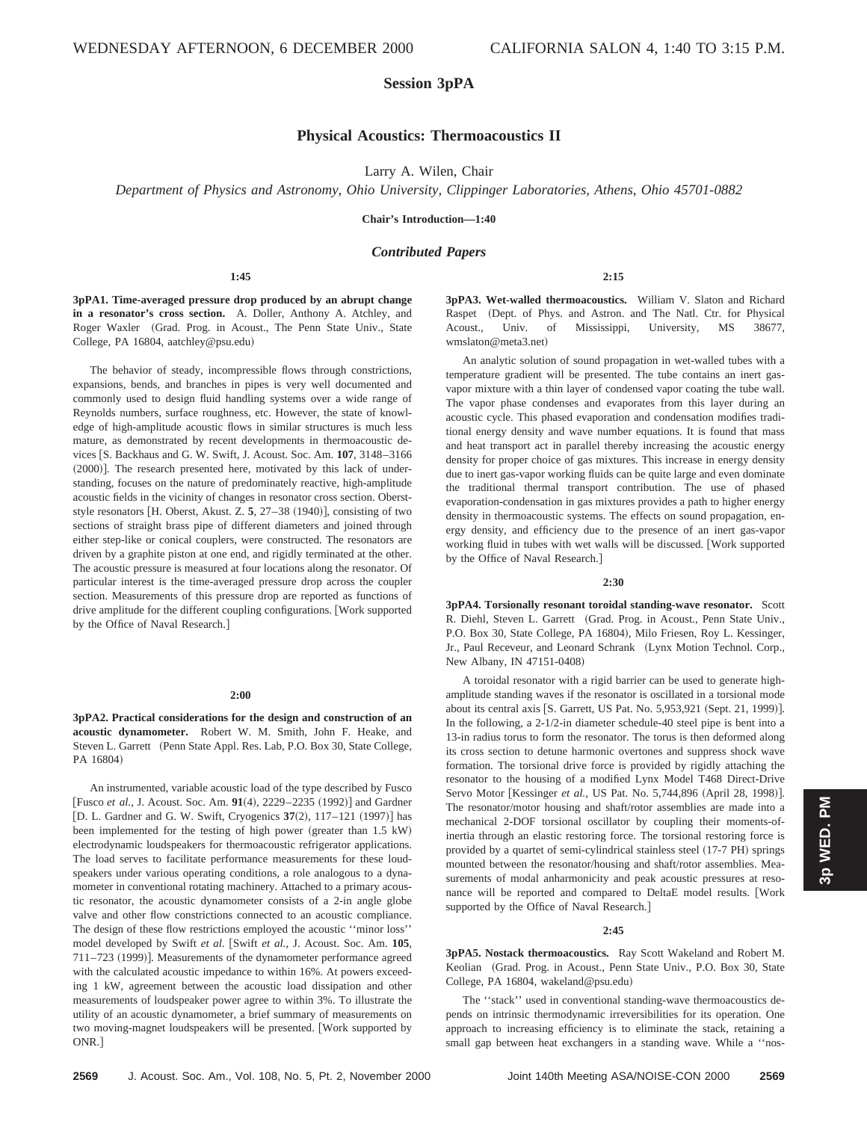# **Session 3pPA**

# **Physical Acoustics: Thermoacoustics II**

Larry A. Wilen, Chair

*Department of Physics and Astronomy, Ohio University, Clippinger Laboratories, Athens, Ohio 45701-0882*

**Chair's Introduction—1:40**

# *Contributed Papers*

**1:45**

**3pPA1. Time-averaged pressure drop produced by an abrupt change in a resonator's cross section.** A. Doller, Anthony A. Atchley, and Roger Waxler (Grad. Prog. in Acoust., The Penn State Univ., State College, PA 16804, aatchley@psu.edu)

The behavior of steady, incompressible flows through constrictions, expansions, bends, and branches in pipes is very well documented and commonly used to design fluid handling systems over a wide range of Reynolds numbers, surface roughness, etc. However, the state of knowledge of high-amplitude acoustic flows in similar structures is much less mature, as demonstrated by recent developments in thermoacoustic devices [S. Backhaus and G. W. Swift, J. Acoust. Soc. Am. 107, 3148-3166  $(2000)$ ]. The research presented here, motivated by this lack of understanding, focuses on the nature of predominately reactive, high-amplitude acoustic fields in the vicinity of changes in resonator cross section. Oberststyle resonators  $[H.$  Oberst, Akust. Z.  $5$ ,  $27-38$   $(1940)$ , consisting of two sections of straight brass pipe of different diameters and joined through either step-like or conical couplers, were constructed. The resonators are driven by a graphite piston at one end, and rigidly terminated at the other. The acoustic pressure is measured at four locations along the resonator. Of particular interest is the time-averaged pressure drop across the coupler section. Measurements of this pressure drop are reported as functions of drive amplitude for the different coupling configurations. [Work supported by the Office of Naval Research.]

## **2:00**

**3pPA2. Practical considerations for the design and construction of an acoustic dynamometer.** Robert W. M. Smith, John F. Heake, and Steven L. Garrett (Penn State Appl. Res. Lab, P.O. Box 30, State College, PA 16804)

An instrumented, variable acoustic load of the type described by Fusco [Fusco *et al.*, J. Acoust. Soc. Am. 91(4), 2229–2235 (1992)] and Gardner [D. L. Gardner and G. W. Swift, Cryogenics  $37(2)$ ,  $117-121$  (1997)] has been implemented for the testing of high power (greater than 1.5 kW) electrodynamic loudspeakers for thermoacoustic refrigerator applications. The load serves to facilitate performance measurements for these loudspeakers under various operating conditions, a role analogous to a dynamometer in conventional rotating machinery. Attached to a primary acoustic resonator, the acoustic dynamometer consists of a 2-in angle globe valve and other flow constrictions connected to an acoustic compliance. The design of these flow restrictions employed the acoustic ''minor loss'' model developed by Swift et al. [Swift et al., J. Acoust. Soc. Am. 105, 711-723 (1999)]. Measurements of the dynamometer performance agreed with the calculated acoustic impedance to within 16%. At powers exceeding 1 kW, agreement between the acoustic load dissipation and other measurements of loudspeaker power agree to within 3%. To illustrate the utility of an acoustic dynamometer, a brief summary of measurements on two moving-magnet loudspeakers will be presented. [Work supported by ONR.]

**3pPA3. Wet-walled thermoacoustics.** William V. Slaton and Richard Raspet (Dept. of Phys. and Astron. and The Natl. Ctr. for Physical Acoust., Univ. of Mississippi, University, MS 38677, wmslaton@meta3.net)

**2:15**

An analytic solution of sound propagation in wet-walled tubes with a temperature gradient will be presented. The tube contains an inert gasvapor mixture with a thin layer of condensed vapor coating the tube wall. The vapor phase condenses and evaporates from this layer during an acoustic cycle. This phased evaporation and condensation modifies traditional energy density and wave number equations. It is found that mass and heat transport act in parallel thereby increasing the acoustic energy density for proper choice of gas mixtures. This increase in energy density due to inert gas-vapor working fluids can be quite large and even dominate the traditional thermal transport contribution. The use of phased evaporation-condensation in gas mixtures provides a path to higher energy density in thermoacoustic systems. The effects on sound propagation, energy density, and efficiency due to the presence of an inert gas-vapor working fluid in tubes with wet walls will be discussed. [Work supported by the Office of Naval Research.]

#### **2:30**

**3pPA4. Torsionally resonant toroidal standing-wave resonator.** Scott R. Diehl, Steven L. Garrett (Grad. Prog. in Acoust., Penn State Univ., P.O. Box 30, State College, PA 16804), Milo Friesen, Roy L. Kessinger, Jr., Paul Receveur, and Leonard Schrank (Lynx Motion Technol. Corp., New Albany, IN 47151-0408!

A toroidal resonator with a rigid barrier can be used to generate highamplitude standing waves if the resonator is oscillated in a torsional mode about its central axis [S. Garrett, US Pat. No. 5,953,921 (Sept. 21, 1999)]. In the following, a 2-1/2-in diameter schedule-40 steel pipe is bent into a 13-in radius torus to form the resonator. The torus is then deformed along its cross section to detune harmonic overtones and suppress shock wave formation. The torsional drive force is provided by rigidly attaching the resonator to the housing of a modified Lynx Model T468 Direct-Drive Servo Motor [Kessinger et al., US Pat. No. 5,744,896 (April 28, 1998)]. The resonator/motor housing and shaft/rotor assemblies are made into a mechanical 2-DOF torsional oscillator by coupling their moments-ofinertia through an elastic restoring force. The torsional restoring force is provided by a quartet of semi-cylindrical stainless steel (17-7 PH) springs mounted between the resonator/housing and shaft/rotor assemblies. Measurements of modal anharmonicity and peak acoustic pressures at resonance will be reported and compared to DeltaE model results. [Work supported by the Office of Naval Research.

#### **2:45**

**3pPA5. Nostack thermoacoustics.** Ray Scott Wakeland and Robert M. Keolian (Grad. Prog. in Acoust., Penn State Univ., P.O. Box 30, State College, PA 16804, wakeland@psu.edu)

The ''stack'' used in conventional standing-wave thermoacoustics depends on intrinsic thermodynamic irreversibilities for its operation. One approach to increasing efficiency is to eliminate the stack, retaining a small gap between heat exchangers in a standing wave. While a ''nos**3p WED. PM**

3p WED. PM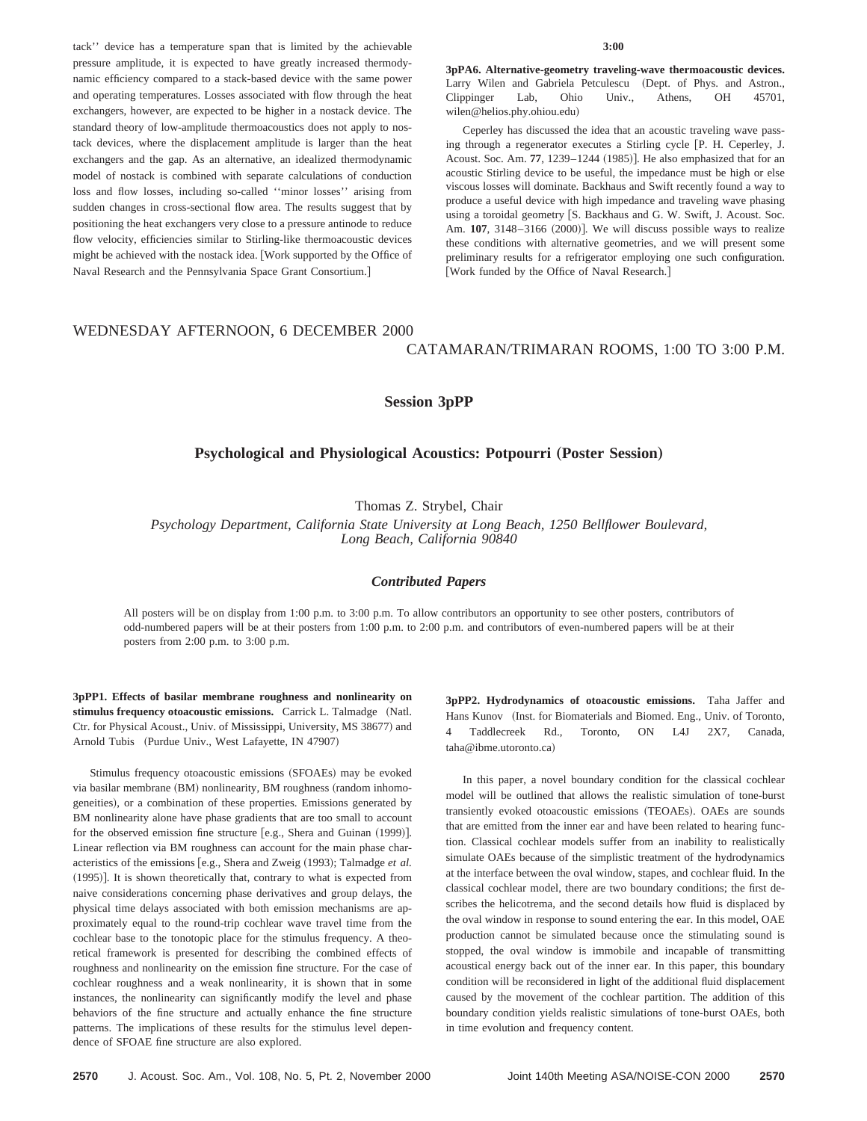tack'' device has a temperature span that is limited by the achievable pressure amplitude, it is expected to have greatly increased thermodynamic efficiency compared to a stack-based device with the same power and operating temperatures. Losses associated with flow through the heat exchangers, however, are expected to be higher in a nostack device. The standard theory of low-amplitude thermoacoustics does not apply to nostack devices, where the displacement amplitude is larger than the heat exchangers and the gap. As an alternative, an idealized thermodynamic model of nostack is combined with separate calculations of conduction loss and flow losses, including so-called ''minor losses'' arising from sudden changes in cross-sectional flow area. The results suggest that by positioning the heat exchangers very close to a pressure antinode to reduce flow velocity, efficiencies similar to Stirling-like thermoacoustic devices might be achieved with the nostack idea. [Work supported by the Office of Naval Research and the Pennsylvania Space Grant Consortium.#

#### **3:00**

**3pPA6. Alternative-geometry traveling-wave thermoacoustic devices.** Larry Wilen and Gabriela Petculescu (Dept. of Phys. and Astron., Clippinger Lab, Ohio Univ., Athens, OH 45701, wilen@helios.phy.ohiou.edu)

Ceperley has discussed the idea that an acoustic traveling wave passing through a regenerator executes a Stirling cycle [P. H. Ceperley, J. Acoust. Soc. Am. 77, 1239-1244 (1985)]. He also emphasized that for an acoustic Stirling device to be useful, the impedance must be high or else viscous losses will dominate. Backhaus and Swift recently found a way to produce a useful device with high impedance and traveling wave phasing using a toroidal geometry [S. Backhaus and G. W. Swift, J. Acoust. Soc. Am. 107, 3148-3166 (2000)]. We will discuss possible ways to realize these conditions with alternative geometries, and we will present some preliminary results for a refrigerator employing one such configuration. [Work funded by the Office of Naval Research.]

# WEDNESDAY AFTERNOON, 6 DECEMBER 2000 CATAMARAN/TRIMARAN ROOMS, 1:00 TO 3:00 P.M.

# **Session 3pPP**

# **Psychological and Physiological Acoustics: Potpourri (Poster Session)**

Thomas Z. Strybel, Chair

*Psychology Department, California State University at Long Beach, 1250 Bellflower Boulevard, Long Beach, California 90840*

# *Contributed Papers*

All posters will be on display from 1:00 p.m. to 3:00 p.m. To allow contributors an opportunity to see other posters, contributors of odd-numbered papers will be at their posters from 1:00 p.m. to 2:00 p.m. and contributors of even-numbered papers will be at their posters from 2:00 p.m. to 3:00 p.m.

**3pPP1. Effects of basilar membrane roughness and nonlinearity on** stimulus frequency otoacoustic emissions. Carrick L. Talmadge (Natl. Ctr. for Physical Acoust., Univ. of Mississippi, University, MS 38677) and Arnold Tubis (Purdue Univ., West Lafayette, IN 47907)

Stimulus frequency otoacoustic emissions (SFOAEs) may be evoked via basilar membrane (BM) nonlinearity, BM roughness (random inhomogeneities), or a combination of these properties. Emissions generated by BM nonlinearity alone have phase gradients that are too small to account for the observed emission fine structure  $[e.g.,$  Shera and Guinan  $(1999)$ . Linear reflection via BM roughness can account for the main phase characteristics of the emissions [e.g., Shera and Zweig (1993); Talmadge et al.  $(1995)$ ]. It is shown theoretically that, contrary to what is expected from naive considerations concerning phase derivatives and group delays, the physical time delays associated with both emission mechanisms are approximately equal to the round-trip cochlear wave travel time from the cochlear base to the tonotopic place for the stimulus frequency. A theoretical framework is presented for describing the combined effects of roughness and nonlinearity on the emission fine structure. For the case of cochlear roughness and a weak nonlinearity, it is shown that in some instances, the nonlinearity can significantly modify the level and phase behaviors of the fine structure and actually enhance the fine structure patterns. The implications of these results for the stimulus level dependence of SFOAE fine structure are also explored.

**3pPP2. Hydrodynamics of otoacoustic emissions.** Taha Jaffer and Hans Kunov (Inst. for Biomaterials and Biomed. Eng., Univ. of Toronto, 4 Taddlecreek Rd., Toronto, ON L4J 2X7, Canada, taha@ibme.utoronto.ca)

In this paper, a novel boundary condition for the classical cochlear model will be outlined that allows the realistic simulation of tone-burst transiently evoked otoacoustic emissions (TEOAEs). OAEs are sounds that are emitted from the inner ear and have been related to hearing function. Classical cochlear models suffer from an inability to realistically simulate OAEs because of the simplistic treatment of the hydrodynamics at the interface between the oval window, stapes, and cochlear fluid. In the classical cochlear model, there are two boundary conditions; the first describes the helicotrema, and the second details how fluid is displaced by the oval window in response to sound entering the ear. In this model, OAE production cannot be simulated because once the stimulating sound is stopped, the oval window is immobile and incapable of transmitting acoustical energy back out of the inner ear. In this paper, this boundary condition will be reconsidered in light of the additional fluid displacement caused by the movement of the cochlear partition. The addition of this boundary condition yields realistic simulations of tone-burst OAEs, both in time evolution and frequency content.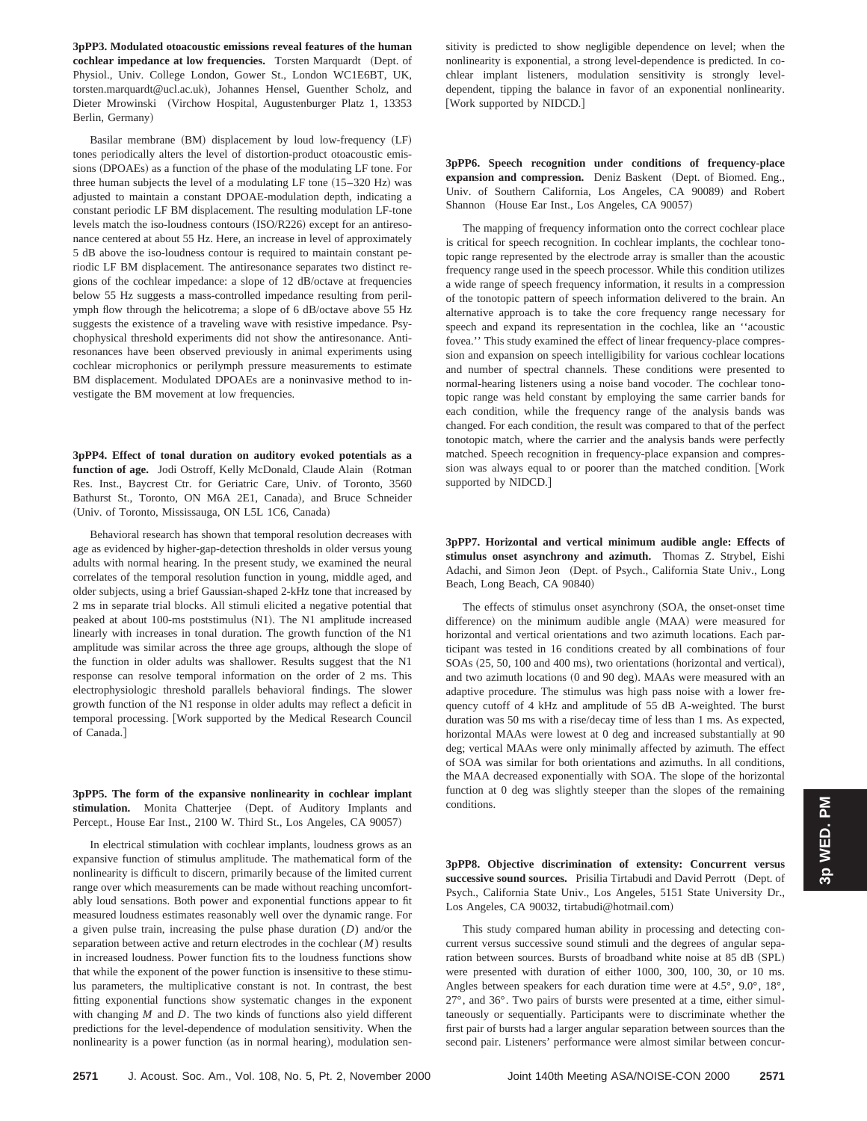**3pPP3. Modulated otoacoustic emissions reveal features of the human cochlear impedance at low frequencies.** Torsten Marquardt (Dept. of Physiol., Univ. College London, Gower St., London WC1E6BT, UK, torsten.marquardt@ucl.ac.uk), Johannes Hensel, Guenther Scholz, and Dieter Mrowinski (Virchow Hospital, Augustenburger Platz 1, 13353 Berlin, Germany)

Basilar membrane (BM) displacement by loud low-frequency (LF) tones periodically alters the level of distortion-product otoacoustic emissions (DPOAEs) as a function of the phase of the modulating LF tone. For three human subjects the level of a modulating LF tone  $(15-320 \text{ Hz})$  was adjusted to maintain a constant DPOAE-modulation depth, indicating a constant periodic LF BM displacement. The resulting modulation LF-tone levels match the iso-loudness contours (ISO/R226) except for an antiresonance centered at about 55 Hz. Here, an increase in level of approximately 5 dB above the iso-loudness contour is required to maintain constant periodic LF BM displacement. The antiresonance separates two distinct regions of the cochlear impedance: a slope of 12 dB/octave at frequencies below 55 Hz suggests a mass-controlled impedance resulting from perilymph flow through the helicotrema; a slope of 6 dB/octave above 55 Hz suggests the existence of a traveling wave with resistive impedance. Psychophysical threshold experiments did not show the antiresonance. Antiresonances have been observed previously in animal experiments using cochlear microphonics or perilymph pressure measurements to estimate BM displacement. Modulated DPOAEs are a noninvasive method to investigate the BM movement at low frequencies.

**3pPP4. Effect of tonal duration on auditory evoked potentials as a** function of age. Jodi Ostroff, Kelly McDonald, Claude Alain (Rotman Res. Inst., Baycrest Ctr. for Geriatric Care, Univ. of Toronto, 3560 Bathurst St., Toronto, ON M6A 2E1, Canada), and Bruce Schneider (Univ. of Toronto, Mississauga, ON L5L 1C6, Canada)

Behavioral research has shown that temporal resolution decreases with age as evidenced by higher-gap-detection thresholds in older versus young adults with normal hearing. In the present study, we examined the neural correlates of the temporal resolution function in young, middle aged, and older subjects, using a brief Gaussian-shaped 2-kHz tone that increased by 2 ms in separate trial blocks. All stimuli elicited a negative potential that peaked at about 100-ms poststimulus (N1). The N1 amplitude increased linearly with increases in tonal duration. The growth function of the N1 amplitude was similar across the three age groups, although the slope of the function in older adults was shallower. Results suggest that the N1 response can resolve temporal information on the order of 2 ms. This electrophysiologic threshold parallels behavioral findings. The slower growth function of the N1 response in older adults may reflect a deficit in temporal processing. [Work supported by the Medical Research Council of Canada.]

**3pPP5. The form of the expansive nonlinearity in cochlear implant** stimulation. Monita Chatterjee (Dept. of Auditory Implants and Percept., House Ear Inst., 2100 W. Third St., Los Angeles, CA 90057)

In electrical stimulation with cochlear implants, loudness grows as an expansive function of stimulus amplitude. The mathematical form of the nonlinearity is difficult to discern, primarily because of the limited current range over which measurements can be made without reaching uncomfortably loud sensations. Both power and exponential functions appear to fit measured loudness estimates reasonably well over the dynamic range. For a given pulse train, increasing the pulse phase duration (*D*) and/or the separation between active and return electrodes in the cochlear (*M*) results in increased loudness. Power function fits to the loudness functions show that while the exponent of the power function is insensitive to these stimulus parameters, the multiplicative constant is not. In contrast, the best fitting exponential functions show systematic changes in the exponent with changing *M* and *D*. The two kinds of functions also yield different predictions for the level-dependence of modulation sensitivity. When the nonlinearity is a power function (as in normal hearing), modulation sensitivity is predicted to show negligible dependence on level; when the nonlinearity is exponential, a strong level-dependence is predicted. In cochlear implant listeners, modulation sensitivity is strongly leveldependent, tipping the balance in favor of an exponential nonlinearity. [Work supported by NIDCD.]

**3pPP6. Speech recognition under conditions of frequency-place** expansion and compression. Deniz Baskent (Dept. of Biomed. Eng., Univ. of Southern California, Los Angeles, CA 90089) and Robert Shannon (House Ear Inst., Los Angeles, CA 90057)

The mapping of frequency information onto the correct cochlear place is critical for speech recognition. In cochlear implants, the cochlear tonotopic range represented by the electrode array is smaller than the acoustic frequency range used in the speech processor. While this condition utilizes a wide range of speech frequency information, it results in a compression of the tonotopic pattern of speech information delivered to the brain. An alternative approach is to take the core frequency range necessary for speech and expand its representation in the cochlea, like an ''acoustic fovea.'' This study examined the effect of linear frequency-place compression and expansion on speech intelligibility for various cochlear locations and number of spectral channels. These conditions were presented to normal-hearing listeners using a noise band vocoder. The cochlear tonotopic range was held constant by employing the same carrier bands for each condition, while the frequency range of the analysis bands was changed. For each condition, the result was compared to that of the perfect tonotopic match, where the carrier and the analysis bands were perfectly matched. Speech recognition in frequency-place expansion and compression was always equal to or poorer than the matched condition. [Work supported by NIDCD.]

**3pPP7. Horizontal and vertical minimum audible angle: Effects of stimulus onset asynchrony and azimuth.** Thomas Z. Strybel, Eishi Adachi, and Simon Jeon (Dept. of Psych., California State Univ., Long Beach, Long Beach, CA 90840)

The effects of stimulus onset asynchrony (SOA, the onset-onset time difference) on the minimum audible angle (MAA) were measured for horizontal and vertical orientations and two azimuth locations. Each participant was tested in 16 conditions created by all combinations of four  $SOAs (25, 50, 100, and 400, ms)$ , two orientations (horizontal and vertical), and two azimuth locations (0 and 90 deg). MAAs were measured with an adaptive procedure. The stimulus was high pass noise with a lower frequency cutoff of 4 kHz and amplitude of 55 dB A-weighted. The burst duration was 50 ms with a rise/decay time of less than 1 ms. As expected, horizontal MAAs were lowest at 0 deg and increased substantially at 90 deg; vertical MAAs were only minimally affected by azimuth. The effect of SOA was similar for both orientations and azimuths. In all conditions, the MAA decreased exponentially with SOA. The slope of the horizontal function at 0 deg was slightly steeper than the slopes of the remaining conditions.

**3pPP8. Objective discrimination of extensity: Concurrent versus** successive sound sources. Prisilia Tirtabudi and David Perrott (Dept. of Psych., California State Univ., Los Angeles, 5151 State University Dr., Los Angeles, CA 90032, tirtabudi@hotmail.com)

This study compared human ability in processing and detecting concurrent versus successive sound stimuli and the degrees of angular separation between sources. Bursts of broadband white noise at 85 dB (SPL) were presented with duration of either 1000, 300, 100, 30, or 10 ms. Angles between speakers for each duration time were at 4.5°, 9.0°, 18°, 27°, and 36°. Two pairs of bursts were presented at a time, either simultaneously or sequentially. Participants were to discriminate whether the first pair of bursts had a larger angular separation between sources than the second pair. Listeners' performance were almost similar between concur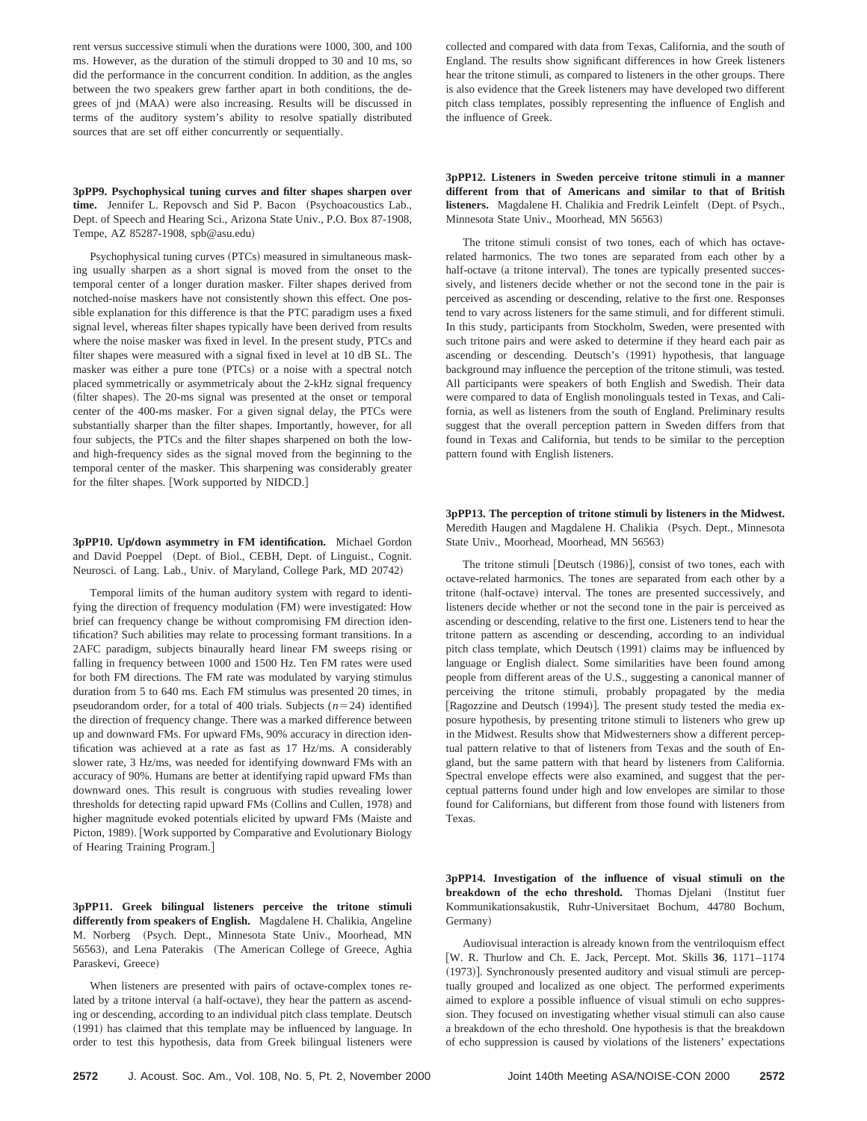rent versus successive stimuli when the durations were 1000, 300, and 100 ms. However, as the duration of the stimuli dropped to 30 and 10 ms, so did the performance in the concurrent condition. In addition, as the angles between the two speakers grew farther apart in both conditions, the degrees of jnd (MAA) were also increasing. Results will be discussed in terms of the auditory system's ability to resolve spatially distributed sources that are set off either concurrently or sequentially.

**3pPP9. Psychophysical tuning curves and filter shapes sharpen over** time. Jennifer L. Repovsch and Sid P. Bacon (Psychoacoustics Lab., Dept. of Speech and Hearing Sci., Arizona State Univ., P.O. Box 87-1908, Tempe, AZ 85287-1908, spb@asu.edu)

Psychophysical tuning curves (PTCs) measured in simultaneous masking usually sharpen as a short signal is moved from the onset to the temporal center of a longer duration masker. Filter shapes derived from notched-noise maskers have not consistently shown this effect. One possible explanation for this difference is that the PTC paradigm uses a fixed signal level, whereas filter shapes typically have been derived from results where the noise masker was fixed in level. In the present study, PTCs and filter shapes were measured with a signal fixed in level at 10 dB SL. The masker was either a pure tone (PTCs) or a noise with a spectral notch placed symmetrically or asymmetricaly about the 2-kHz signal frequency (filter shapes). The 20-ms signal was presented at the onset or temporal center of the 400-ms masker. For a given signal delay, the PTCs were substantially sharper than the filter shapes. Importantly, however, for all four subjects, the PTCs and the filter shapes sharpened on both the lowand high-frequency sides as the signal moved from the beginning to the temporal center of the masker. This sharpening was considerably greater for the filter shapes. [Work supported by NIDCD.]

**3pPP10.** Up/down asymmetry in FM identification. Michael Gordon and David Poeppel (Dept. of Biol., CEBH, Dept. of Linguist., Cognit. Neurosci. of Lang. Lab., Univ. of Maryland, College Park, MD 20742)

Temporal limits of the human auditory system with regard to identifying the direction of frequency modulation (FM) were investigated: How brief can frequency change be without compromising FM direction identification? Such abilities may relate to processing formant transitions. In a 2AFC paradigm, subjects binaurally heard linear FM sweeps rising or falling in frequency between 1000 and 1500 Hz. Ten FM rates were used for both FM directions. The FM rate was modulated by varying stimulus duration from 5 to 640 ms. Each FM stimulus was presented 20 times, in pseudorandom order, for a total of 400 trials. Subjects  $(n=24)$  identified the direction of frequency change. There was a marked difference between up and downward FMs. For upward FMs, 90% accuracy in direction identification was achieved at a rate as fast as 17 Hz/ms. A considerably slower rate, 3 Hz/ms, was needed for identifying downward FMs with an accuracy of 90%. Humans are better at identifying rapid upward FMs than downward ones. This result is congruous with studies revealing lower thresholds for detecting rapid upward FMs (Collins and Cullen, 1978) and higher magnitude evoked potentials elicited by upward FMs (Maiste and Picton, 1989). [Work supported by Comparative and Evolutionary Biology of Hearing Training Program.]

**3pPP11. Greek bilingual listeners perceive the tritone stimuli differently from speakers of English.** Magdalene H. Chalikia, Angeline M. Norberg (Psych. Dept., Minnesota State Univ., Moorhead, MN 56563), and Lena Paterakis (The American College of Greece, Aghia Paraskevi, Greece)

When listeners are presented with pairs of octave-complex tones related by a tritone interval (a half-octave), they hear the pattern as ascending or descending, according to an individual pitch class template. Deutsch (1991) has claimed that this template may be influenced by language. In order to test this hypothesis, data from Greek bilingual listeners were

collected and compared with data from Texas, California, and the south of England. The results show significant differences in how Greek listeners hear the tritone stimuli, as compared to listeners in the other groups. There is also evidence that the Greek listeners may have developed two different pitch class templates, possibly representing the influence of English and the influence of Greek.

**3pPP12. Listeners in Sweden perceive tritone stimuli in a manner different from that of Americans and similar to that of British** listeners. Magdalene H. Chalikia and Fredrik Leinfelt (Dept. of Psych., Minnesota State Univ., Moorhead, MN 56563)

The tritone stimuli consist of two tones, each of which has octaverelated harmonics. The two tones are separated from each other by a half-octave (a tritone interval). The tones are typically presented successively, and listeners decide whether or not the second tone in the pair is perceived as ascending or descending, relative to the first one. Responses tend to vary across listeners for the same stimuli, and for different stimuli. In this study, participants from Stockholm, Sweden, were presented with such tritone pairs and were asked to determine if they heard each pair as ascending or descending. Deutsch's (1991) hypothesis, that language background may influence the perception of the tritone stimuli, was tested. All participants were speakers of both English and Swedish. Their data were compared to data of English monolinguals tested in Texas, and California, as well as listeners from the south of England. Preliminary results suggest that the overall perception pattern in Sweden differs from that found in Texas and California, but tends to be similar to the perception pattern found with English listeners.

**3pPP13. The perception of tritone stimuli by listeners in the Midwest.** Meredith Haugen and Magdalene H. Chalikia (Psych. Dept., Minnesota State Univ., Moorhead, Moorhead, MN 56563)

The tritone stimuli [Deutsch  $(1986)$ ], consist of two tones, each with octave-related harmonics. The tones are separated from each other by a tritone (half-octave) interval. The tones are presented successively, and listeners decide whether or not the second tone in the pair is perceived as ascending or descending, relative to the first one. Listeners tend to hear the tritone pattern as ascending or descending, according to an individual pitch class template, which Deutsch (1991) claims may be influenced by language or English dialect. Some similarities have been found among people from different areas of the U.S., suggesting a canonical manner of perceiving the tritone stimuli, probably propagated by the media [Ragozzine and Deutsch (1994)]. The present study tested the media exposure hypothesis, by presenting tritone stimuli to listeners who grew up in the Midwest. Results show that Midwesterners show a different perceptual pattern relative to that of listeners from Texas and the south of England, but the same pattern with that heard by listeners from California. Spectral envelope effects were also examined, and suggest that the perceptual patterns found under high and low envelopes are similar to those found for Californians, but different from those found with listeners from Texas.

**3pPP14. Investigation of the influence of visual stimuli on the breakdown of the echo threshold.** Thomas Djelani (Institut fuer Kommunikationsakustik, Ruhr-Universitaet Bochum, 44780 Bochum, Germany)

Audiovisual interaction is already known from the ventriloquism effect @W. R. Thurlow and Ch. E. Jack, Percept. Mot. Skills **36**, 1171–1174 (1973)]. Synchronously presented auditory and visual stimuli are perceptually grouped and localized as one object. The performed experiments aimed to explore a possible influence of visual stimuli on echo suppression. They focused on investigating whether visual stimuli can also cause a breakdown of the echo threshold. One hypothesis is that the breakdown of echo suppression is caused by violations of the listeners' expectations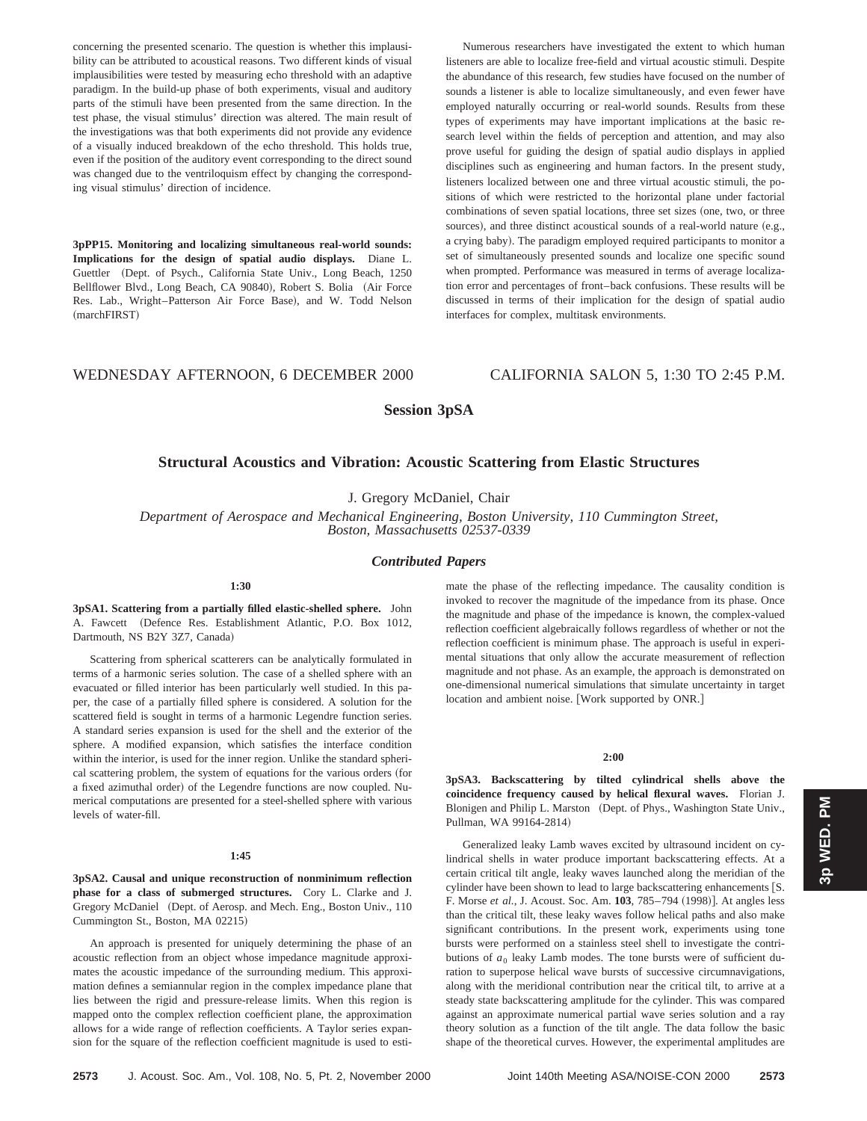concerning the presented scenario. The question is whether this implausibility can be attributed to acoustical reasons. Two different kinds of visual implausibilities were tested by measuring echo threshold with an adaptive paradigm. In the build-up phase of both experiments, visual and auditory parts of the stimuli have been presented from the same direction. In the test phase, the visual stimulus' direction was altered. The main result of the investigations was that both experiments did not provide any evidence of a visually induced breakdown of the echo threshold. This holds true, even if the position of the auditory event corresponding to the direct sound was changed due to the ventriloquism effect by changing the corresponding visual stimulus' direction of incidence.

**3pPP15. Monitoring and localizing simultaneous real-world sounds: Implications for the design of spatial audio displays.** Diane L. Guettler (Dept. of Psych., California State Univ., Long Beach, 1250 Bellflower Blvd., Long Beach, CA 90840), Robert S. Bolia (Air Force Res. Lab., Wright-Patterson Air Force Base), and W. Todd Nelson  $(marchFIRST)$ 

Numerous researchers have investigated the extent to which human listeners are able to localize free-field and virtual acoustic stimuli. Despite the abundance of this research, few studies have focused on the number of sounds a listener is able to localize simultaneously, and even fewer have employed naturally occurring or real-world sounds. Results from these types of experiments may have important implications at the basic research level within the fields of perception and attention, and may also prove useful for guiding the design of spatial audio displays in applied disciplines such as engineering and human factors. In the present study, listeners localized between one and three virtual acoustic stimuli, the positions of which were restricted to the horizontal plane under factorial combinations of seven spatial locations, three set sizes (one, two, or three sources), and three distinct acoustical sounds of a real-world nature (e.g., a crying baby). The paradigm employed required participants to monitor a set of simultaneously presented sounds and localize one specific sound when prompted. Performance was measured in terms of average localization error and percentages of front–back confusions. These results will be discussed in terms of their implication for the design of spatial audio interfaces for complex, multitask environments.

# WEDNESDAY AFTERNOON, 6 DECEMBER 2000 CALIFORNIA SALON 5, 1:30 TO 2:45 P.M.

# **Session 3pSA**

# **Structural Acoustics and Vibration: Acoustic Scattering from Elastic Structures**

J. Gregory McDaniel, Chair

*Department of Aerospace and Mechanical Engineering, Boston University, 110 Cummington Street, Boston, Massachusetts 02537-0339*

# *Contributed Papers*

# **1:30**

**3pSA1. Scattering from a partially filled elastic-shelled sphere.** John A. Fawcett (Defence Res. Establishment Atlantic, P.O. Box 1012, Dartmouth, NS B2Y 3Z7, Canada)

Scattering from spherical scatterers can be analytically formulated in terms of a harmonic series solution. The case of a shelled sphere with an evacuated or filled interior has been particularly well studied. In this paper, the case of a partially filled sphere is considered. A solution for the scattered field is sought in terms of a harmonic Legendre function series. A standard series expansion is used for the shell and the exterior of the sphere. A modified expansion, which satisfies the interface condition within the interior, is used for the inner region. Unlike the standard spherical scattering problem, the system of equations for the various orders (for a fixed azimuthal order) of the Legendre functions are now coupled. Numerical computations are presented for a steel-shelled sphere with various levels of water-fill.

#### **1:45**

**3pSA2. Causal and unique reconstruction of nonminimum reflection phase for a class of submerged structures.** Cory L. Clarke and J. Gregory McDaniel (Dept. of Aerosp. and Mech. Eng., Boston Univ., 110 Cummington St., Boston, MA 02215!

An approach is presented for uniquely determining the phase of an acoustic reflection from an object whose impedance magnitude approximates the acoustic impedance of the surrounding medium. This approximation defines a semiannular region in the complex impedance plane that lies between the rigid and pressure-release limits. When this region is mapped onto the complex reflection coefficient plane, the approximation allows for a wide range of reflection coefficients. A Taylor series expansion for the square of the reflection coefficient magnitude is used to estimate the phase of the reflecting impedance. The causality condition is invoked to recover the magnitude of the impedance from its phase. Once the magnitude and phase of the impedance is known, the complex-valued reflection coefficient algebraically follows regardless of whether or not the reflection coefficient is minimum phase. The approach is useful in experimental situations that only allow the accurate measurement of reflection magnitude and not phase. As an example, the approach is demonstrated on one-dimensional numerical simulations that simulate uncertainty in target location and ambient noise. [Work supported by ONR.]

## **2:00**

**3pSA3. Backscattering by tilted cylindrical shells above the coincidence frequency caused by helical flexural waves.** Florian J. Blonigen and Philip L. Marston (Dept. of Phys., Washington State Univ., Pullman, WA 99164-2814)

Generalized leaky Lamb waves excited by ultrasound incident on cylindrical shells in water produce important backscattering effects. At a certain critical tilt angle, leaky waves launched along the meridian of the cylinder have been shown to lead to large backscattering enhancements [S. F. Morse *et al.*, J. Acoust. Soc. Am. **103**, 785–794 (1998)]. At angles less than the critical tilt, these leaky waves follow helical paths and also make significant contributions. In the present work, experiments using tone bursts were performed on a stainless steel shell to investigate the contributions of  $a_0$  leaky Lamb modes. The tone bursts were of sufficient duration to superpose helical wave bursts of successive circumnavigations, along with the meridional contribution near the critical tilt, to arrive at a steady state backscattering amplitude for the cylinder. This was compared against an approximate numerical partial wave series solution and a ray theory solution as a function of the tilt angle. The data follow the basic shape of the theoretical curves. However, the experimental amplitudes are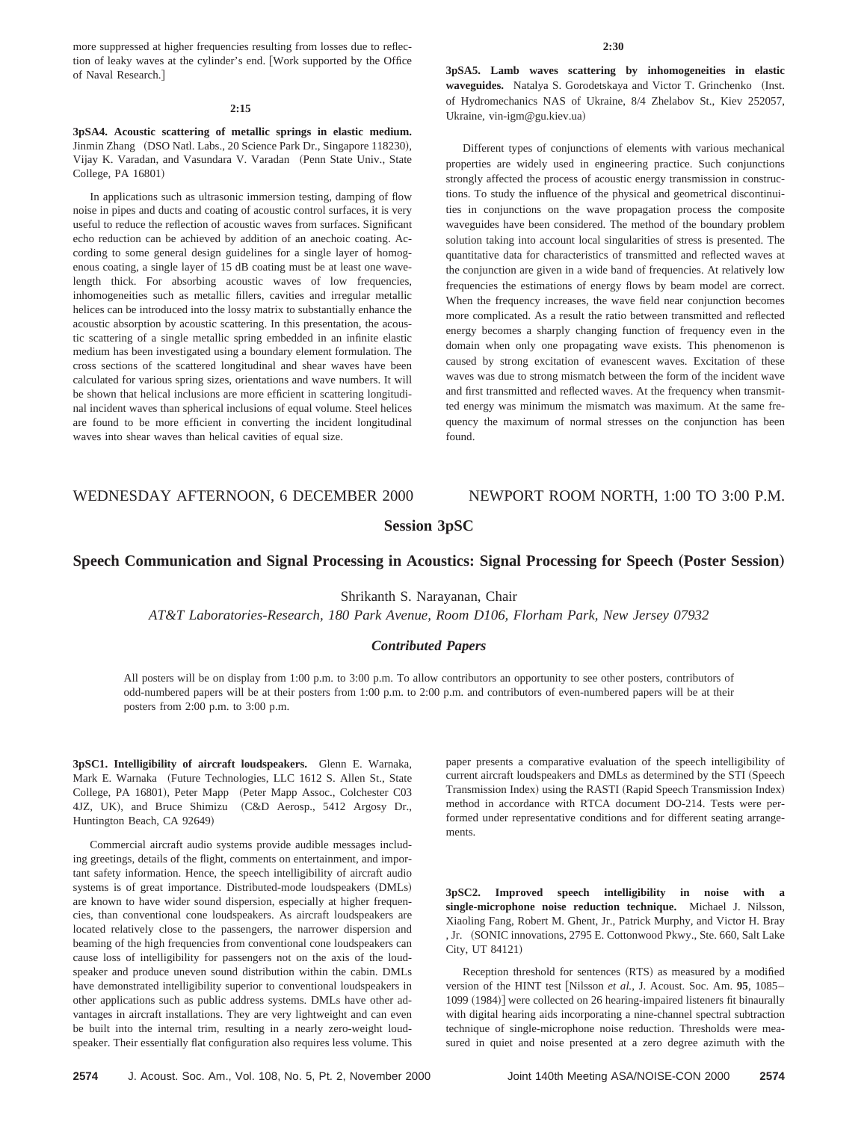more suppressed at higher frequencies resulting from losses due to reflection of leaky waves at the cylinder's end. [Work supported by the Office of Naval Research.]

#### **2:15**

**3pSA4. Acoustic scattering of metallic springs in elastic medium.** Jinmin Zhang (DSO Natl. Labs., 20 Science Park Dr., Singapore 118230), Vijay K. Varadan, and Vasundara V. Varadan (Penn State Univ., State College, PA 16801)

In applications such as ultrasonic immersion testing, damping of flow noise in pipes and ducts and coating of acoustic control surfaces, it is very useful to reduce the reflection of acoustic waves from surfaces. Significant echo reduction can be achieved by addition of an anechoic coating. According to some general design guidelines for a single layer of homogenous coating, a single layer of 15 dB coating must be at least one wavelength thick. For absorbing acoustic waves of low frequencies, inhomogeneities such as metallic fillers, cavities and irregular metallic helices can be introduced into the lossy matrix to substantially enhance the acoustic absorption by acoustic scattering. In this presentation, the acoustic scattering of a single metallic spring embedded in an infinite elastic medium has been investigated using a boundary element formulation. The cross sections of the scattered longitudinal and shear waves have been calculated for various spring sizes, orientations and wave numbers. It will be shown that helical inclusions are more efficient in scattering longitudinal incident waves than spherical inclusions of equal volume. Steel helices are found to be more efficient in converting the incident longitudinal waves into shear waves than helical cavities of equal size.

#### **2:30**

**3pSA5. Lamb waves scattering by inhomogeneities in elastic** waveguides. Natalya S. Gorodetskaya and Victor T. Grinchenko (Inst. of Hydromechanics NAS of Ukraine, 8/4 Zhelabov St., Kiev 252057, Ukraine, vin-igm@gu.kiev.ua)

Different types of conjunctions of elements with various mechanical properties are widely used in engineering practice. Such conjunctions strongly affected the process of acoustic energy transmission in constructions. To study the influence of the physical and geometrical discontinuities in conjunctions on the wave propagation process the composite waveguides have been considered. The method of the boundary problem solution taking into account local singularities of stress is presented. The quantitative data for characteristics of transmitted and reflected waves at the conjunction are given in a wide band of frequencies. At relatively low frequencies the estimations of energy flows by beam model are correct. When the frequency increases, the wave field near conjunction becomes more complicated. As a result the ratio between transmitted and reflected energy becomes a sharply changing function of frequency even in the domain when only one propagating wave exists. This phenomenon is caused by strong excitation of evanescent waves. Excitation of these waves was due to strong mismatch between the form of the incident wave and first transmitted and reflected waves. At the frequency when transmitted energy was minimum the mismatch was maximum. At the same frequency the maximum of normal stresses on the conjunction has been found.

# WEDNESDAY AFTERNOON, 6 DECEMBER 2000 NEWPORT ROOM NORTH, 1:00 TO 3:00 P.M.

# **Session 3pSC**

# **Speech Communication and Signal Processing in Acoustics: Signal Processing for Speech (Poster Session)**

Shrikanth S. Narayanan, Chair

*AT&T Laboratories-Research, 180 Park Avenue, Room D106, Florham Park, New Jersey 07932*

# *Contributed Papers*

All posters will be on display from 1:00 p.m. to 3:00 p.m. To allow contributors an opportunity to see other posters, contributors of odd-numbered papers will be at their posters from 1:00 p.m. to 2:00 p.m. and contributors of even-numbered papers will be at their posters from 2:00 p.m. to 3:00 p.m.

**3pSC1. Intelligibility of aircraft loudspeakers.** Glenn E. Warnaka, Mark E. Warnaka (Future Technologies, LLC 1612 S. Allen St., State College, PA 16801), Peter Mapp (Peter Mapp Assoc., Colchester C03 4JZ, UK), and Bruce Shimizu (C&D Aerosp., 5412 Argosy Dr., Huntington Beach, CA 92649)

Commercial aircraft audio systems provide audible messages including greetings, details of the flight, comments on entertainment, and important safety information. Hence, the speech intelligibility of aircraft audio systems is of great importance. Distributed-mode loudspeakers (DMLs) are known to have wider sound dispersion, especially at higher frequencies, than conventional cone loudspeakers. As aircraft loudspeakers are located relatively close to the passengers, the narrower dispersion and beaming of the high frequencies from conventional cone loudspeakers can cause loss of intelligibility for passengers not on the axis of the loudspeaker and produce uneven sound distribution within the cabin. DMLs have demonstrated intelligibility superior to conventional loudspeakers in other applications such as public address systems. DMLs have other advantages in aircraft installations. They are very lightweight and can even be built into the internal trim, resulting in a nearly zero-weight loudspeaker. Their essentially flat configuration also requires less volume. This paper presents a comparative evaluation of the speech intelligibility of current aircraft loudspeakers and DMLs as determined by the STI (Speech Transmission Index) using the RASTI (Rapid Speech Transmission Index) method in accordance with RTCA document DO-214. Tests were performed under representative conditions and for different seating arrangements.

**3pSC2. Improved speech intelligibility in noise with a single-microphone noise reduction technique.** Michael J. Nilsson, Xiaoling Fang, Robert M. Ghent, Jr., Patrick Murphy, and Victor H. Bray , Jr. (SONIC innovations, 2795 E. Cottonwood Pkwy., Ste. 660, Salt Lake City, UT 84121)

Reception threshold for sentences (RTS) as measured by a modified version of the HINT test [Nilsson *et al.*, J. Acoust. Soc. Am. 95, 1085– 1099 (1984)] were collected on 26 hearing-impaired listeners fit binaurally with digital hearing aids incorporating a nine-channel spectral subtraction technique of single-microphone noise reduction. Thresholds were measured in quiet and noise presented at a zero degree azimuth with the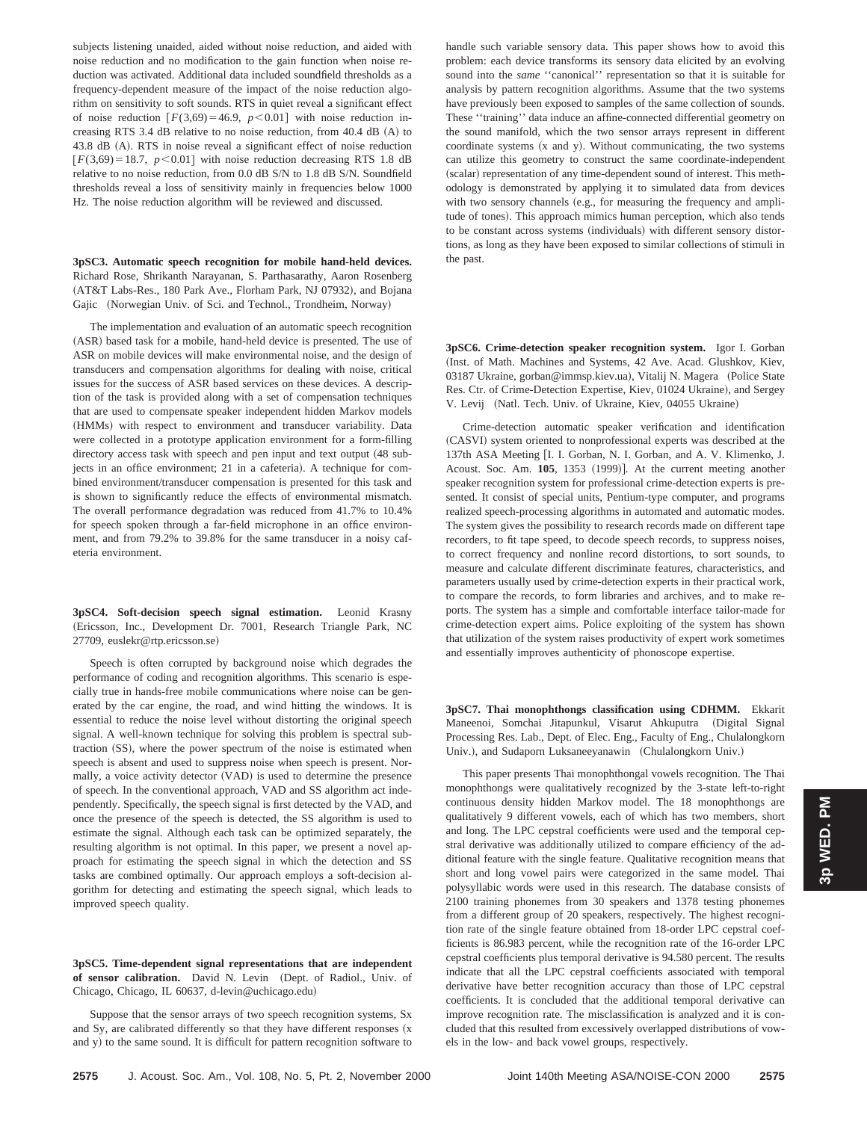subjects listening unaided, aided without noise reduction, and aided with noise reduction and no modification to the gain function when noise reduction was activated. Additional data included soundfield thresholds as a frequency-dependent measure of the impact of the noise reduction algorithm on sensitivity to soft sounds. RTS in quiet reveal a significant effect of noise reduction  $[F(3,69)=46.9, p<0.01]$  with noise reduction increasing RTS 3.4 dB relative to no noise reduction, from 40.4 dB (A) to 43.8 dB (A). RTS in noise reveal a significant effect of noise reduction  $F(3,69) = 18.7$ ,  $p < 0.01$ ] with noise reduction decreasing RTS 1.8 dB relative to no noise reduction, from 0.0 dB S/N to 1.8 dB S/N. Soundfield thresholds reveal a loss of sensitivity mainly in frequencies below 1000 Hz. The noise reduction algorithm will be reviewed and discussed.

**3pSC3. Automatic speech recognition for mobile hand-held devices.** Richard Rose, Shrikanth Narayanan, S. Parthasarathy, Aaron Rosenberg (AT&T Labs-Res., 180 Park Ave., Florham Park, NJ 07932), and Bojana Gajic (Norwegian Univ. of Sci. and Technol., Trondheim, Norway)

The implementation and evaluation of an automatic speech recognition (ASR) based task for a mobile, hand-held device is presented. The use of ASR on mobile devices will make environmental noise, and the design of transducers and compensation algorithms for dealing with noise, critical issues for the success of ASR based services on these devices. A description of the task is provided along with a set of compensation techniques that are used to compensate speaker independent hidden Markov models (HMMs) with respect to environment and transducer variability. Data were collected in a prototype application environment for a form-filling directory access task with speech and pen input and text output (48 subjects in an office environment; 21 in a cafeteria). A technique for combined environment/transducer compensation is presented for this task and is shown to significantly reduce the effects of environmental mismatch. The overall performance degradation was reduced from 41.7% to 10.4% for speech spoken through a far-field microphone in an office environment, and from 79.2% to 39.8% for the same transducer in a noisy cafeteria environment.

**3pSC4. Soft-decision speech signal estimation.** Leonid Krasny (Ericsson, Inc., Development Dr. 7001, Research Triangle Park, NC 27709, euslekr@rtp.ericsson.se)

Speech is often corrupted by background noise which degrades the performance of coding and recognition algorithms. This scenario is especially true in hands-free mobile communications where noise can be generated by the car engine, the road, and wind hitting the windows. It is essential to reduce the noise level without distorting the original speech signal. A well-known technique for solving this problem is spectral subtraction (SS), where the power spectrum of the noise is estimated when speech is absent and used to suppress noise when speech is present. Normally, a voice activity detector (VAD) is used to determine the presence of speech. In the conventional approach, VAD and SS algorithm act independently. Specifically, the speech signal is first detected by the VAD, and once the presence of the speech is detected, the SS algorithm is used to estimate the signal. Although each task can be optimized separately, the resulting algorithm is not optimal. In this paper, we present a novel approach for estimating the speech signal in which the detection and SS tasks are combined optimally. Our approach employs a soft-decision algorithm for detecting and estimating the speech signal, which leads to improved speech quality.

**3pSC5. Time-dependent signal representations that are independent** of sensor calibration. David N. Levin (Dept. of Radiol., Univ. of Chicago, Chicago, IL 60637, d-levin@uchicago.edu)

Suppose that the sensor arrays of two speech recognition systems, Sx and Sy, are calibrated differently so that they have different responses  $(x + y)$ and y) to the same sound. It is difficult for pattern recognition software to handle such variable sensory data. This paper shows how to avoid this problem: each device transforms its sensory data elicited by an evolving sound into the *same* ''canonical'' representation so that it is suitable for analysis by pattern recognition algorithms. Assume that the two systems have previously been exposed to samples of the same collection of sounds. These ''training'' data induce an affine-connected differential geometry on the sound manifold, which the two sensor arrays represent in different coordinate systems  $(x \text{ and } y)$ . Without communicating, the two systems can utilize this geometry to construct the same coordinate-independent (scalar) representation of any time-dependent sound of interest. This methodology is demonstrated by applying it to simulated data from devices with two sensory channels (e.g., for measuring the frequency and amplitude of tones). This approach mimics human perception, which also tends to be constant across systems (individuals) with different sensory distortions, as long as they have been exposed to similar collections of stimuli in the past.

**3pSC6. Crime-detection speaker recognition system.** Igor I. Gorban (Inst. of Math. Machines and Systems, 42 Ave. Acad. Glushkov, Kiev, 03187 Ukraine, gorban@immsp.kiev.ua), Vitalij N. Magera (Police State Res. Ctr. of Crime-Detection Expertise, Kiev, 01024 Ukraine), and Sergey V. Levij (Natl. Tech. Univ. of Ukraine, Kiev, 04055 Ukraine)

Crime-detection automatic speaker verification and identification (CASVI) system oriented to nonprofessional experts was described at the 137th ASA Meeting [I. I. Gorban, N. I. Gorban, and A. V. Klimenko, J. Acoust. Soc. Am. 105, 1353 (1999)]. At the current meeting another speaker recognition system for professional crime-detection experts is presented. It consist of special units, Pentium-type computer, and programs realized speech-processing algorithms in automated and automatic modes. The system gives the possibility to research records made on different tape recorders, to fit tape speed, to decode speech records, to suppress noises, to correct frequency and nonline record distortions, to sort sounds, to measure and calculate different discriminate features, characteristics, and parameters usually used by crime-detection experts in their practical work, to compare the records, to form libraries and archives, and to make reports. The system has a simple and comfortable interface tailor-made for crime-detection expert aims. Police exploiting of the system has shown that utilization of the system raises productivity of expert work sometimes and essentially improves authenticity of phonoscope expertise.

**3pSC7. Thai monophthongs classification using CDHMM.** Ekkarit Maneenoi, Somchai Jitapunkul, Visarut Ahkuputra (Digital Signal Processing Res. Lab., Dept. of Elec. Eng., Faculty of Eng., Chulalongkorn Univ.), and Sudaporn Luksaneeyanawin (Chulalongkorn Univ.)

This paper presents Thai monophthongal vowels recognition. The Thai monophthongs were qualitatively recognized by the 3-state left-to-right continuous density hidden Markov model. The 18 monophthongs are qualitatively 9 different vowels, each of which has two members, short and long. The LPC cepstral coefficients were used and the temporal cepstral derivative was additionally utilized to compare efficiency of the additional feature with the single feature. Qualitative recognition means that short and long vowel pairs were categorized in the same model. Thai polysyllabic words were used in this research. The database consists of 2100 training phonemes from 30 speakers and 1378 testing phonemes from a different group of 20 speakers, respectively. The highest recognition rate of the single feature obtained from 18-order LPC cepstral coefficients is 86.983 percent, while the recognition rate of the 16-order LPC cepstral coefficients plus temporal derivative is 94.580 percent. The results indicate that all the LPC cepstral coefficients associated with temporal derivative have better recognition accuracy than those of LPC cepstral coefficients. It is concluded that the additional temporal derivative can improve recognition rate. The misclassification is analyzed and it is concluded that this resulted from excessively overlapped distributions of vowels in the low- and back vowel groups, respectively.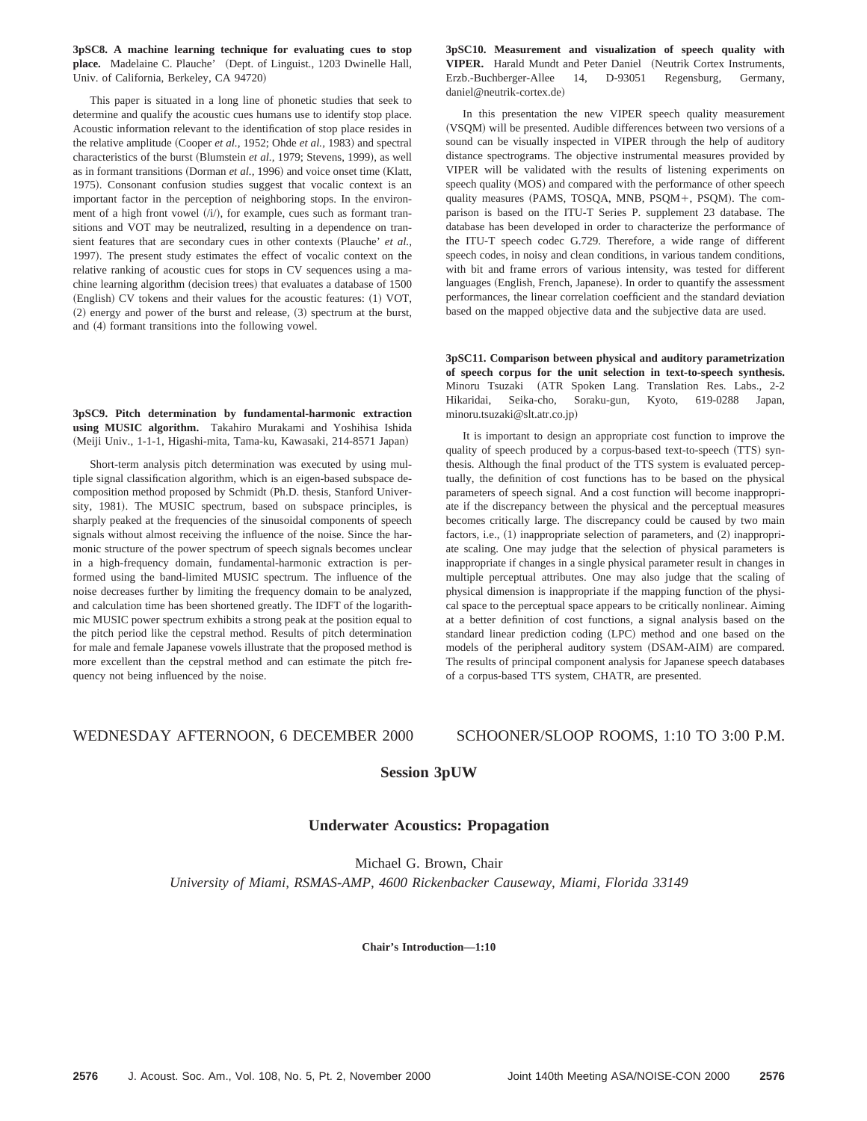**3pSC8. A machine learning technique for evaluating cues to stop** place. Madelaine C. Plauche' (Dept. of Linguist., 1203 Dwinelle Hall, Univ. of California, Berkeley, CA 94720)

This paper is situated in a long line of phonetic studies that seek to determine and qualify the acoustic cues humans use to identify stop place. Acoustic information relevant to the identification of stop place resides in the relative amplitude (Cooper *et al.,* 1952; Ohde *et al.,* 1983) and spectral characteristics of the burst (Blumstein *et al.*, 1979; Stevens, 1999), as well as in formant transitions (Dorman et al., 1996) and voice onset time (Klatt, 1975). Consonant confusion studies suggest that vocalic context is an important factor in the perception of neighboring stops. In the environment of a high front vowel  $(i)$ , for example, cues such as formant transitions and VOT may be neutralized, resulting in a dependence on transient features that are secondary cues in other contexts (Plauche' *et al.,* 1997). The present study estimates the effect of vocalic context on the relative ranking of acoustic cues for stops in CV sequences using a machine learning algorithm (decision trees) that evaluates a database of 1500 (English) CV tokens and their values for the acoustic features: (1) VOT,  $(2)$  energy and power of the burst and release,  $(3)$  spectrum at the burst, and (4) formant transitions into the following vowel.

**3pSC9. Pitch determination by fundamental-harmonic extraction using MUSIC algorithm.** Takahiro Murakami and Yoshihisa Ishida (Meiji Univ., 1-1-1, Higashi-mita, Tama-ku, Kawasaki, 214-8571 Japan)

Short-term analysis pitch determination was executed by using multiple signal classification algorithm, which is an eigen-based subspace decomposition method proposed by Schmidt (Ph.D. thesis, Stanford University, 1981). The MUSIC spectrum, based on subspace principles, is sharply peaked at the frequencies of the sinusoidal components of speech signals without almost receiving the influence of the noise. Since the harmonic structure of the power spectrum of speech signals becomes unclear in a high-frequency domain, fundamental-harmonic extraction is performed using the band-limited MUSIC spectrum. The influence of the noise decreases further by limiting the frequency domain to be analyzed, and calculation time has been shortened greatly. The IDFT of the logarithmic MUSIC power spectrum exhibits a strong peak at the position equal to the pitch period like the cepstral method. Results of pitch determination for male and female Japanese vowels illustrate that the proposed method is more excellent than the cepstral method and can estimate the pitch frequency not being influenced by the noise.

**3pSC10. Measurement and visualization of speech quality with** VIPER. Harald Mundt and Peter Daniel (Neutrik Cortex Instruments, Erzb.-Buchberger-Allee 14, D-93051 Regensburg, Germany, daniel@neutrik-cortex.de)

In this presentation the new VIPER speech quality measurement (VSQM) will be presented. Audible differences between two versions of a sound can be visually inspected in VIPER through the help of auditory distance spectrograms. The objective instrumental measures provided by VIPER will be validated with the results of listening experiments on speech quality (MOS) and compared with the performance of other speech quality measures (PAMS, TOSQA, MNB, PSQM+, PSQM). The comparison is based on the ITU-T Series P. supplement 23 database. The database has been developed in order to characterize the performance of the ITU-T speech codec G.729. Therefore, a wide range of different speech codes, in noisy and clean conditions, in various tandem conditions, with bit and frame errors of various intensity, was tested for different languages (English, French, Japanese). In order to quantify the assessment performances, the linear correlation coefficient and the standard deviation based on the mapped objective data and the subjective data are used.

**3pSC11. Comparison between physical and auditory parametrization of speech corpus for the unit selection in text-to-speech synthesis.** Minoru Tsuzaki (ATR Spoken Lang. Translation Res. Labs., 2-2 Hikaridai, Seika-cho, Soraku-gun, Kyoto, 619-0288 Japan, minoru.tsuzaki@slt.atr.co.jp!

It is important to design an appropriate cost function to improve the quality of speech produced by a corpus-based text-to-speech (TTS) synthesis. Although the final product of the TTS system is evaluated perceptually, the definition of cost functions has to be based on the physical parameters of speech signal. And a cost function will become inappropriate if the discrepancy between the physical and the perceptual measures becomes critically large. The discrepancy could be caused by two main factors, i.e.,  $(1)$  inappropriate selection of parameters, and  $(2)$  inappropriate scaling. One may judge that the selection of physical parameters is inappropriate if changes in a single physical parameter result in changes in multiple perceptual attributes. One may also judge that the scaling of physical dimension is inappropriate if the mapping function of the physical space to the perceptual space appears to be critically nonlinear. Aiming at a better definition of cost functions, a signal analysis based on the standard linear prediction coding (LPC) method and one based on the models of the peripheral auditory system (DSAM-AIM) are compared. The results of principal component analysis for Japanese speech databases of a corpus-based TTS system, CHATR, are presented.

# WEDNESDAY AFTERNOON, 6 DECEMBER 2000 SCHOONER/SLOOP ROOMS, 1:10 TO 3:00 P.M.

# **Session 3pUW**

# **Underwater Acoustics: Propagation**

Michael G. Brown, Chair *University of Miami, RSMAS-AMP, 4600 Rickenbacker Causeway, Miami, Florida 33149*

**Chair's Introduction—1:10**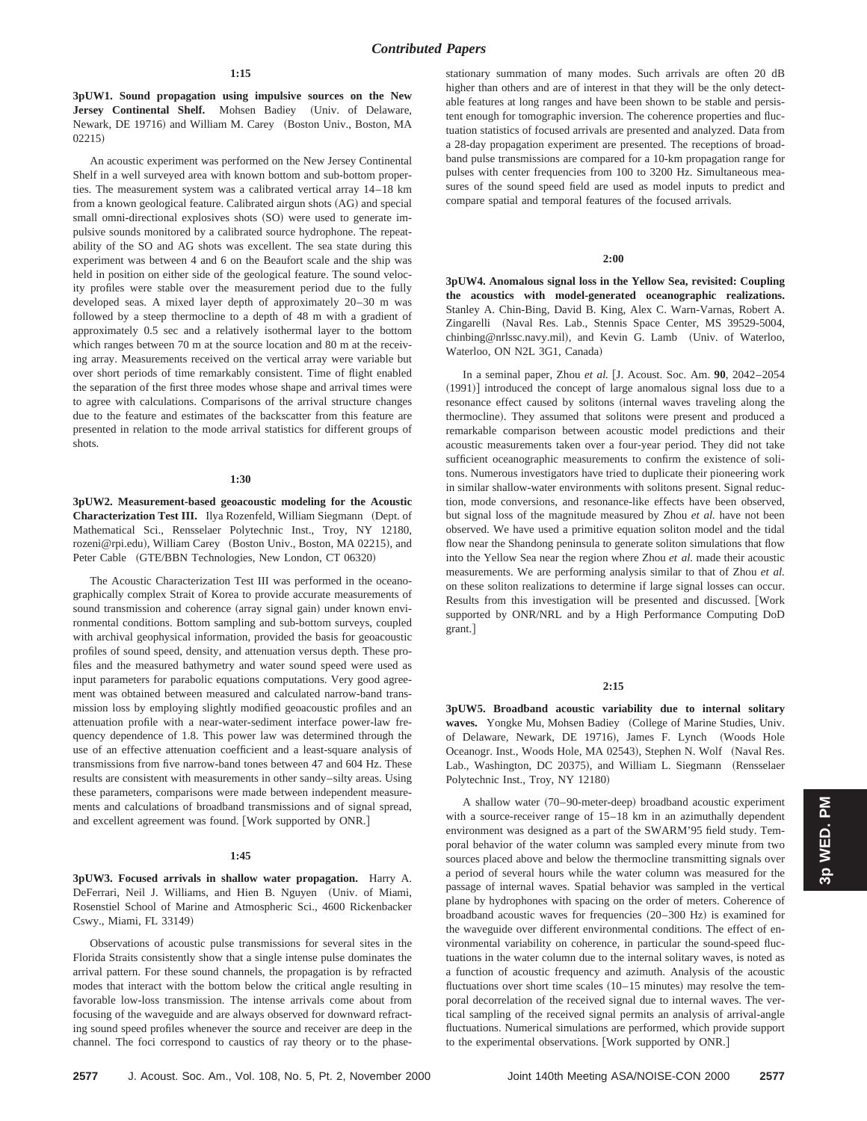**3pUW1. Sound propagation using impulsive sources on the New** Jersey Continental Shelf. Mohsen Badiey (Univ. of Delaware, Newark, DE 19716) and William M. Carey (Boston Univ., Boston, MA  $(02215)$ 

An acoustic experiment was performed on the New Jersey Continental Shelf in a well surveyed area with known bottom and sub-bottom properties. The measurement system was a calibrated vertical array 14–18 km from a known geological feature. Calibrated airgun shots (AG) and special small omni-directional explosives shots (SO) were used to generate impulsive sounds monitored by a calibrated source hydrophone. The repeatability of the SO and AG shots was excellent. The sea state during this experiment was between 4 and 6 on the Beaufort scale and the ship was held in position on either side of the geological feature. The sound velocity profiles were stable over the measurement period due to the fully developed seas. A mixed layer depth of approximately 20–30 m was followed by a steep thermocline to a depth of 48 m with a gradient of approximately 0.5 sec and a relatively isothermal layer to the bottom which ranges between 70 m at the source location and 80 m at the receiving array. Measurements received on the vertical array were variable but over short periods of time remarkably consistent. Time of flight enabled the separation of the first three modes whose shape and arrival times were to agree with calculations. Comparisons of the arrival structure changes due to the feature and estimates of the backscatter from this feature are presented in relation to the mode arrival statistics for different groups of shots.

#### **1:30**

**3pUW2. Measurement-based geoacoustic modeling for the Acoustic Characterization Test III.** Ilya Rozenfeld, William Siegmann (Dept. of Mathematical Sci., Rensselaer Polytechnic Inst., Troy, NY 12180, rozeni@rpi.edu), William Carey (Boston Univ., Boston, MA 02215), and Peter Cable (GTE/BBN Technologies, New London, CT 06320)

The Acoustic Characterization Test III was performed in the oceanographically complex Strait of Korea to provide accurate measurements of sound transmission and coherence (array signal gain) under known environmental conditions. Bottom sampling and sub-bottom surveys, coupled with archival geophysical information, provided the basis for geoacoustic profiles of sound speed, density, and attenuation versus depth. These profiles and the measured bathymetry and water sound speed were used as input parameters for parabolic equations computations. Very good agreement was obtained between measured and calculated narrow-band transmission loss by employing slightly modified geoacoustic profiles and an attenuation profile with a near-water-sediment interface power-law frequency dependence of 1.8. This power law was determined through the use of an effective attenuation coefficient and a least-square analysis of transmissions from five narrow-band tones between 47 and 604 Hz. These results are consistent with measurements in other sandy–silty areas. Using these parameters, comparisons were made between independent measurements and calculations of broadband transmissions and of signal spread, and excellent agreement was found. [Work supported by ONR.]

#### **1:45**

**3pUW3. Focused arrivals in shallow water propagation.** Harry A. DeFerrari, Neil J. Williams, and Hien B. Nguyen (Univ. of Miami, Rosenstiel School of Marine and Atmospheric Sci., 4600 Rickenbacker Cswy., Miami, FL 33149!

Observations of acoustic pulse transmissions for several sites in the Florida Straits consistently show that a single intense pulse dominates the arrival pattern. For these sound channels, the propagation is by refracted modes that interact with the bottom below the critical angle resulting in favorable low-loss transmission. The intense arrivals come about from focusing of the waveguide and are always observed for downward refracting sound speed profiles whenever the source and receiver are deep in the channel. The foci correspond to caustics of ray theory or to the phasestationary summation of many modes. Such arrivals are often 20 dB higher than others and are of interest in that they will be the only detectable features at long ranges and have been shown to be stable and persistent enough for tomographic inversion. The coherence properties and fluctuation statistics of focused arrivals are presented and analyzed. Data from a 28-day propagation experiment are presented. The receptions of broadband pulse transmissions are compared for a 10-km propagation range for pulses with center frequencies from 100 to 3200 Hz. Simultaneous measures of the sound speed field are used as model inputs to predict and compare spatial and temporal features of the focused arrivals.

## **2:00**

**3pUW4. Anomalous signal loss in the Yellow Sea, revisited: Coupling the acoustics with model-generated oceanographic realizations.** Stanley A. Chin-Bing, David B. King, Alex C. Warn-Varnas, Robert A. Zingarelli (Naval Res. Lab., Stennis Space Center, MS 39529-5004, chinbing@nrlssc.navy.mil), and Kevin G. Lamb (Univ. of Waterloo, Waterloo, ON N2L 3G1, Canada)

In a seminal paper, Zhou et al. [J. Acoust. Soc. Am. 90, 2042-2054  $(1991)$ ] introduced the concept of large anomalous signal loss due to a resonance effect caused by solitons (internal waves traveling along the thermocline). They assumed that solitons were present and produced a remarkable comparison between acoustic model predictions and their acoustic measurements taken over a four-year period. They did not take sufficient oceanographic measurements to confirm the existence of solitons. Numerous investigators have tried to duplicate their pioneering work in similar shallow-water environments with solitons present. Signal reduction, mode conversions, and resonance-like effects have been observed, but signal loss of the magnitude measured by Zhou *et al.* have not been observed. We have used a primitive equation soliton model and the tidal flow near the Shandong peninsula to generate soliton simulations that flow into the Yellow Sea near the region where Zhou *et al.* made their acoustic measurements. We are performing analysis similar to that of Zhou *et al.* on these soliton realizations to determine if large signal losses can occur. Results from this investigation will be presented and discussed. [Work supported by ONR/NRL and by a High Performance Computing DoD grant.]

#### **2:15**

**3pUW5. Broadband acoustic variability due to internal solitary** waves. Yongke Mu, Mohsen Badiey (College of Marine Studies, Univ. of Delaware, Newark, DE 19716), James F. Lynch (Woods Hole Oceanogr. Inst., Woods Hole, MA 02543), Stephen N. Wolf (Naval Res. Lab., Washington, DC 20375), and William L. Siegmann (Rensselaer Polytechnic Inst., Troy, NY 12180)

A shallow water (70–90-meter-deep) broadband acoustic experiment with a source-receiver range of 15–18 km in an azimuthally dependent environment was designed as a part of the SWARM'95 field study. Temporal behavior of the water column was sampled every minute from two sources placed above and below the thermocline transmitting signals over a period of several hours while the water column was measured for the passage of internal waves. Spatial behavior was sampled in the vertical plane by hydrophones with spacing on the order of meters. Coherence of broadband acoustic waves for frequencies  $(20–300 \text{ Hz})$  is examined for the waveguide over different environmental conditions. The effect of environmental variability on coherence, in particular the sound-speed fluctuations in the water column due to the internal solitary waves, is noted as a function of acoustic frequency and azimuth. Analysis of the acoustic fluctuations over short time scales  $(10-15 \text{ minutes})$  may resolve the temporal decorrelation of the received signal due to internal waves. The vertical sampling of the received signal permits an analysis of arrival-angle fluctuations. Numerical simulations are performed, which provide support to the experimental observations. [Work supported by ONR.]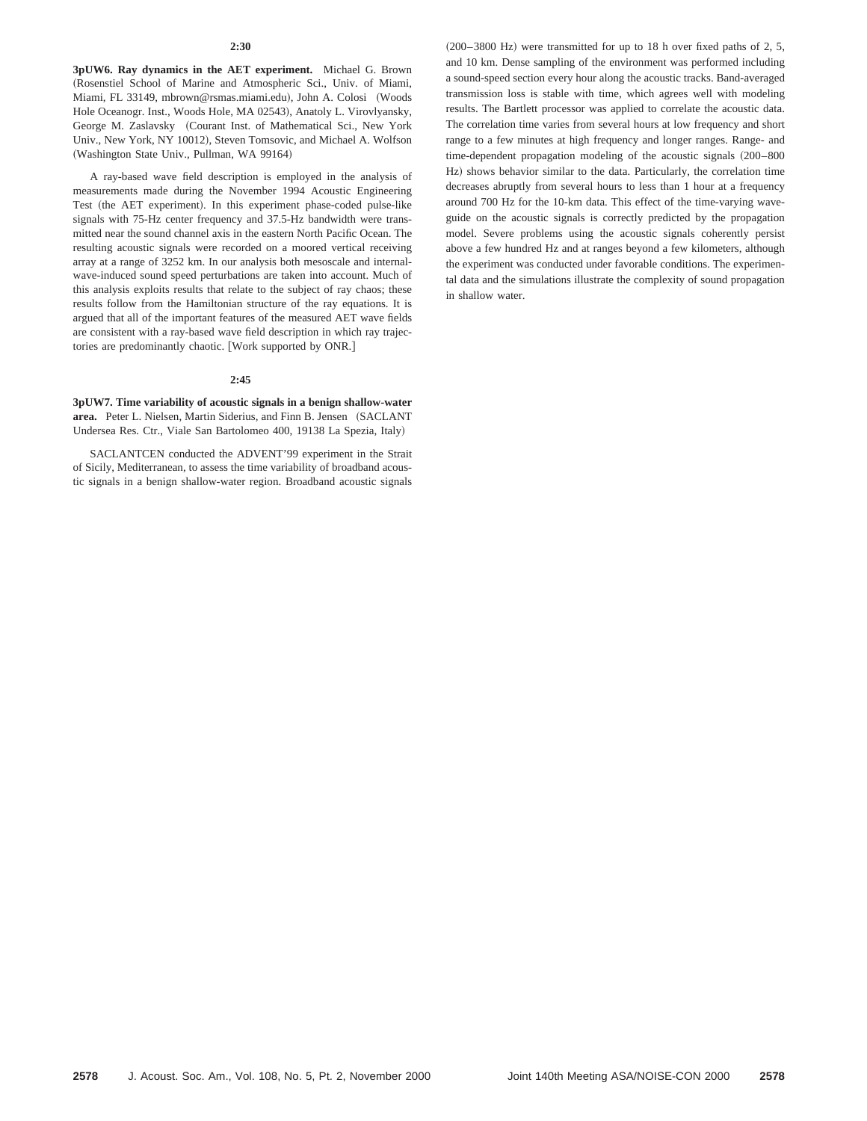**3pUW6. Ray dynamics in the AET experiment.** Michael G. Brown (Rosenstiel School of Marine and Atmospheric Sci., Univ. of Miami, Miami, FL 33149, mbrown@rsmas.miami.edu), John A. Colosi (Woods Hole Oceanogr. Inst., Woods Hole, MA 02543), Anatoly L. Virovlyansky, George M. Zaslavsky (Courant Inst. of Mathematical Sci., New York Univ., New York, NY 10012), Steven Tomsovic, and Michael A. Wolfson (Washington State Univ., Pullman, WA 99164)

A ray-based wave field description is employed in the analysis of measurements made during the November 1994 Acoustic Engineering Test (the AET experiment). In this experiment phase-coded pulse-like signals with 75-Hz center frequency and 37.5-Hz bandwidth were transmitted near the sound channel axis in the eastern North Pacific Ocean. The resulting acoustic signals were recorded on a moored vertical receiving array at a range of 3252 km. In our analysis both mesoscale and internalwave-induced sound speed perturbations are taken into account. Much of this analysis exploits results that relate to the subject of ray chaos; these results follow from the Hamiltonian structure of the ray equations. It is argued that all of the important features of the measured AET wave fields are consistent with a ray-based wave field description in which ray trajectories are predominantly chaotic. [Work supported by ONR.]

#### **2:45**

**3pUW7. Time variability of acoustic signals in a benign shallow-water** area. Peter L. Nielsen, Martin Siderius, and Finn B. Jensen (SACLANT Undersea Res. Ctr., Viale San Bartolomeo 400, 19138 La Spezia, Italy)

SACLANTCEN conducted the ADVENT'99 experiment in the Strait of Sicily, Mediterranean, to assess the time variability of broadband acoustic signals in a benign shallow-water region. Broadband acoustic signals  $(200-3800 \text{ Hz})$  were transmitted for up to 18 h over fixed paths of 2, 5, and 10 km. Dense sampling of the environment was performed including a sound-speed section every hour along the acoustic tracks. Band-averaged transmission loss is stable with time, which agrees well with modeling results. The Bartlett processor was applied to correlate the acoustic data. The correlation time varies from several hours at low frequency and short range to a few minutes at high frequency and longer ranges. Range- and time-dependent propagation modeling of the acoustic signals (200–800 Hz) shows behavior similar to the data. Particularly, the correlation time decreases abruptly from several hours to less than 1 hour at a frequency around 700 Hz for the 10-km data. This effect of the time-varying waveguide on the acoustic signals is correctly predicted by the propagation model. Severe problems using the acoustic signals coherently persist above a few hundred Hz and at ranges beyond a few kilometers, although the experiment was conducted under favorable conditions. The experimental data and the simulations illustrate the complexity of sound propagation in shallow water.